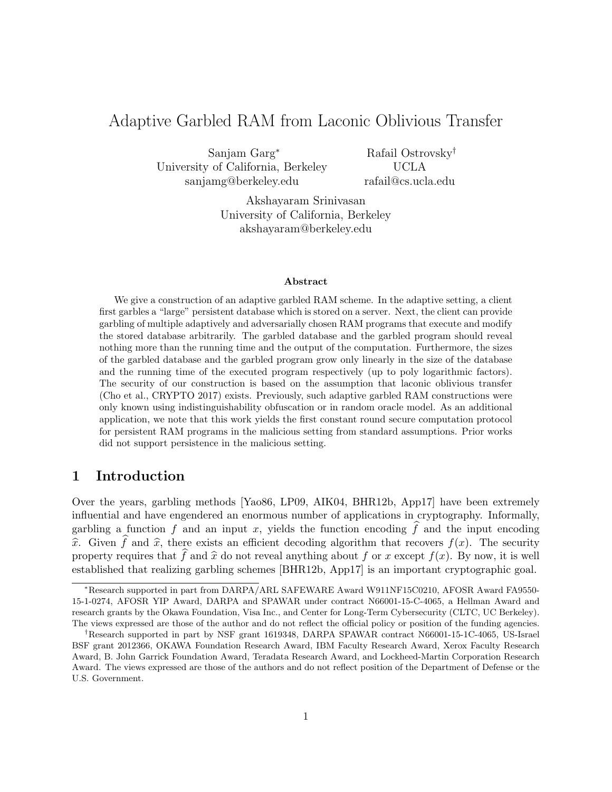# Adaptive Garbled RAM from Laconic Oblivious Transfer

Sanjam Garg<sup>∗</sup> University of California, Berkeley sanjamg@berkeley.edu

Rafail Ostrovsky† UCLA rafail@cs.ucla.edu

Akshayaram Srinivasan University of California, Berkeley akshayaram@berkeley.edu

#### Abstract

We give a construction of an adaptive garbled RAM scheme. In the adaptive setting, a client first garbles a "large" persistent database which is stored on a server. Next, the client can provide garbling of multiple adaptively and adversarially chosen RAM programs that execute and modify the stored database arbitrarily. The garbled database and the garbled program should reveal nothing more than the running time and the output of the computation. Furthermore, the sizes of the garbled database and the garbled program grow only linearly in the size of the database and the running time of the executed program respectively (up to poly logarithmic factors). The security of our construction is based on the assumption that laconic oblivious transfer (Cho et al., CRYPTO 2017) exists. Previously, such adaptive garbled RAM constructions were only known using indistinguishability obfuscation or in random oracle model. As an additional application, we note that this work yields the first constant round secure computation protocol for persistent RAM programs in the malicious setting from standard assumptions. Prior works did not support persistence in the malicious setting.

# 1 Introduction

Over the years, garbling methods [Yao86, LP09, AIK04, BHR12b, App17] have been extremely influential and have engendered an enormous number of applications in cryptography. Informally, garbling a function f and an input x, yields the function encoding  $\hat{f}$  and the input encoding  $\hat{x}$ . Given f and  $\hat{x}$ , there exists an efficient decoding algorithm that recovers  $f(x)$ . The security property requires that  $\widehat{f}$  and  $\widehat{x}$  do not reveal anything about f or x except  $f(x)$ . By now, it is well established that realizing garbling schemes [BHR12b, App17] is an important cryptographic goal.

<sup>∗</sup>Research supported in part from DARPA/ARL SAFEWARE Award W911NF15C0210, AFOSR Award FA9550- 15-1-0274, AFOSR YIP Award, DARPA and SPAWAR under contract N66001-15-C-4065, a Hellman Award and research grants by the Okawa Foundation, Visa Inc., and Center for Long-Term Cybersecurity (CLTC, UC Berkeley). The views expressed are those of the author and do not reflect the official policy or position of the funding agencies.

<sup>†</sup>Research supported in part by NSF grant 1619348, DARPA SPAWAR contract N66001-15-1C-4065, US-Israel BSF grant 2012366, OKAWA Foundation Research Award, IBM Faculty Research Award, Xerox Faculty Research Award, B. John Garrick Foundation Award, Teradata Research Award, and Lockheed-Martin Corporation Research Award. The views expressed are those of the authors and do not reflect position of the Department of Defense or the U.S. Government.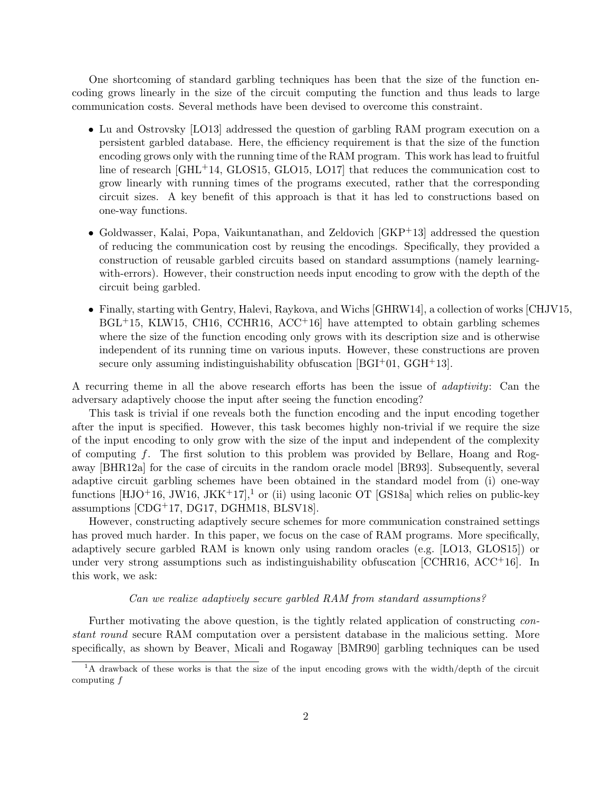One shortcoming of standard garbling techniques has been that the size of the function encoding grows linearly in the size of the circuit computing the function and thus leads to large communication costs. Several methods have been devised to overcome this constraint.

- Lu and Ostrovsky [LO13] addressed the question of garbling RAM program execution on a persistent garbled database. Here, the efficiency requirement is that the size of the function encoding grows only with the running time of the RAM program. This work has lead to fruitful line of research  $\lbrack \text{GHL}^+14, \text{GLOS15}, \text{GLO15}, \text{LO17} \rbrack$  that reduces the communication cost to grow linearly with running times of the programs executed, rather that the corresponding circuit sizes. A key benefit of this approach is that it has led to constructions based on one-way functions.
- Goldwasser, Kalai, Popa, Vaikuntanathan, and Zeldovich [GKP+13] addressed the question of reducing the communication cost by reusing the encodings. Specifically, they provided a construction of reusable garbled circuits based on standard assumptions (namely learningwith-errors). However, their construction needs input encoding to grow with the depth of the circuit being garbled.
- Finally, starting with Gentry, Halevi, Raykova, and Wichs [GHRW14], a collection of works [CHJV15,  $BGL<sup>+</sup>15$ , KLW15, CH16, CCHR16, ACC<sup>+</sup>16] have attempted to obtain garbling schemes where the size of the function encoding only grows with its description size and is otherwise independent of its running time on various inputs. However, these constructions are proven secure only assuming indistinguishability obfuscation  $[BGI^+01, GGH^+13]$ .

A recurring theme in all the above research efforts has been the issue of adaptivity: Can the adversary adaptively choose the input after seeing the function encoding?

This task is trivial if one reveals both the function encoding and the input encoding together after the input is specified. However, this task becomes highly non-trivial if we require the size of the input encoding to only grow with the size of the input and independent of the complexity of computing f. The first solution to this problem was provided by Bellare, Hoang and Rogaway [BHR12a] for the case of circuits in the random oracle model [BR93]. Subsequently, several adaptive circuit garbling schemes have been obtained in the standard model from (i) one-way functions [HJO<sup>+</sup>16, JW16, JKK<sup>+</sup>17],<sup>1</sup> or (ii) using laconic OT [GS18a] which relies on public-key assumptions [CDG+17, DG17, DGHM18, BLSV18].

However, constructing adaptively secure schemes for more communication constrained settings has proved much harder. In this paper, we focus on the case of RAM programs. More specifically, adaptively secure garbled RAM is known only using random oracles (e.g. [LO13, GLOS15]) or under very strong assumptions such as indistinguishability obfuscation [CCHR16,  $ACC^+16$ ]. In this work, we ask:

#### Can we realize adaptively secure garbled RAM from standard assumptions?

Further motivating the above question, is the tightly related application of constructing constant round secure RAM computation over a persistent database in the malicious setting. More specifically, as shown by Beaver, Micali and Rogaway [BMR90] garbling techniques can be used

<sup>&</sup>lt;sup>1</sup>A drawback of these works is that the size of the input encoding grows with the width/depth of the circuit computing  $f$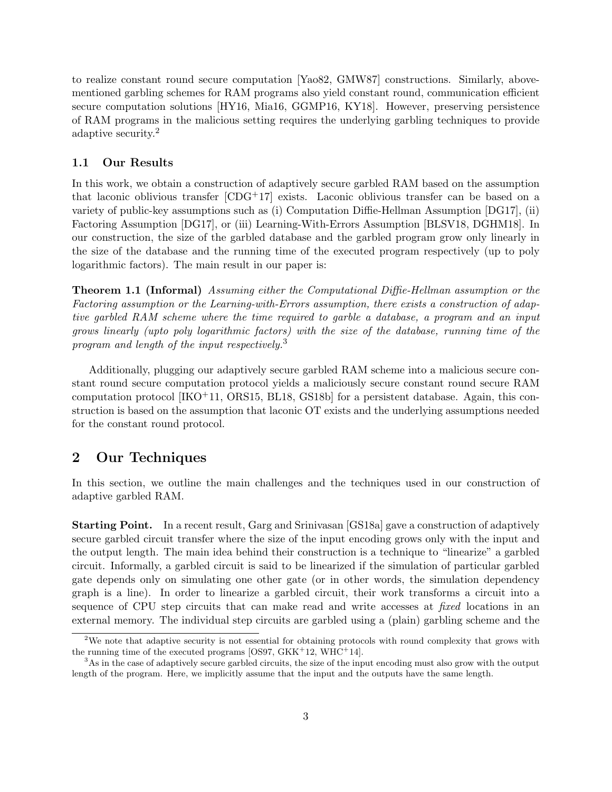to realize constant round secure computation [Yao82, GMW87] constructions. Similarly, abovementioned garbling schemes for RAM programs also yield constant round, communication efficient secure computation solutions [HY16, Mia16, GGMP16, KY18]. However, preserving persistence of RAM programs in the malicious setting requires the underlying garbling techniques to provide adaptive security.<sup>2</sup>

### 1.1 Our Results

In this work, we obtain a construction of adaptively secure garbled RAM based on the assumption that laconic oblivious transfer  $[CDG+17]$  exists. Laconic oblivious transfer can be based on a variety of public-key assumptions such as (i) Computation Diffie-Hellman Assumption [DG17], (ii) Factoring Assumption [DG17], or (iii) Learning-With-Errors Assumption [BLSV18, DGHM18]. In our construction, the size of the garbled database and the garbled program grow only linearly in the size of the database and the running time of the executed program respectively (up to poly logarithmic factors). The main result in our paper is:

Theorem 1.1 (Informal) Assuming either the Computational Diffie-Hellman assumption or the Factoring assumption or the Learning-with-Errors assumption, there exists a construction of adaptive garbled RAM scheme where the time required to garble a database, a program and an input grows linearly (upto poly logarithmic factors) with the size of the database, running time of the program and length of the input respectively.<sup>3</sup>

Additionally, plugging our adaptively secure garbled RAM scheme into a malicious secure constant round secure computation protocol yields a maliciously secure constant round secure RAM computation protocol  $[IKO+11, ORS15, BL18, GS18b]$  for a persistent database. Again, this construction is based on the assumption that laconic OT exists and the underlying assumptions needed for the constant round protocol.

# 2 Our Techniques

In this section, we outline the main challenges and the techniques used in our construction of adaptive garbled RAM.

Starting Point. In a recent result, Garg and Srinivasan [GS18a] gave a construction of adaptively secure garbled circuit transfer where the size of the input encoding grows only with the input and the output length. The main idea behind their construction is a technique to "linearize" a garbled circuit. Informally, a garbled circuit is said to be linearized if the simulation of particular garbled gate depends only on simulating one other gate (or in other words, the simulation dependency graph is a line). In order to linearize a garbled circuit, their work transforms a circuit into a sequence of CPU step circuits that can make read and write accesses at fixed locations in an external memory. The individual step circuits are garbled using a (plain) garbling scheme and the

<sup>2</sup>We note that adaptive security is not essential for obtaining protocols with round complexity that grows with the running time of the executed programs [OS97,  $GKK^+12$ , WHC<sup>+</sup>14].

<sup>&</sup>lt;sup>3</sup>As in the case of adaptively secure garbled circuits, the size of the input encoding must also grow with the output length of the program. Here, we implicitly assume that the input and the outputs have the same length.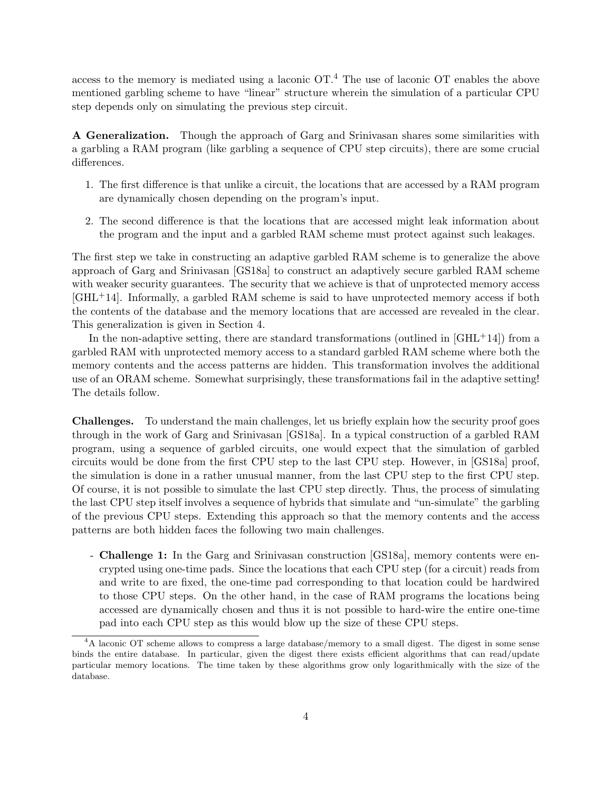access to the memory is mediated using a laconic  $\overline{OT}$ .<sup>4</sup> The use of laconic  $\overline{OT}$  enables the above mentioned garbling scheme to have "linear" structure wherein the simulation of a particular CPU step depends only on simulating the previous step circuit.

A Generalization. Though the approach of Garg and Srinivasan shares some similarities with a garbling a RAM program (like garbling a sequence of CPU step circuits), there are some crucial differences.

- 1. The first difference is that unlike a circuit, the locations that are accessed by a RAM program are dynamically chosen depending on the program's input.
- 2. The second difference is that the locations that are accessed might leak information about the program and the input and a garbled RAM scheme must protect against such leakages.

The first step we take in constructing an adaptive garbled RAM scheme is to generalize the above approach of Garg and Srinivasan [GS18a] to construct an adaptively secure garbled RAM scheme with weaker security guarantees. The security that we achieve is that of unprotected memory access [GHL+14]. Informally, a garbled RAM scheme is said to have unprotected memory access if both the contents of the database and the memory locations that are accessed are revealed in the clear. This generalization is given in Section 4.

In the non-adaptive setting, there are standard transformations (outlined in  $\text{[GHL}^+14\text{]}$ ) from a garbled RAM with unprotected memory access to a standard garbled RAM scheme where both the memory contents and the access patterns are hidden. This transformation involves the additional use of an ORAM scheme. Somewhat surprisingly, these transformations fail in the adaptive setting! The details follow.

Challenges. To understand the main challenges, let us briefly explain how the security proof goes through in the work of Garg and Srinivasan [GS18a]. In a typical construction of a garbled RAM program, using a sequence of garbled circuits, one would expect that the simulation of garbled circuits would be done from the first CPU step to the last CPU step. However, in [GS18a] proof, the simulation is done in a rather unusual manner, from the last CPU step to the first CPU step. Of course, it is not possible to simulate the last CPU step directly. Thus, the process of simulating the last CPU step itself involves a sequence of hybrids that simulate and "un-simulate" the garbling of the previous CPU steps. Extending this approach so that the memory contents and the access patterns are both hidden faces the following two main challenges.

- Challenge 1: In the Garg and Srinivasan construction [GS18a], memory contents were encrypted using one-time pads. Since the locations that each CPU step (for a circuit) reads from and write to are fixed, the one-time pad corresponding to that location could be hardwired to those CPU steps. On the other hand, in the case of RAM programs the locations being accessed are dynamically chosen and thus it is not possible to hard-wire the entire one-time pad into each CPU step as this would blow up the size of these CPU steps.

<sup>&</sup>lt;sup>4</sup>A laconic OT scheme allows to compress a large database/memory to a small digest. The digest in some sense binds the entire database. In particular, given the digest there exists efficient algorithms that can read/update particular memory locations. The time taken by these algorithms grow only logarithmically with the size of the database.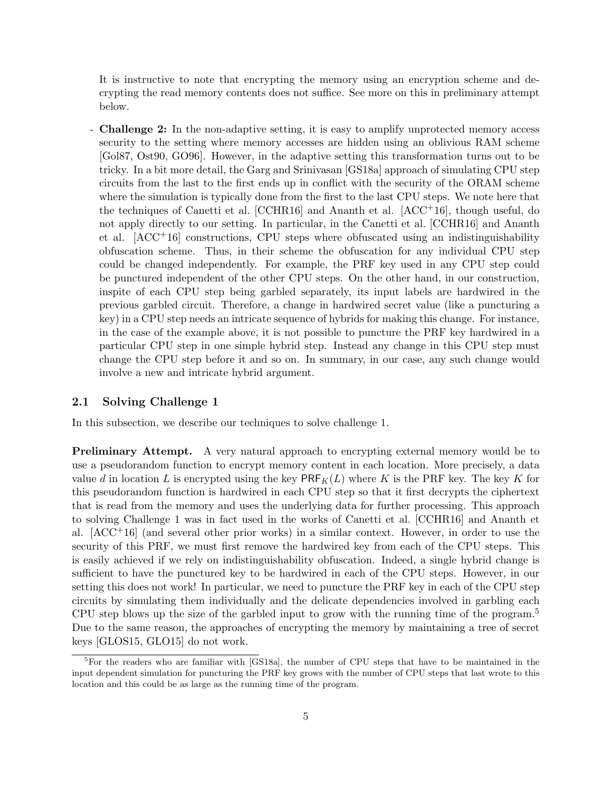It is instructive to note that encrypting the memory using an encryption scheme and decrypting the read memory contents does not suffice. See more on this in preliminary attempt below.

- Challenge 2: In the non-adaptive setting, it is easy to amplify unprotected memory access security to the setting where memory accesses are hidden using an oblivious RAM scheme [Gol87, Ost90, GO96]. However, in the adaptive setting this transformation turns out to be tricky. In a bit more detail, the Garg and Srinivasan [GS18a] approach of simulating CPU step circuits from the last to the first ends up in conflict with the security of the ORAM scheme where the simulation is typically done from the first to the last CPU steps. We note here that the techniques of Canetti et al.  $[CCHR16]$  and Ananth et al.  $[ACC^+16]$ , though useful, do not apply directly to our setting. In particular, in the Canetti et al. [CCHR16] and Ananth et al.  $[ACC^+16]$  constructions, CPU steps where obfuscated using an indistinguishability obfuscation scheme. Thus, in their scheme the obfuscation for any individual CPU step could be changed independently. For example, the PRF key used in any CPU step could be punctured independent of the other CPU steps. On the other hand, in our construction, inspite of each CPU step being garbled separately, its input labels are hardwired in the previous garbled circuit. Therefore, a change in hardwired secret value (like a puncturing a key) in a CPU step needs an intricate sequence of hybrids for making this change. For instance, in the case of the example above, it is not possible to puncture the PRF key hardwired in a particular CPU step in one simple hybrid step. Instead any change in this CPU step must change the CPU step before it and so on. In summary, in our case, any such change would involve a new and intricate hybrid argument.

#### 2.1 Solving Challenge 1

In this subsection, we describe our techniques to solve challenge 1.

Preliminary Attempt. A very natural approach to encrypting external memory would be to use a pseudorandom function to encrypt memory content in each location. More precisely, a data value d in location L is encrypted using the key  $\mathsf{PRF}_K(L)$  where K is the PRF key. The key K for this pseudorandom function is hardwired in each CPU step so that it first decrypts the ciphertext that is read from the memory and uses the underlying data for further processing. This approach to solving Challenge 1 was in fact used in the works of Canetti et al. [CCHR16] and Ananth et al. [ACC+16] (and several other prior works) in a similar context. However, in order to use the security of this PRF, we must first remove the hardwired key from each of the CPU steps. This is easily achieved if we rely on indistinguishability obfuscation. Indeed, a single hybrid change is sufficient to have the punctured key to be hardwired in each of the CPU steps. However, in our setting this does not work! In particular, we need to puncture the PRF key in each of the CPU step circuits by simulating them individually and the delicate dependencies involved in garbling each CPU step blows up the size of the garbled input to grow with the running time of the program.<sup>5</sup> Due to the same reason, the approaches of encrypting the memory by maintaining a tree of secret keys [GLOS15, GLO15] do not work.

 ${}^{5}$ For the readers who are familiar with [GS18a], the number of CPU steps that have to be maintained in the input dependent simulation for puncturing the PRF key grows with the number of CPU steps that last wrote to this location and this could be as large as the running time of the program.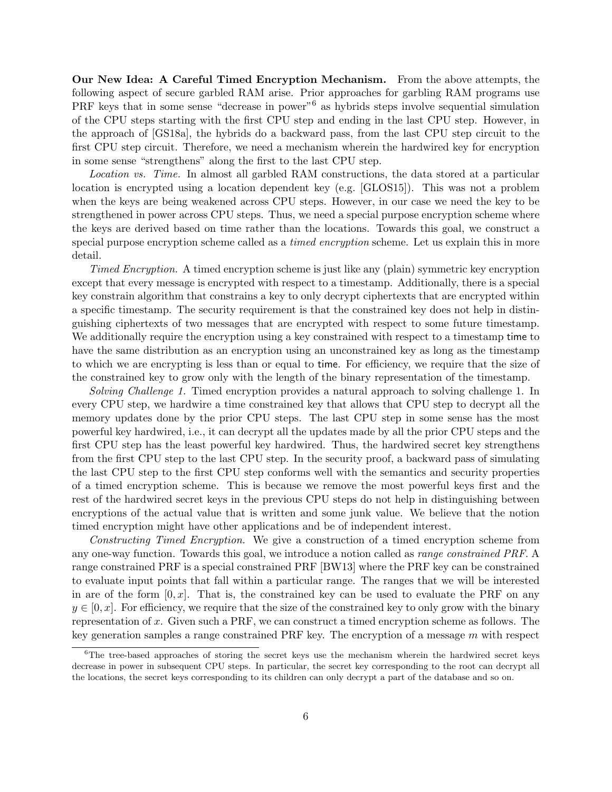Our New Idea: A Careful Timed Encryption Mechanism. From the above attempts, the following aspect of secure garbled RAM arise. Prior approaches for garbling RAM programs use PRF keys that in some sense "decrease in power"<sup>6</sup> as hybrids steps involve sequential simulation of the CPU steps starting with the first CPU step and ending in the last CPU step. However, in the approach of [GS18a], the hybrids do a backward pass, from the last CPU step circuit to the first CPU step circuit. Therefore, we need a mechanism wherein the hardwired key for encryption in some sense "strengthens" along the first to the last CPU step.

Location vs. Time. In almost all garbled RAM constructions, the data stored at a particular location is encrypted using a location dependent key (e.g. [GLOS15]). This was not a problem when the keys are being weakened across CPU steps. However, in our case we need the key to be strengthened in power across CPU steps. Thus, we need a special purpose encryption scheme where the keys are derived based on time rather than the locations. Towards this goal, we construct a special purpose encryption scheme called as a *timed encryption* scheme. Let us explain this in more detail.

Timed Encryption. A timed encryption scheme is just like any (plain) symmetric key encryption except that every message is encrypted with respect to a timestamp. Additionally, there is a special key constrain algorithm that constrains a key to only decrypt ciphertexts that are encrypted within a specific timestamp. The security requirement is that the constrained key does not help in distinguishing ciphertexts of two messages that are encrypted with respect to some future timestamp. We additionally require the encryption using a key constrained with respect to a timestamp time to have the same distribution as an encryption using an unconstrained key as long as the timestamp to which we are encrypting is less than or equal to time. For efficiency, we require that the size of the constrained key to grow only with the length of the binary representation of the timestamp.

Solving Challenge 1. Timed encryption provides a natural approach to solving challenge 1. In every CPU step, we hardwire a time constrained key that allows that CPU step to decrypt all the memory updates done by the prior CPU steps. The last CPU step in some sense has the most powerful key hardwired, i.e., it can decrypt all the updates made by all the prior CPU steps and the first CPU step has the least powerful key hardwired. Thus, the hardwired secret key strengthens from the first CPU step to the last CPU step. In the security proof, a backward pass of simulating the last CPU step to the first CPU step conforms well with the semantics and security properties of a timed encryption scheme. This is because we remove the most powerful keys first and the rest of the hardwired secret keys in the previous CPU steps do not help in distinguishing between encryptions of the actual value that is written and some junk value. We believe that the notion timed encryption might have other applications and be of independent interest.

Constructing Timed Encryption. We give a construction of a timed encryption scheme from any one-way function. Towards this goal, we introduce a notion called as range constrained PRF. A range constrained PRF is a special constrained PRF [BW13] where the PRF key can be constrained to evaluate input points that fall within a particular range. The ranges that we will be interested in are of the form  $[0, x]$ . That is, the constrained key can be used to evaluate the PRF on any  $y \in [0, x]$ . For efficiency, we require that the size of the constrained key to only grow with the binary representation of x. Given such a PRF, we can construct a timed encryption scheme as follows. The key generation samples a range constrained PRF key. The encryption of a message  $m$  with respect

<sup>&</sup>lt;sup>6</sup>The tree-based approaches of storing the secret keys use the mechanism wherein the hardwired secret keys decrease in power in subsequent CPU steps. In particular, the secret key corresponding to the root can decrypt all the locations, the secret keys corresponding to its children can only decrypt a part of the database and so on.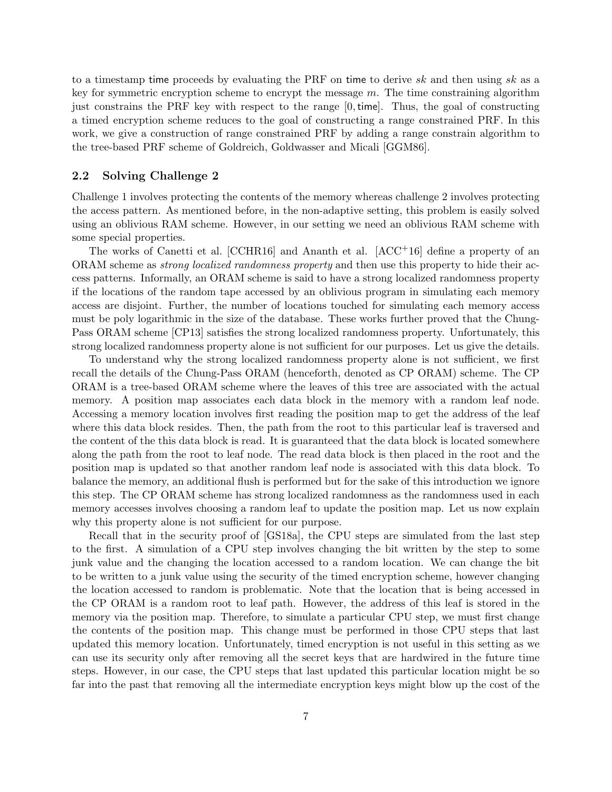to a timestamp time proceeds by evaluating the PRF on time to derive sk and then using sk as a key for symmetric encryption scheme to encrypt the message  $m$ . The time constraining algorithm just constrains the PRF key with respect to the range [0,time]. Thus, the goal of constructing a timed encryption scheme reduces to the goal of constructing a range constrained PRF. In this work, we give a construction of range constrained PRF by adding a range constrain algorithm to the tree-based PRF scheme of Goldreich, Goldwasser and Micali [GGM86].

### 2.2 Solving Challenge 2

Challenge 1 involves protecting the contents of the memory whereas challenge 2 involves protecting the access pattern. As mentioned before, in the non-adaptive setting, this problem is easily solved using an oblivious RAM scheme. However, in our setting we need an oblivious RAM scheme with some special properties.

The works of Canetti et al. [CCHR16] and Ananth et al. [ACC+16] define a property of an ORAM scheme as strong localized randomness property and then use this property to hide their access patterns. Informally, an ORAM scheme is said to have a strong localized randomness property if the locations of the random tape accessed by an oblivious program in simulating each memory access are disjoint. Further, the number of locations touched for simulating each memory access must be poly logarithmic in the size of the database. These works further proved that the Chung-Pass ORAM scheme [CP13] satisfies the strong localized randomness property. Unfortunately, this strong localized randomness property alone is not sufficient for our purposes. Let us give the details.

To understand why the strong localized randomness property alone is not sufficient, we first recall the details of the Chung-Pass ORAM (henceforth, denoted as CP ORAM) scheme. The CP ORAM is a tree-based ORAM scheme where the leaves of this tree are associated with the actual memory. A position map associates each data block in the memory with a random leaf node. Accessing a memory location involves first reading the position map to get the address of the leaf where this data block resides. Then, the path from the root to this particular leaf is traversed and the content of the this data block is read. It is guaranteed that the data block is located somewhere along the path from the root to leaf node. The read data block is then placed in the root and the position map is updated so that another random leaf node is associated with this data block. To balance the memory, an additional flush is performed but for the sake of this introduction we ignore this step. The CP ORAM scheme has strong localized randomness as the randomness used in each memory accesses involves choosing a random leaf to update the position map. Let us now explain why this property alone is not sufficient for our purpose.

Recall that in the security proof of [GS18a], the CPU steps are simulated from the last step to the first. A simulation of a CPU step involves changing the bit written by the step to some junk value and the changing the location accessed to a random location. We can change the bit to be written to a junk value using the security of the timed encryption scheme, however changing the location accessed to random is problematic. Note that the location that is being accessed in the CP ORAM is a random root to leaf path. However, the address of this leaf is stored in the memory via the position map. Therefore, to simulate a particular CPU step, we must first change the contents of the position map. This change must be performed in those CPU steps that last updated this memory location. Unfortunately, timed encryption is not useful in this setting as we can use its security only after removing all the secret keys that are hardwired in the future time steps. However, in our case, the CPU steps that last updated this particular location might be so far into the past that removing all the intermediate encryption keys might blow up the cost of the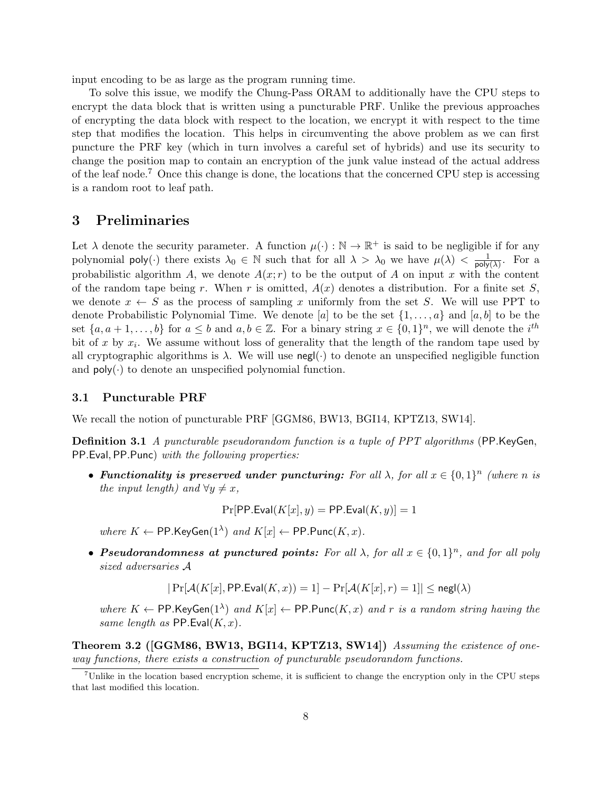input encoding to be as large as the program running time.

To solve this issue, we modify the Chung-Pass ORAM to additionally have the CPU steps to encrypt the data block that is written using a puncturable PRF. Unlike the previous approaches of encrypting the data block with respect to the location, we encrypt it with respect to the time step that modifies the location. This helps in circumventing the above problem as we can first puncture the PRF key (which in turn involves a careful set of hybrids) and use its security to change the position map to contain an encryption of the junk value instead of the actual address of the leaf node.<sup>7</sup> Once this change is done, the locations that the concerned CPU step is accessing is a random root to leaf path.

### 3 Preliminaries

Let  $\lambda$  denote the security parameter. A function  $\mu(\cdot): \mathbb{N} \to \mathbb{R}^+$  is said to be negligible if for any polynomial poly(.) there exists  $\lambda_0 \in \mathbb{N}$  such that for all  $\lambda > \lambda_0$  we have  $\mu(\lambda) < \frac{1}{\text{poly}}$  $\frac{1}{\text{poly}(\lambda)}$ . For a probabilistic algorithm A, we denote  $A(x; r)$  to be the output of A on input x with the content of the random tape being r. When r is omitted,  $A(x)$  denotes a distribution. For a finite set S, we denote  $x \leftarrow S$  as the process of sampling x uniformly from the set S. We will use PPT to denote Probabilistic Polynomial Time. We denote [a] to be the set  $\{1,\ldots,a\}$  and [a, b] to be the set  $\{a, a+1, \ldots, b\}$  for  $a \leq b$  and  $a, b \in \mathbb{Z}$ . For a binary string  $x \in \{0, 1\}^n$ , we will denote the  $i^{th}$ bit of x by  $x_i$ . We assume without loss of generality that the length of the random tape used by all cryptographic algorithms is  $\lambda$ . We will use negl( $\cdot$ ) to denote an unspecified negligible function and  $\mathsf{poly}(\cdot)$  to denote an unspecified polynomial function.

### 3.1 Puncturable PRF

We recall the notion of puncturable PRF [GGM86, BW13, BGI14, KPTZ13, SW14].

Definition 3.1 A puncturable pseudorandom function is a tuple of PPT algorithms (PP.KeyGen, PP.Eval, PP.Punc) with the following properties:

• Functionality is preserved under puncturing: For all  $\lambda$ , for all  $x \in \{0,1\}^n$  (where n is the input length) and  $\forall y \neq x$ ,

 $Pr[PP.Eval(K[x], y) = PP.Eval(K, y)] = 1$ 

where  $K \leftarrow \text{PP.KeyGen}(1^{\lambda})$  and  $K[x] \leftarrow \text{PP.Punc}(K, x)$ .

• Pseudorandomness at punctured points: For all  $\lambda$ , for all  $x \in \{0,1\}^n$ , and for all poly sized adversaries A

 $|\Pr[\mathcal{A}(K[x], \mathsf{PP}.\mathsf{Eval}(K, x)) = 1] - \Pr[\mathcal{A}(K[x], r) = 1]| \leq \mathsf{negl}(\lambda)$ 

where  $K \leftarrow \text{PP.KeyGen}(1^{\lambda})$  and  $K[x] \leftarrow \text{PP.Punc}(K, x)$  and r is a random string having the same length as  $PP.Eval(K, x)$ .

Theorem 3.2 ([GGM86, BW13, BGI14, KPTZ13, SW14]) Assuming the existence of oneway functions, there exists a construction of puncturable pseudorandom functions.

<sup>&</sup>lt;sup>7</sup>Unlike in the location based encryption scheme, it is sufficient to change the encryption only in the CPU steps that last modified this location.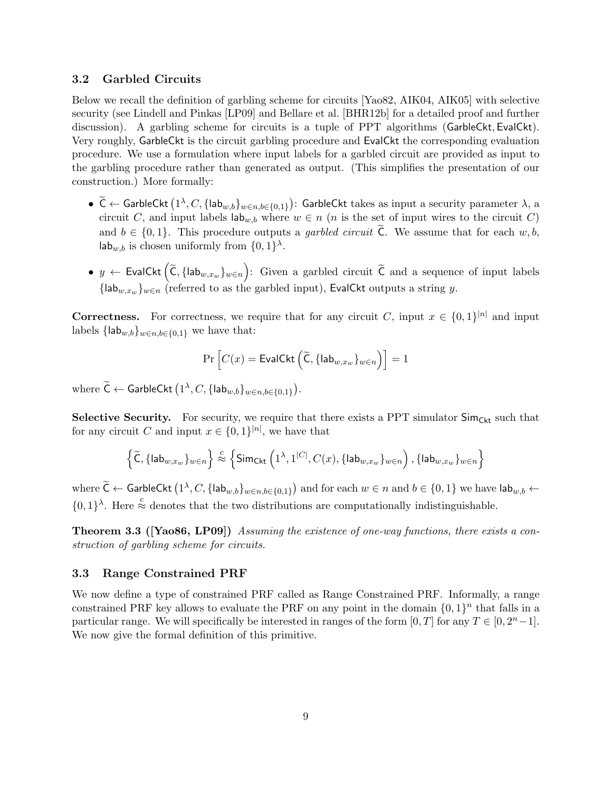### 3.2 Garbled Circuits

Below we recall the definition of garbling scheme for circuits [Yao82, AIK04, AIK05] with selective security (see Lindell and Pinkas [LP09] and Bellare et al. [BHR12b] for a detailed proof and further discussion). A garbling scheme for circuits is a tuple of PPT algorithms (GarbleCkt, EvalCkt). Very roughly, GarbleCkt is the circuit garbling procedure and EvalCkt the corresponding evaluation procedure. We use a formulation where input labels for a garbled circuit are provided as input to the garbling procedure rather than generated as output. (This simplifies the presentation of our construction.) More formally:

- $\widetilde{C}$  ← GarbleCkt  $(1^{\lambda}, C, \{\mathsf{lab}_{w,b}\}_{w \in n, b \in \{0,1\}})$ : GarbleCkt takes as input a security parameter  $\lambda$ , a circuit C, and input labels  $\mathsf{lab}_{w,b}$  where  $w \in n$  (*n* is the set of input wires to the circuit C) and  $b \in \{0,1\}$ . This procedure outputs a *garbled circuit*  $\widetilde{C}$ . We assume that for each w, b,  $\mathsf{lab}_{w,b}$  is chosen uniformly from  $\{0,1\}^{\lambda}$ .
- $y \leftarrow$  EvalCkt  $(\widetilde{\mathsf{C}}, \{\mathsf{lab}_{w,x_w}\}_{w \in n})$ : Given a garbled circuit  $\widetilde{\mathsf{C}}$  and a sequence of input labels  ${\{\mathsf{lab}_{w,x_w}\}}_{w\in n}$  (referred to as the garbled input), EvalCkt outputs a string y.

**Correctness.** For correctness, we require that for any circuit C, input  $x \in \{0,1\}^{|n|}$  and input labels  $\{\mathsf{lab}_{w,b}\}_{w\in n,b\in\{0,1\}}$  we have that:

$$
\Pr\Big[C(x) = \text{EvalCkt}\left(\widetilde{\mathsf{C}}, \{\textsf{lab}_{w, x_w}\}_{w \in n}\right)\Big] = 1
$$

where  $\widetilde{\mathsf{C}} \leftarrow \mathsf{GarbleCkt}\left(1^\lambda, C, \{\mathsf{lab}_{w,b}\}_{w \in n, b \in \{0,1\}}\right)$ .

Selective Security. For security, we require that there exists a PPT simulator  $Sim_{Ckt}$  such that for any circuit C and input  $x \in \{0,1\}^{|n|}$ , we have that

$$
\left\{\widetilde{\mathsf{C}}, \{\mathsf{lab}_{w,xw}\}_{w\in n}\right\} \stackrel{c}{\approx} \left\{\mathsf{Sim}_{\mathsf{Ckt}}\left(1^\lambda,1^{|C|},C(x), \{\mathsf{lab}_{w,xw}\}_{w\in n}\right), \{\mathsf{lab}_{w,xw}\}_{w\in n}\right\}
$$

where  $\widetilde{C} \leftarrow$  GarbleCkt  $(1^{\lambda}, C, \{\mathsf{lab}_{w,b}\}_{w \in n, b \in \{0,1\}})$  and for each  $w \in n$  and  $b \in \{0,1\}$  we have  $\mathsf{lab}_{w,b} \leftarrow$  $\{0,1\}^{\lambda}$ . Here  $\stackrel{c}{\approx}$  denotes that the two distributions are computationally indistinguishable.

**Theorem 3.3 ([Yao86, LP09])** Assuming the existence of one-way functions, there exists a construction of garbling scheme for circuits.

#### 3.3 Range Constrained PRF

We now define a type of constrained PRF called as Range Constrained PRF. Informally, a range constrained PRF key allows to evaluate the PRF on any point in the domain  $\{0, 1\}^n$  that falls in a particular range. We will specifically be interested in ranges of the form  $[0, T]$  for any  $T \in [0, 2<sup>n</sup> - 1]$ . We now give the formal definition of this primitive.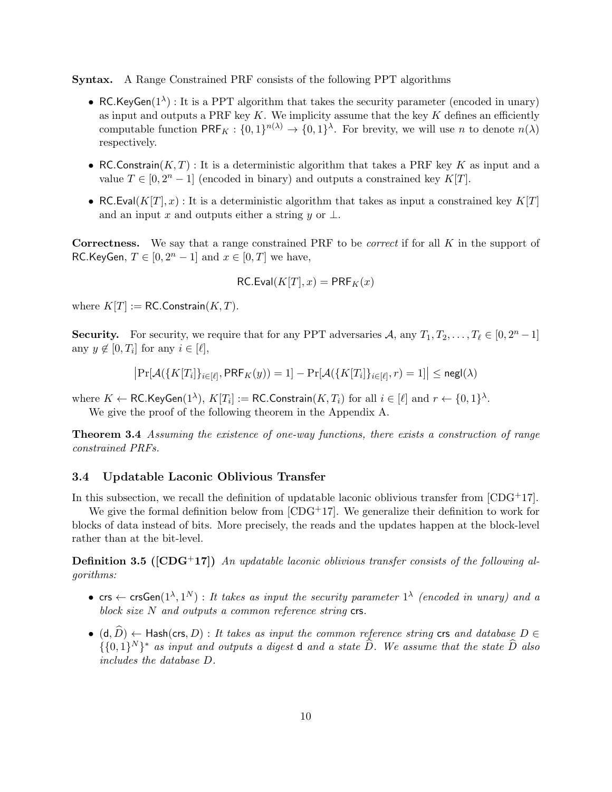Syntax. A Range Constrained PRF consists of the following PPT algorithms

- RC.KeyGen( $1^{\lambda}$ ) : It is a PPT algorithm that takes the security parameter (encoded in unary) as input and outputs a PRF key  $K$ . We implicity assume that the key  $K$  defines an efficiently computable function  $\mathsf{PRF}_K: \{0,1\}^{n(\lambda)} \to \{0,1\}^{\lambda}$ . For brevity, we will use n to denote  $n(\lambda)$ respectively.
- RC.Constrain( $K, T$ ): It is a deterministic algorithm that takes a PRF key K as input and a value  $T \in [0, 2<sup>n</sup> - 1]$  (encoded in binary) and outputs a constrained key  $K[T]$ .
- RC.Eval $(K[T], x)$ : It is a deterministic algorithm that takes as input a constrained key  $K[T]$ and an input x and outputs either a string y or  $\perp$ .

**Correctness.** We say that a range constrained PRF to be *correct* if for all  $K$  in the support of RC.KeyGen,  $T \in [0, 2^n - 1]$  and  $x \in [0, T]$  we have,

$$
\mathsf{RC}.\mathsf{Eval}(K[T],x) = \mathsf{PRF}_K(x)
$$

where  $K[T] := \mathsf{RC}.\mathsf{Constrain}(K,T).$ 

**Security.** For security, we require that for any PPT adversaries A, any  $T_1, T_2, \ldots, T_\ell \in [0, 2^n - 1]$ any  $y \notin [0, T_i]$  for any  $i \in [\ell],$ 

 $\left|\Pr[\mathcal{A}(\lbrace K[T_i]\rbrace_{i\in[\ell]},\mathsf{PRF}_K(y)) = 1] - \Pr[\mathcal{A}(\lbrace K[T_i]\rbrace_{i\in[\ell]},r) = 1]\right| \le \mathsf{negl}(\lambda)$ 

where  $K \leftarrow \mathsf{RC}.\mathsf{KeyGen}(1^{\lambda}), K[T_i] := \mathsf{RC}.\mathsf{Constrain}(K,T_i) \text{ for all } i \in [\ell] \text{ and } r \leftarrow \{0,1\}^{\lambda}.$ We give the proof of the following theorem in the Appendix A.

Theorem 3.4 Assuming the existence of one-way functions, there exists a construction of range constrained PRFs.

#### 3.4 Updatable Laconic Oblivious Transfer

In this subsection, we recall the definition of updatable laconic oblivious transfer from  $[CDG^+17]$ .

We give the formal definition below from  $[CDG<sup>+</sup>17]$ . We generalize their definition to work for blocks of data instead of bits. More precisely, the reads and the updates happen at the block-level rather than at the bit-level.

**Definition 3.5 ([CDG+17])** An updatable laconic oblivious transfer consists of the following algorithms:

- crs  $\leftarrow$  crsGen $(1^{\lambda}, 1^N)$ : It takes as input the security parameter  $1^{\lambda}$  (encoded in unary) and a block size N and outputs a common reference string crs.
- (d,  $\widehat{D}$ ) ← Hash(crs, D) : It takes as input the common reference string crs and database  $D \in$  $\{\{0,1\}^N\}^*$  as input and outputs a digest d and a state  $\widehat{D}$ . We assume that the state  $\widehat{D}$  also includes the database D.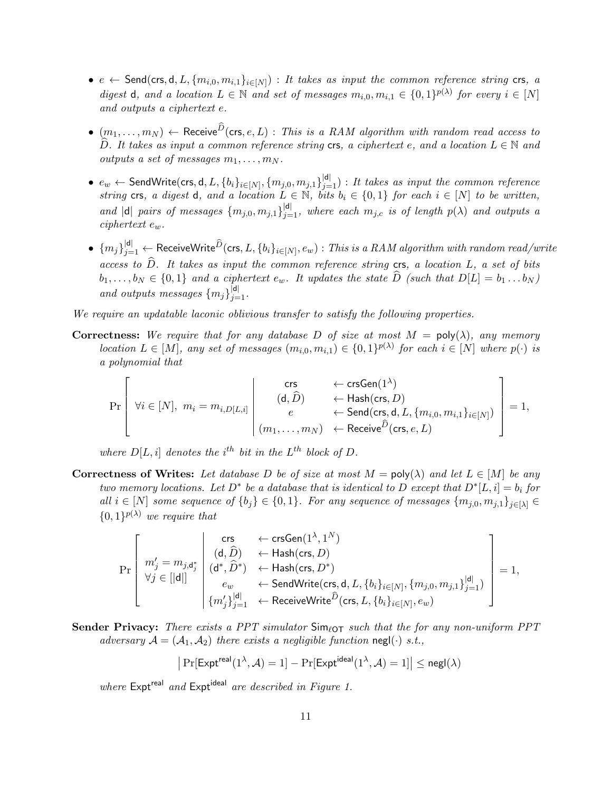- $e \leftarrow$  Send(crs, d, L,  $\{m_{i,0}, m_{i,1}\}_{i \in [N]}$ ) : It takes as input the common reference string crs, a digest d, and a location  $L \in \mathbb{N}$  and set of messages  $m_{i,0}, m_{i,1} \in \{0,1\}^{p(\lambda)}$  for every  $i \in [N]$ and outputs a ciphertext e.
- $(m_1, \ldots, m_N) \leftarrow$  Receive $^D(\mathsf{crs}, e, L)$  : This is a RAM algorithm with random read access to  $\widehat{D}$ . It takes as input a common reference string crs, a ciphertext e, and a location  $L \in \mathbb{N}$  and outputs a set of messages  $m_1, \ldots, m_N$ .
- $\bullet \ \ e_w \leftarrow \textsf{SendWrite}(\textsf{crs},\textsf{d},L,\{b_i\}_{i \in [N]}, \{m_{j,0},m_{j,1}\}_{j=1}^{|\textsf{d}|}) : \textit{It takes as input the common reference}$ string crs, a digest d, and a location  $L \in \mathbb{N}$ , bits  $b_i \in \{0,1\}$  for each  $i \in [N]$  to be written, and |d| pairs of messages  ${m_{j,0}, m_{j,1}}_{j=1}^{d}$ , where each  $m_{j,c}$  is of length  $p(\lambda)$  and outputs a ciphertext ew.
- $\bullet \ \{m_j\}_{j=1}^{|{\bf d}|} \leftarrow$  ReceiveWrite $\widehat{^D}(\mathsf{crs},L,\{b_i\}_{i\in[N]},e_w)$  : *This is a RAM algorithm with random read/write* access to  $\widehat{D}$ . It takes as input the common reference string crs, a location L, a set of bits  $b_1, \ldots, b_N \in \{0,1\}$  and a ciphertext  $e_w$ . It updates the state  $\widehat{D}$  (such that  $D[L] = b_1 \ldots b_N$ ) and outputs messages  $\{m_j\}_{j=1}^{|\mathsf{d}|}$ .

We require an updatable laconic oblivious transfer to satisfy the following properties.

**Correctness:** We require that for any database D of size at most  $M = \text{poly}(\lambda)$ , any memory location  $L \in [M]$ , any set of messages  $(m_{i,0}, m_{i,1}) \in \{0,1\}^{p(\lambda)}$  for each  $i \in [N]$  where  $p(\cdot)$  is a polynomial that

$$
\Pr\left[\begin{array}{ccc} \forall i\in [N],\; m_i=m_{i,D[L,i]} & \begin{matrix} \mathsf{crs} & \leftarrow \mathsf{crsGen}(1^\lambda) \\ (\mathsf{d},\widehat{D}) & \leftarrow \mathsf{Hash}(\mathsf{crs},D) \\ e & \leftarrow \mathsf{Send}(\mathsf{crs},\mathsf{d},L,\{m_{i,0},m_{i,1}\}_{i\in [N]}) \\ (m_1,\ldots,m_N) & \leftarrow \mathsf{Receive}^{\widehat{D}}(\mathsf{crs},e,L)\end{matrix}\right]\end{array}\right]=1,
$$

where  $D[L, i]$  denotes the i<sup>th</sup> bit in the  $L^{th}$  block of  $D$ .

Correctness of Writes: Let database D be of size at most  $M = poly(\lambda)$  and let  $L \in [M]$  be any two memory locations. Let  $D^*$  be a database that is identical to D except that  $D^*[L, i] = b_i$  for all  $i \in [N]$  some sequence of  $\{b_i\} \in \{0,1\}$ . For any sequence of messages  $\{m_{j,0}, m_{j,1}\}_{j \in [\lambda]} \in$  $\{0,1\}^{p(\lambda)}$  we require that

$$
\Pr\left[\begin{array}{c|c} \text{crs} & \leftarrow \text{crsGen}(1^{\lambda},1^N) \\ (d,\widehat{D}) & \leftarrow \text{Hash}(\text{crs},D) \\ \forall j \in [|{\bf d}|] \\ \end{array}\right|\begin{array}{c} \text{crs} & \leftarrow \text{crsGen}(1^{\lambda},1^N) \\ (d^*,\widehat{D}^*) & \leftarrow \text{Hash}(\text{crs},D) \\ (d^*,\widehat{D}^*) & \leftarrow \text{Hash}(\text{crs},D^*) \\ e_w & \leftarrow \text{SendWrite}(\text{crs},d,L,\{b_i\}_{i\in [N]},\{m_{j,0},m_{j,1}\}_{j=1}^{|{\bf d}|}) \\ \{m'_j\}_{j=1}^{|{\bf d}|} & \leftarrow \text{ReceiveWrite}^{\widehat{D}}(\text{crs},L,\{b_i\}_{i\in [N]},e_w) \end{array}\right]\right]=1,
$$

**Sender Privacy:** There exists a PPT simulator  $\text{Sim}_{\ell \circ \mathsf{OT}}$  such that the for any non-uniform PPT adversary  $A = (A_1, A_2)$  there exists a negligible function negl( $\cdot$ ) s.t.,

$$
\left|\Pr[\mathsf{Expt}^{\mathsf{real}}(1^{\lambda},\mathcal{A})=1]-\Pr[\mathsf{Expt}^{\mathsf{ideal}}(1^{\lambda},\mathcal{A})=1]\right|\leq \mathsf{negl}(\lambda)
$$

where Expt<sup>real</sup> and Expt<sup>ideal</sup> are described in Figure 1.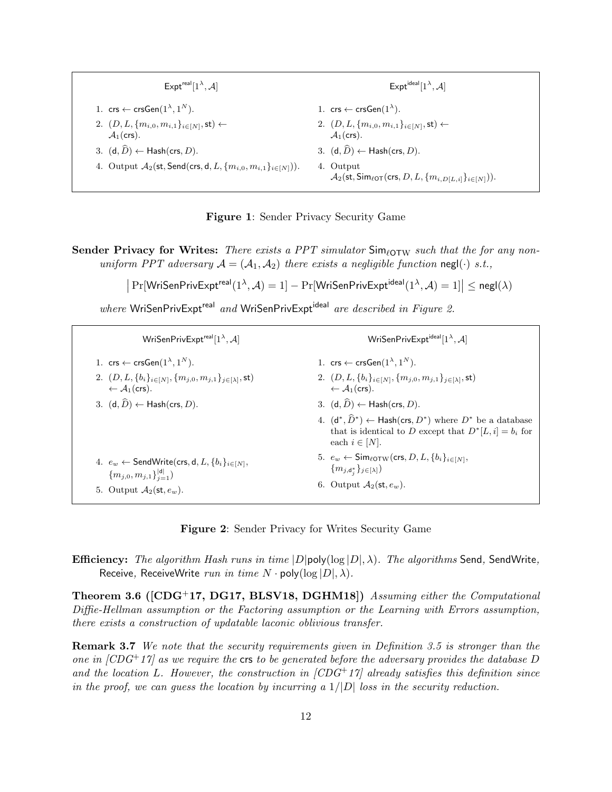| Expt <sup>real</sup> $[1^{\lambda}, \mathcal{A}]$                                               | Expt <sup>ideal</sup> $[1^{\lambda}, \mathcal{A}]$                                                                     |
|-------------------------------------------------------------------------------------------------|------------------------------------------------------------------------------------------------------------------------|
| 1. crs $\leftarrow$ crsGen $(1^{\lambda}, 1^N)$ .                                               | 1. crs $\leftarrow$ crsGen $(1^{\lambda})$ .                                                                           |
| 2. $(D, L, \{m_{i,0}, m_{i,1}\}_{i \in [N]}, \mathsf{st}) \leftarrow$<br>$\mathcal{A}_1$ (crs). | 2. $(D, L, \{m_{i,0}, m_{i,1}\}_{i \in [N]}, \mathsf{st}) \leftarrow$<br>$\mathcal{A}_1$ (crs).                        |
| 3. $(d, \widehat{D}) \leftarrow$ Hash(crs, D).                                                  | 3. $(d, \widehat{D}) \leftarrow$ Hash(crs, D).                                                                         |
| 4. Output $A_2(\text{st}, \text{Send}(\text{crs}, d, L, \{m_{i,0}, m_{i,1}\}_{i \in [N]})).$    | 4. Output<br>$\mathcal{A}_2(\mathsf{st},\mathsf{Sim}_{\ell\mathsf{OT}}(\mathsf{crs},D,L,\{m_{i,D[L,i]}\}_{i\in[N]})).$ |

Figure 1: Sender Privacy Security Game

**Sender Privacy for Writes:** There exists a PPT simulator  $\text{Sim}_{\ell\text{OTW}}$  such that the for any nonuniform PPT adversary  $A = (A_1, A_2)$  there exists a negligible function negl( $\cdot$ ) s.t.,

 $|\Pr[\mathsf{WriSenPrivExpt}^{\mathsf{real}}(1^{\lambda}, \mathcal{A}) = 1] - \Pr[\mathsf{WriSenPrivExpt}^{\mathsf{ideal}}(1^{\lambda}, \mathcal{A}) = 1]| \leq \mathsf{negl}(\lambda)$ 

where WriSenPrivExpt<sup>real</sup> and WriSenPrivExpt<sup>ideal</sup> are described in Figure 2.

| WriSenPrivExpt <sup>real</sup> $[1^{\lambda}, \mathcal{A}]$                                                                                | WriSenPrivExpt <sup>ideal</sup> $[1^{\lambda}, \mathcal{A}]$                                                                                                                                                         |
|--------------------------------------------------------------------------------------------------------------------------------------------|----------------------------------------------------------------------------------------------------------------------------------------------------------------------------------------------------------------------|
| 1. crs $\leftarrow$ crsGen $(1^{\lambda}, 1^N)$ .                                                                                          | 1. crs $\leftarrow$ crsGen $(1^{\lambda}, 1^N)$ .                                                                                                                                                                    |
| 2. $(D, L, \{b_i\}_{i \in [N]}, \{m_{j,0}, m_{j,1}\}_{i \in [\lambda]}, \mathsf{st})$<br>$\leftarrow$ $\mathcal{A}_1$ (crs).               | 2. $(D, L, \{b_i\}_{i \in [N]}, \{m_{j,0}, m_{j,1}\}_{i \in [\lambda]}, \mathsf{st})$<br>$\leftarrow$ A <sub>1</sub> (crs).                                                                                          |
| 3. $(d, \widehat{D}) \leftarrow$ Hash(crs, D).                                                                                             | 3. $(d, \widehat{D}) \leftarrow$ Hash(crs, D).<br>4. $(d^*, \widehat{D}^*) \leftarrow$ Hash(crs, $D^*$ ) where $D^*$ be a database<br>that is identical to D except that $D^*[L, i] = b_i$ for<br>each $i \in [N]$ . |
| 4. $e_w \leftarrow$ SendWrite(crs, d, L, $\{b_i\}_{i \in [N]},$<br>${m_{j,0}, m_{j,1}}^{ d }_{i=1}$<br>5. Output $A_2(\mathsf{st}, e_w)$ . | 5. $e_w \leftarrow \textsf{Sim}_{\ell \textup{OTW}}(\textsf{crs}, D, L, \{b_i\}_{i \in [N]},$<br>${m_{j,\mathsf{d}^\ast_i}}_{j\in[\lambda]})$<br>6. Output $A_2(\mathsf{st}, e_w)$ .                                 |

Figure 2: Sender Privacy for Writes Security Game

**Efficiency:** The algorithm Hash runs in time  $|D|$ poly(log  $|D|$ ,  $\lambda$ ). The algorithms Send, SendWrite, Receive, ReceiveWrite run in time  $N \cdot \text{poly}(\log |D|, \lambda)$ .

**Theorem 3.6 ([CDG+17, DG17, BLSV18, DGHM18])** Assuming either the Computational Diffie-Hellman assumption or the Factoring assumption or the Learning with Errors assumption, there exists a construction of updatable laconic oblivious transfer.

**Remark 3.7** We note that the security requirements given in Definition 3.5 is stronger than the one in  $[CDG^+17]$  as we require the crs to be generated before the adversary provides the database D and the location L. However, the construction in  $\langle CDG^+17 \rangle$  already satisfies this definition since in the proof, we can guess the location by incurring a  $1/|D|$  loss in the security reduction.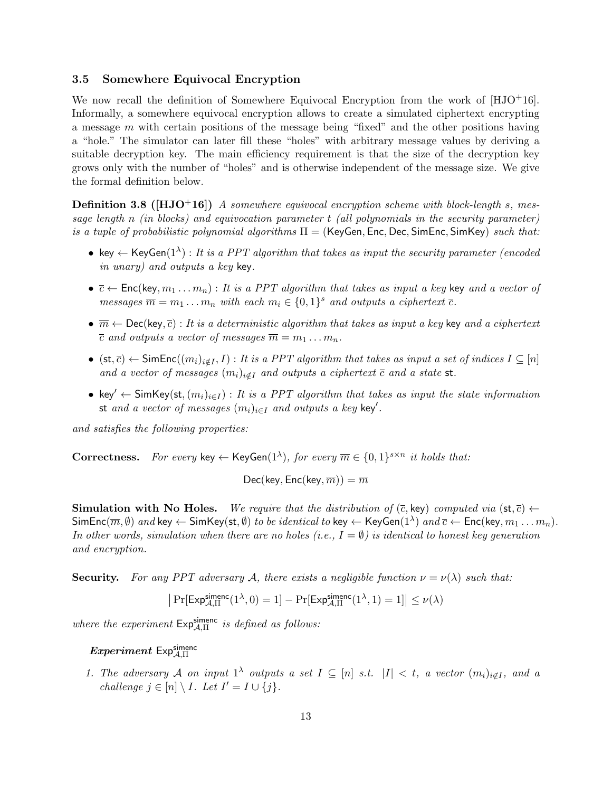### 3.5 Somewhere Equivocal Encryption

We now recall the definition of Somewhere Equivocal Encryption from the work of [HJO+16]. Informally, a somewhere equivocal encryption allows to create a simulated ciphertext encrypting a message  $m$  with certain positions of the message being "fixed" and the other positions having a "hole." The simulator can later fill these "holes" with arbitrary message values by deriving a suitable decryption key. The main efficiency requirement is that the size of the decryption key grows only with the number of "holes" and is otherwise independent of the message size. We give the formal definition below.

**Definition 3.8 (HJO+16)** A somewhere equivocal encryption scheme with block-length s, message length n (in blocks) and equivocation parameter t (all polynomials in the security parameter) is a tuple of probabilistic polynomial algorithms  $\Pi =$  (KeyGen, Enc, Dec, SimEnc, SimKey) such that:

- key  $\leftarrow$  KeyGen(1<sup> $\lambda$ </sup>) : It is a PPT algorithm that takes as input the security parameter (encoded in unary) and outputs a key key.
- $\bar{c} \leftarrow \text{Enc}(\text{key}, m_1 \dots m_n)$ : It is a PPT algorithm that takes as input a key key and a vector of *messages*  $\overline{m} = m_1 \dots m_n$  with each  $m_i \in \{0, 1\}^s$  and outputs a ciphertext  $\overline{c}$ .
- $\overline{m} \leftarrow$  Dec(key,  $\overline{c}$ ) : It is a deterministic algorithm that takes as input a key key and a ciphertext  $\overline{c}$  and outputs a vector of messages  $\overline{m} = m_1 \dots m_n$ .
- $\bullet \;\;({\rm st},\overline{c})\leftarrow {\sf SimEnc}((m_i)_{i\notin I},I)$  : It is a PPT algorithm that takes as input a set of indices  $I\subseteq [n]$ and a vector of messages  $(m_i)_{i \notin I}$  and outputs a ciphertext  $\bar{c}$  and a state st.
- key'  $\leftarrow$  SimKey(st, $(m_i)_{i\in I}$ ) : It is a PPT algorithm that takes as input the state information st and a vector of messages  $(m_i)_{i \in I}$  and outputs a key key'.

and satisfies the following properties:

**Correctness.** For every key  $\leftarrow$  KeyGen $(1^{\lambda})$ , for every  $\overline{m} \in \{0,1\}^{s \times n}$  it holds that:

 $Dec(key, Enc(key, \overline{m})) = \overline{m}$ 

**Simulation with No Holes.** We require that the distribution of  $(\bar{c}, \text{key})$  computed via  $(\text{st}, \bar{c}) \leftarrow$  $\mathsf{SimEnc}(\overline{m},\emptyset)$  and key  $\leftarrow \mathsf{SimKey}(\mathsf{st},\emptyset)$  to be identical to key  $\leftarrow \mathsf{KeyGen}(1^\lambda)$  and  $\overline{c} \leftarrow \mathsf{Enc}(\mathsf{key},m_1\ldots m_n).$ In other words, simulation when there are no holes (i.e.,  $I = \emptyset$ ) is identical to honest key generation and encryption.

**Security.** For any PPT adversary A, there exists a negligible function  $\nu = \nu(\lambda)$  such that:

$$
\big|\Pr[\mathsf{Exp}^{\mathsf{simenc}}_{\mathcal{A},\Pi}(1^\lambda,0)=1]-\Pr[\mathsf{Exp}^{\mathsf{simenc}}_{\mathcal{A},\Pi}(1^\lambda,1)=1]\big|\leq \nu(\lambda)
$$

where the experiment  $Exp_{\mathcal{A},\Pi}^{\text{simenc}}$  is defined as follows:

# $Experiment$   $\mathsf{Exp}^\mathsf{simenc}_{\mathcal{A},\Pi}$

1. The adversary A on input  $1^{\lambda}$  outputs a set  $I \subseteq [n]$  s.t.  $|I| < t$ , a vector  $(m_i)_{i \notin I}$ , and a challenge  $j \in [n] \setminus I$ . Let  $I' = I \cup \{j\}$ .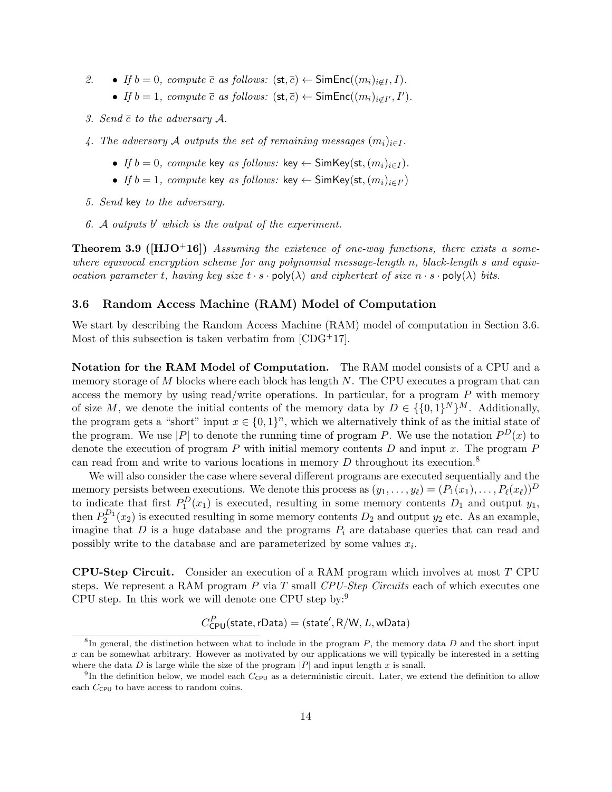- 2. If  $b = 0$ , compute  $\overline{c}$  as follows:  $(st, \overline{c}) \leftarrow$  SimEnc $((m_i)_{i \notin I}, I)$ .
	- If  $b = 1$ , compute  $\overline{c}$  as follows:  $(\mathsf{st}, \overline{c}) \leftarrow \mathsf{SimEnc}((m_i)_{i \notin I'}, I').$
- 3. Send  $\bar{c}$  to the adversary  $\mathcal{A}$ .
- 4. The adversary A outputs the set of remaining messages  $(m_i)_{i\in I}$ .
	- If  $b = 0$ , compute key as follows: key  $\leftarrow$  SimKey(st,  $(m_i)_{i \in I}$ ).
	- If  $b = 1$ , compute key as follows: key  $\leftarrow$  SimKey(st,  $(m_i)_{i \in I'}$ )
- 5. Send key to the adversary.
- 6. A outputs  $b'$  which is the output of the experiment.

**Theorem 3.9 ([HJO+16])** Assuming the existence of one-way functions, there exists a somewhere equivocal encryption scheme for any polynomial message-length n, black-length s and equivocation parameter t, having key size  $t \cdot s \cdot \text{poly}(\lambda)$  and ciphertext of size  $n \cdot s \cdot \text{poly}(\lambda)$  bits.

### 3.6 Random Access Machine (RAM) Model of Computation

We start by describing the Random Access Machine (RAM) model of computation in Section 3.6. Most of this subsection is taken verbatim from [CDG+17].

Notation for the RAM Model of Computation. The RAM model consists of a CPU and a memory storage of  $M$  blocks where each block has length  $N$ . The CPU executes a program that can access the memory by using read/write operations. In particular, for a program  $P$  with memory of size M, we denote the initial contents of the memory data by  $D \in \{\{0,1\}^N\}^M$ . Additionally, the program gets a "short" input  $x \in \{0,1\}^n$ , which we alternatively think of as the initial state of the program. We use |P| to denote the running time of program P. We use the notation  $P<sup>D</sup>(x)$  to denote the execution of program  $P$  with initial memory contents  $D$  and input  $x$ . The program  $P$ can read from and write to various locations in memory  $D$  throughout its execution.<sup>8</sup>

We will also consider the case where several different programs are executed sequentially and the memory persists between executions. We denote this process as  $(y_1, \ldots, y_\ell) = (P_1(x_1), \ldots, P_\ell(x_\ell))^D$ to indicate that first  $P_1^D(x_1)$  is executed, resulting in some memory contents  $D_1$  and output  $y_1$ , then  $P_2^{D_1}(x_2)$  is executed resulting in some memory contents  $D_2$  and output  $y_2$  etc. As an example, imagine that  $D$  is a huge database and the programs  $P_i$  are database queries that can read and possibly write to the database and are parameterized by some values  $x_i$ .

CPU-Step Circuit. Consider an execution of a RAM program which involves at most T CPU steps. We represent a RAM program  $P$  via  $T$  small  $CPU-Step$  Circuits each of which executes one CPU step. In this work we will denote one CPU step by:<sup>9</sup>

$$
C^P_{\mathsf{CPU}}(\mathsf{state},\mathsf{rData}) = (\mathsf{state}',\mathsf{R}/\mathsf{W},L,\mathsf{wData})
$$

 ${}^8$ In general, the distinction between what to include in the program  $P$ , the memory data  $D$  and the short input  $x$  can be somewhat arbitrary. However as motivated by our applications we will typically be interested in a setting where the data  $D$  is large while the size of the program  $|P|$  and input length  $x$  is small.

<sup>&</sup>lt;sup>9</sup>In the definition below, we model each  $C_{\text{CPU}}$  as a deterministic circuit. Later, we extend the definition to allow each $C_{\textsf{CPU}}$  to have access to random coins.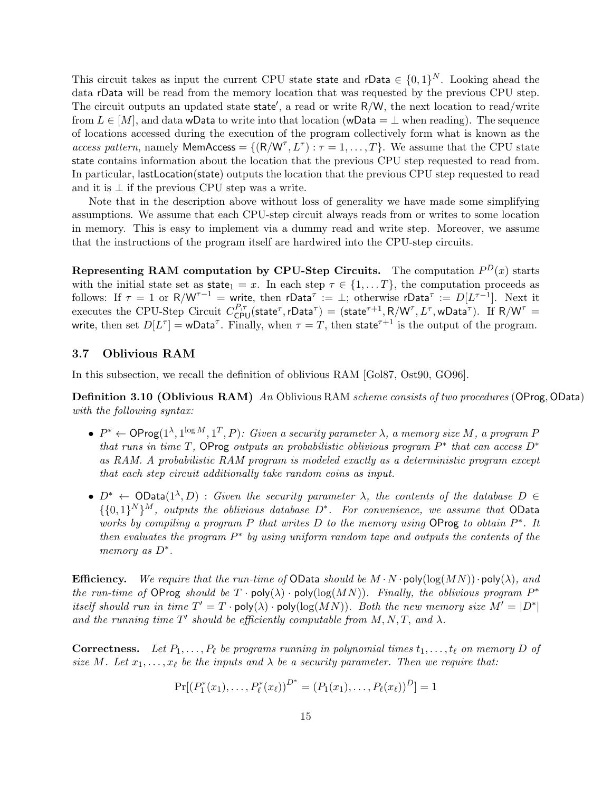This circuit takes as input the current CPU state state and rData  $\in \{0,1\}^N$ . Looking ahead the data rData will be read from the memory location that was requested by the previous CPU step. The circuit outputs an updated state state', a read or write  $R/W$ , the next location to read/write from  $L \in [M]$ , and data wData to write into that location (wData =  $\perp$  when reading). The sequence of locations accessed during the execution of the program collectively form what is known as the access pattern, namely MemAccess = { $(R/W^{\tau}, L^{\tau})$  :  $\tau = 1, ..., T$ }. We assume that the CPU state state contains information about the location that the previous CPU step requested to read from. In particular, lastLocation(state) outputs the location that the previous CPU step requested to read and it is  $\perp$  if the previous CPU step was a write.

Note that in the description above without loss of generality we have made some simplifying assumptions. We assume that each CPU-step circuit always reads from or writes to some location in memory. This is easy to implement via a dummy read and write step. Moreover, we assume that the instructions of the program itself are hardwired into the CPU-step circuits.

Representing RAM computation by CPU-Step Circuits. The computation  $P^{D}(x)$  starts with the initial state set as state<sub>1</sub> = x. In each step  $\tau \in \{1, \ldots T\}$ , the computation proceeds as follows: If  $\tau = 1$  or  $R/W^{\tau-1} =$  write, then rData<sup> $\tau := \bot$ </sup>; otherwise rData $\tau := D[L^{\tau-1}]$ . Next it executes the CPU-Step Circuit  $C_{\text{CPU}}^{P,\tau}(\text{state}^{\tau},\text{rData}^{\tau}) = (\text{state}^{\tau+1}, R/W^{\tau}, L^{\tau}, wData^{\tau}).$  If  $R/W^{\tau} =$ write, then set  $D[L^{\tau}] =$  wData<sup> $\tau$ </sup>. Finally, when  $\tau = T$ , then state<sup> $\tau+1$ </sup> is the output of the program.

### 3.7 Oblivious RAM

In this subsection, we recall the definition of oblivious RAM [Gol87, Ost90, GO96].

Definition 3.10 (Oblivious RAM) An Oblivious RAM scheme consists of two procedures (OProg, OData) with the following syntax:

- $P^* \leftarrow \textsf{OProg}(1^{\lambda}, 1^{\log M}, 1^T, P)$ : Given a security parameter  $\lambda$ , a memory size M, a program P that runs in time T, OProg outputs an probabilistic oblivious program  $P^*$  that can access  $D^*$ as RAM. A probabilistic RAM program is modeled exactly as a deterministic program except that each step circuit additionally take random coins as input.
- $D^* \leftarrow \text{OData}(1^{\lambda}, D)$  : Given the security parameter  $\lambda$ , the contents of the database  $D \in$  $\{\{0,1\}^N\}^M$ , outputs the oblivious database D<sup>\*</sup>. For convenience, we assume that OData works by compiling a program P that writes  $D$  to the memory using OProg to obtain  $P^*$ . It then evaluates the program  $P^*$  by using uniform random tape and outputs the contents of the memory as  $D^*$ .

**Efficiency.** We require that the run-time of OData should be  $M \cdot N \cdot \text{poly}(\log(MN)) \cdot \text{poly}(\lambda)$ , and the run-time of OProg should be  $T \cdot \text{poly}(\lambda) \cdot \text{poly}(\log(MN))$ . Finally, the oblivious program  $P^*$ itself should run in time  $T' = T \cdot \text{poly}(\lambda) \cdot \text{poly}(\log(MN))$ . Both the new memory size  $M' = |D^*|$ and the running time  $T'$  should be efficiently computable from  $M, N, T$ , and  $\lambda$ .

**Correctness.** Let  $P_1, \ldots, P_\ell$  be programs running in polynomial times  $t_1, \ldots, t_\ell$  on memory D of size M. Let  $x_1, \ldots, x_\ell$  be the inputs and  $\lambda$  be a security parameter. Then we require that:

$$
Pr[(P_1^*(x_1),...,P_\ell^*(x_\ell))^{D^*}=(P_1(x_1),...,P_\ell(x_\ell))^D]=1
$$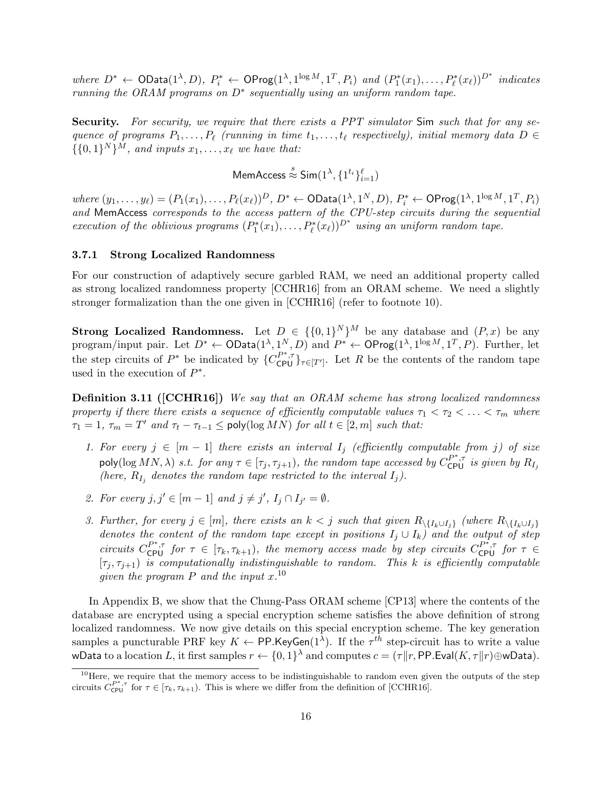where  $D^* \leftarrow \text{OData}(1^{\lambda}, D)$ ,  $P_i^* \leftarrow \text{OProg}(1^{\lambda}, 1^{\log M}, 1^T, P_i)$  and  $(P_1^*(x_1), \ldots, P_\ell^*(x_\ell))^{D^*}$  indicates running the ORAM programs on  $D^*$  sequentially using an uniform random tape.

Security. For security, we require that there exists a PPT simulator Sim such that for any sequence of programs  $P_1, \ldots, P_\ell$  (running in time  $t_1, \ldots, t_\ell$  respectively), initial memory data  $D \in$  $\{\{0,1\}^N\}^M$ , and inputs  $x_1, \ldots, x_\ell$  we have that:

$$
\mathsf{MemAccess} \stackrel{s}{\approx} \mathsf{Sim}(1^\lambda,\{1^{t_i}\}_{i=1}^\ell)
$$

 $where (y_1, \ldots, y_\ell) = (P_1(x_1), \ldots, P_\ell(x_\ell))^D, D^* \leftarrow \textsf{OData}(1^\lambda, 1^N, D), P^*_i \leftarrow \textsf{OProg}(1^\lambda, 1^{\log M}, 1^T, P_i)$ and MemAccess corresponds to the access pattern of the CPU-step circuits during the sequential execution of the oblivious programs  $(P_1^*(x_1),...,P_\ell^*(x_\ell))^{D^*}$  using an uniform random tape.

#### 3.7.1 Strong Localized Randomness

For our construction of adaptively secure garbled RAM, we need an additional property called as strong localized randomness property [CCHR16] from an ORAM scheme. We need a slightly stronger formalization than the one given in [CCHR16] (refer to footnote 10).

**Strong Localized Randomness.** Let  $D \in \{\{0,1\}^N\}^M$  be any database and  $(P, x)$  be any program/input pair. Let  $D^* \leftarrow \textsf{OData}(1^{\lambda}, 1^N, D)$  and  $P^* \leftarrow \textsf{OProg}(1^{\lambda}, 1^{\log M}, 1^T, P)$ . Further, let the step circuits of  $P^*$  be indicated by  $\{C_{\text{CPU}}^{P^*,\tau}\}_{\tau \in [T']}$ . Let R be the contents of the random tape used in the execution of  $P^*$ .

**Definition 3.11 ([CCHR16])** We say that an ORAM scheme has strong localized randomness property if there there exists a sequence of efficiently computable values  $\tau_1 < \tau_2 < \ldots < \tau_m$  where  $\tau_1 = 1$ ,  $\tau_m = T'$  and  $\tau_t - \tau_{t-1} \leq \text{poly}(\log MN)$  for all  $t \in [2, m]$  such that:

- 1. For every  $j \in [m-1]$  there exists an interval  $I_j$  (efficiently computable from j) of size poly(log  $MN$ ,  $\lambda$ ) s.t. for any  $\tau \in [\tau_j, \tau_{j+1})$ , the random tape accessed by  $C_{\text{CPU}}^{P^*, \tau}$  is given by  $R_{I_j}$ (here,  $R_{I_j}$  denotes the random tape restricted to the interval  $I_j$ ).
- 2. For every  $j, j' \in [m-1]$  and  $j \neq j', I_j \cap I_{j'} = \emptyset$ .
- 3. Further, for every  $j \in [m]$ , there exists an  $k < j$  such that given  $R_{\{I_k \cup I_j\}}$  (where  $R_{\{I_k \cup I_j\}}$ ) denotes the content of the random tape except in positions  $I_j \cup I_k$ ) and the output of step circuits  $C_{\text{CPU}}^{P^*,\tau}$  for  $\tau \in [\tau_k, \tau_{k+1})$ , the memory access made by step circuits  $C_{\text{CPU}}^{P^*,\tau}$  for  $\tau \in$  $[\tau_j, \tau_{j+1}]$  is computationally indistinguishable to random. This k is efficiently computable given the program P and the input  $x^{10}$

In Appendix B, we show that the Chung-Pass ORAM scheme [CP13] where the contents of the database are encrypted using a special encryption scheme satisfies the above definition of strong localized randomness. We now give details on this special encryption scheme. The key generation samples a puncturable PRF key  $K \leftarrow \text{PP.KeyGen}(1^{\lambda})$ . If the  $\tau^{th}$  step-circuit has to write a value wData to a location L, it first samples  $r \leftarrow \{0,1\}^{\lambda}$  and computes  $c = (\tau || r, \text{PP}.\text{Eval}(K, \tau || r) \oplus \text{wData}).$ 

<sup>&</sup>lt;sup>10</sup>Here, we require that the memory access to be indistinguishable to random even given the outputs of the step circuits  $C_{\text{CPU}}^{P^*, \tau}$  for  $\tau \in [\tau_k, \tau_{k+1})$ . This is where we differ from the definition of [CCHR16].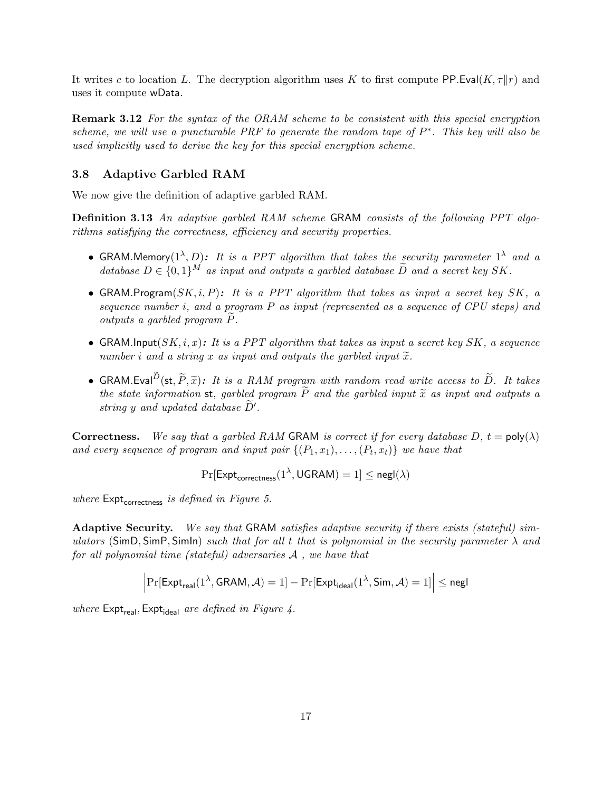It writes c to location L. The decryption algorithm uses K to first compute PP.Eval(K,  $\tau \| r$ ) and uses it compute wData.

**Remark 3.12** For the syntax of the ORAM scheme to be consistent with this special encryption scheme, we will use a puncturable PRF to generate the random tape of  $P^*$ . This key will also be used implicitly used to derive the key for this special encryption scheme.

#### 3.8 Adaptive Garbled RAM

We now give the definition of adaptive garbled RAM.

Definition 3.13 An adaptive garbled RAM scheme GRAM consists of the following PPT algorithms satisfying the correctness, efficiency and security properties.

- GRAM.Memory( $1^{\lambda}, D$ ): It is a PPT algorithm that takes the security parameter  $1^{\lambda}$  and a database  $D \in \{0,1\}^M$  as input and outputs a garbled database  $\widetilde{D}$  and a secret key SK.
- GRAM. Program $(SK, i, P)$ : It is a PPT algorithm that takes as input a secret key  $SK$ , a sequence number i, and a program P as input (represented as a sequence of CPU steps) and  $outputs\ a\ garbled\ program\ P.$
- GRAM.lnput( $SK, i, x$ ): It is a PPT algorithm that takes as input a secret key SK, a sequence number i and a string x as input and outputs the garbled input  $\widetilde{x}$ .
- GRAM.Eval<sup>D</sup>(st,  $\widetilde{P}, \widetilde{x}$ ): It is a RAM program with random read write access to  $\widetilde{D}$ . It takes<br>the state information at earthed program  $\widetilde{P}$  and the earthed input  $\widetilde{x}$  as input and extruits a the state information st, garbled program  $\widetilde{P}$  and the garbled input  $\widetilde{x}$  as input and outputs a string y and updated database  $\widetilde{D}'$ .

**Correctness.** We say that a garbled RAM GRAM is correct if for every database  $D$ ,  $t = poly(\lambda)$ and every sequence of program and input pair  $\{(P_1, x_1), \ldots, (P_t, x_t)\}\;$  we have that

$$
\Pr[\mathsf{Expt}_{\mathsf{correctness}}(1^\lambda,\mathsf{UGRAM})=1]\leq \mathsf{negl}(\lambda)
$$

where  ${\sf Expt}_{\sf correctness}$  is defined in Figure 5.

Adaptive Security. We say that GRAM satisfies adaptive security if there exists (stateful) simulators (SimD, SimP, SimIn) such that for all t that is polynomial in the security parameter  $\lambda$  and for all polynomial time (stateful) adversaries  $A$ , we have that

$$
\Big\vert \Pr[\mathsf{Expt}_{\mathsf{real}}(1^{\lambda},\mathsf{GRAM},\mathcal{A})=1]-\Pr[\mathsf{Expt}_{\mathsf{ideal}}(1^{\lambda},\mathsf{Sim},\mathcal{A})=1]\Big\vert \leq \mathsf{negl}
$$

where  ${\sf Expt}_{\sf real}, {\sf Expt}_{\sf ideal}$  are defined in Figure 4.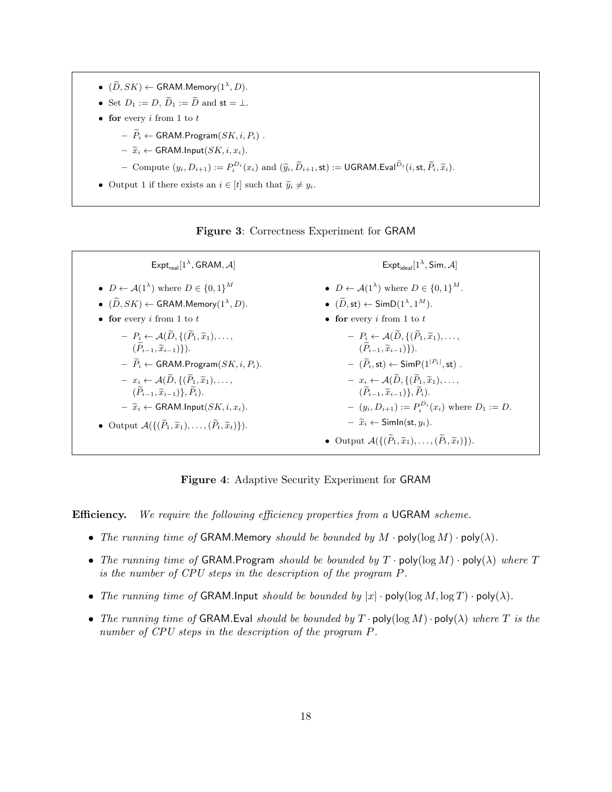- $(\widetilde{D}, SK) \leftarrow \mathsf{GRAM}.\mathsf{Memory}(1^\lambda, D).$
- Set  $D_1 := D$ ,  $\widetilde{D}_1 := \widetilde{D}$  and  $st = \perp$ .
- for every *i* from 1 to  $t$ 
	- $\widetilde{P}_i \leftarrow \textsf{GRAM.Program}(SK, i, P_i)$ .
	- $\widetilde{x}_i \leftarrow \textsf{GRAM}.\textsf{Input}(SK, i, x_i).$
	- Compute  $(y_i, D_{i+1}) := P_i^{D_i}(x_i)$  and  $(\widetilde{y}_i, \widetilde{D}_{i+1}, \text{st}) := \text{UGRAM.Eval}^{\widetilde{D}_i}(i, \text{st}, \widetilde{P}_i, \widetilde{x}_i)$ .
- Output 1 if there exists an  $i \in [t]$  such that  $\widetilde{y}_i \neq y_i$ .





Figure 4: Adaptive Security Experiment for GRAM

**Efficiency.** We require the following efficiency properties from a UGRAM scheme.

- The running time of GRAM.Memory should be bounded by  $M \cdot \text{poly}(\log M) \cdot \text{poly}(\lambda)$ .
- The running time of GRAM.Program should be bounded by  $T \cdot \text{poly}(\log M) \cdot \text{poly}(\lambda)$  where T is the number of CPU steps in the description of the program P.
- The running time of GRAM.Input should be bounded by  $|x| \cdot \text{poly}(\log M, \log T) \cdot \text{poly}(\lambda)$ .
- The running time of GRAM. Eval should be bounded by  $T \cdot \text{poly}(\log M) \cdot \text{poly}(\lambda)$  where T is the number of CPU steps in the description of the program P.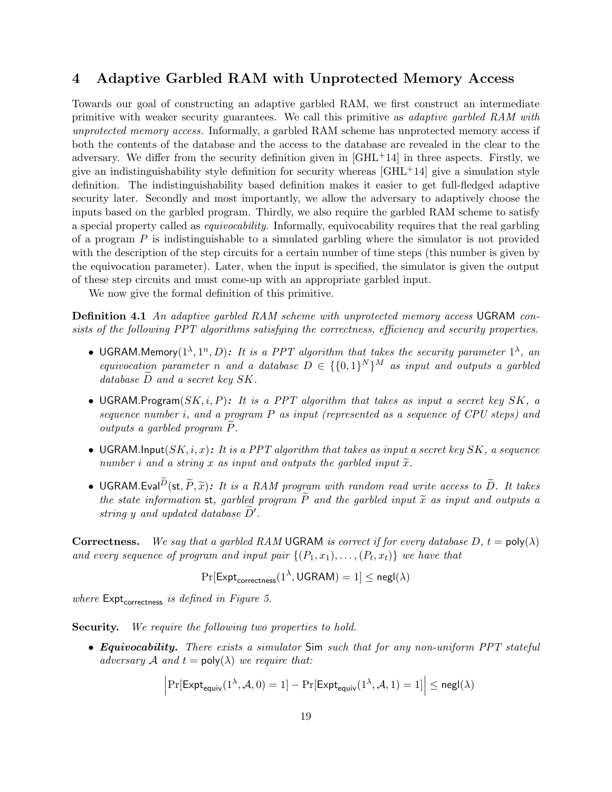# 4 Adaptive Garbled RAM with Unprotected Memory Access

Towards our goal of constructing an adaptive garbled RAM, we first construct an intermediate primitive with weaker security guarantees. We call this primitive as *adaptive garbled RAM with* unprotected memory access. Informally, a garbled RAM scheme has unprotected memory access if both the contents of the database and the access to the database are revealed in the clear to the adversary. We differ from the security definition given in  $\left[ \text{GHL}^{+}14 \right]$  in three aspects. Firstly, we give an indistinguishability style definition for security whereas  $\left[\text{GHL}^{+}14\right]$  give a simulation style definition. The indistinguishability based definition makes it easier to get full-fledged adaptive security later. Secondly and most importantly, we allow the adversary to adaptively choose the inputs based on the garbled program. Thirdly, we also require the garbled RAM scheme to satisfy a special property called as equivocability. Informally, equivocability requires that the real garbling of a program  $P$  is indistinguishable to a simulated garbling where the simulator is not provided with the description of the step circuits for a certain number of time steps (this number is given by the equivocation parameter). Later, when the input is specified, the simulator is given the output of these step circuits and must come-up with an appropriate garbled input.

We now give the formal definition of this primitive.

Definition 4.1 An adaptive garbled RAM scheme with unprotected memory access UGRAM consists of the following PPT algorithms satisfying the correctness, efficiency and security properties.

- UGRAM.Memory $(1^{\lambda}, 1^n, D)$ : It is a PPT algorithm that takes the security parameter  $1^{\lambda}$ , an equivocation parameter n and a database  $D \in \{\{0,1\}^N\}^M$  as input and outputs a garbled database  $\widetilde{D}$  and a secret key SK.
- UGRAM.Program $(SK, i, P)$ : It is a PPT algorithm that takes as input a secret key SK, a sequence number i, and a program P as input (represented as a sequence of CPU steps) and  $outputs\ a\ garbled\ program\ P.$
- UGRAM.Input $(SK, i, x)$ : It is a PPT algorithm that takes as input a secret key SK, a sequence number i and a string x as input and outputs the garbled input  $\tilde{x}$ .
- UGRAM.Eval<sup>D</sup>(st,  $\widetilde{P}, \widetilde{x}$ ): It is a RAM program with random read write access to  $\widetilde{D}$ . It takes the state information st, garbled program  $\widetilde{P}$  and the garbled input  $\widetilde{x}$  as input and outputs a string y and updated database  $\widetilde{D}'$ .

**Correctness.** We say that a garbled RAM UGRAM is correct if for every database  $D$ ,  $t = poly(\lambda)$ and every sequence of program and input pair  $\{(P_1, x_1), \ldots, (P_t, x_t)\}\;$  we have that

$$
\Pr[\mathsf{Expt}_{\mathsf{correctness}}(1^\lambda, \mathsf{UGRAM}) = 1] \leq \mathsf{negl}(\lambda)
$$

where  ${\sf Expt}_{\sf correctness}$  is defined in Figure 5.

Security. We require the following two properties to hold.

• Equivocability. There exists a simulator Sim such that for any non-uniform PPT stateful adversary A and  $t = \text{poly}(\lambda)$  we require that:

$$
\Big\vert \Pr[\mathsf{Expt}_{\mathsf{equiv}}(1^{\lambda},\mathcal{A},0)=1]-\Pr[\mathsf{Expt}_{\mathsf{equiv}}(1^{\lambda},\mathcal{A},1)=1]\Big\vert\leq \mathsf{negl}(\lambda)
$$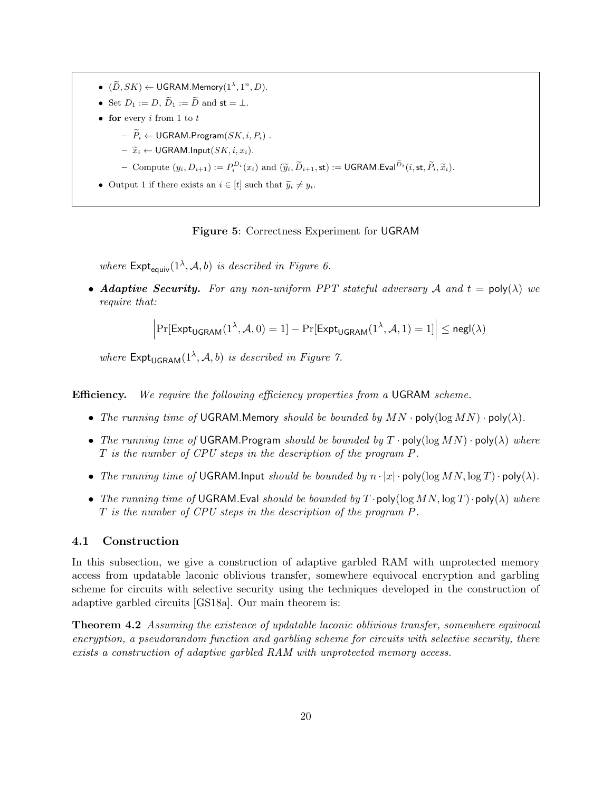- $(\widetilde{D}, SK) \leftarrow \mathsf{UGRAM.Memory}(1^{\lambda}, 1^n, D).$
- Set  $D_1 := D$ ,  $\widetilde{D}_1 := \widetilde{D}$  and st =  $\perp$ .
- for every *i* from 1 to  $t$ 
	- $\widetilde{P}_i \leftarrow \mathsf{UGRAM}.\mathsf{Program}(SK, i, P_i)$ .
	- $\widetilde{x}_i \leftarrow \mathsf{UGRAM}.\mathsf{Input}(SK, i, x_i).$

- Compute  $(y_i, D_{i+1}) := P_i^{D_i}(x_i)$  and  $(\widetilde{y}_i, \widetilde{D}_{i+1}, \text{st}) := \text{UGRAM.Eval}^{\widetilde{D}_i}(i, \text{st}, \widetilde{P}_i, \widetilde{x}_i)$ .

• Output 1 if there exists an  $i \in [t]$  such that  $\widetilde{y}_i \neq y_i$ .



where  $\mathsf{Expt}_{\mathsf{equiv}}(1^{\lambda}, \mathcal{A}, b)$  is described in Figure 6.

• Adaptive Security. For any non-uniform PPT stateful adversary A and  $t = poly(\lambda)$  we require that:

$$
\Big|\Pr[\mathsf{Expt}_{\mathsf{UGRAM}}(1^{\lambda},\mathcal{A},0)=1]-\Pr[\mathsf{Expt}_{\mathsf{UGRAM}}(1^{\lambda},\mathcal{A},1)=1]\Big|\leq \mathsf{negl}(\lambda)
$$

where  $\text{Expt}_{\text{UGRAM}}(1^{\lambda}, \mathcal{A}, b)$  is described in Figure 7.

**Efficiency.** We require the following efficiency properties from a UGRAM scheme.

- The running time of UGRAM. Memory should be bounded by  $MN \cdot \text{poly}(\log MN) \cdot \text{poly}(\lambda)$ .
- The running time of UGRAM.Program should be bounded by  $T \cdot poly(log MN) \cdot poly(\lambda)$  where T is the number of CPU steps in the description of the program P.
- The running time of UGRAM.Input should be bounded by  $n \cdot |x| \cdot \text{poly}(\log MN, \log T) \cdot \text{poly}(\lambda)$ .
- The running time of UGRAM. Eval should be bounded by  $T \cdot \text{poly}(\log MN, \log T) \cdot \text{poly}(\lambda)$  where T is the number of CPU steps in the description of the program P.

### 4.1 Construction

In this subsection, we give a construction of adaptive garbled RAM with unprotected memory access from updatable laconic oblivious transfer, somewhere equivocal encryption and garbling scheme for circuits with selective security using the techniques developed in the construction of adaptive garbled circuits [GS18a]. Our main theorem is:

Theorem 4.2 Assuming the existence of updatable laconic oblivious transfer, somewhere equivocal encryption, a pseudorandom function and garbling scheme for circuits with selective security, there exists a construction of adaptive garbled RAM with unprotected memory access.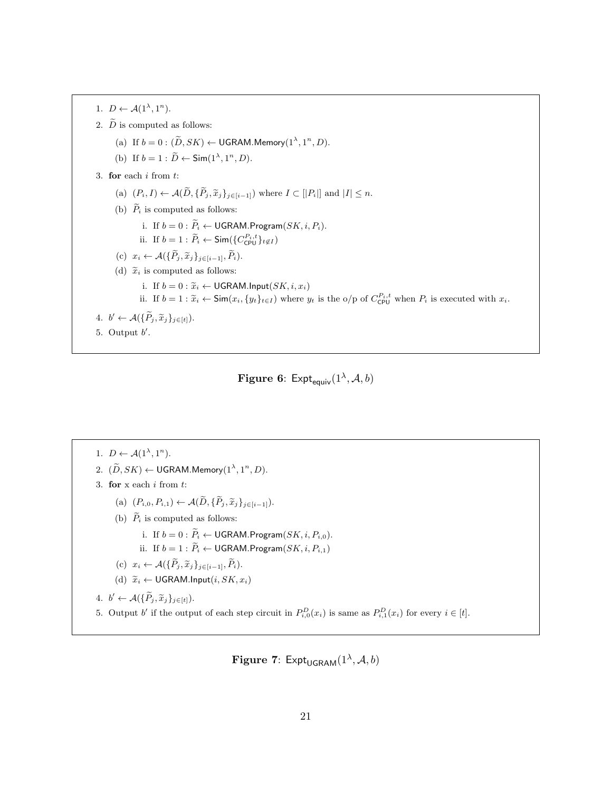- 1.  $D \leftarrow \mathcal{A}(1^{\lambda}, 1^n)$ .
- 2.  $\widetilde{D}$  is computed as follows:
	- (a) If  $b = 0: (\widetilde{D}, SK) \leftarrow \mathsf{UGRAM.Memory}(1^\lambda, 1^n, D).$
	- (b) If  $b = 1 : \widetilde{D} \leftarrow \text{Sim}(1^{\lambda}, 1^n, D)$ .
- 3. for each  $i$  from  $t$ :
	- (a)  $(P_i, I) \leftarrow \mathcal{A}(\widetilde{D}, \{\widetilde{P}_j, \widetilde{x}_j\}_{j \in [i-1]})$  where  $I \subset [|P_i|]$  and  $|I| \leq n$ .
	- (b)  $\widetilde{P}_i$  is computed as follows:
		- i. If  $b = 0$ :  $\widetilde{P}_i \leftarrow \mathsf{UGRAM}.\mathsf{Program}(SK, i, P_i).$
		- ii. If  $b = 1 : \widetilde{P}_i \leftarrow \textsf{Sim}(\{C_{\textsf{CPU}}^{P_i,t}\}_{t \notin I})$
	- (c)  $x_i \leftarrow \mathcal{A}(\{\widetilde{P}_j, \widetilde{x}_j\}_{j\in[i-1]}, \widetilde{P}_i).$
	- (d)  $\tilde{x}_i$  is computed as follows:
		- i. If  $b = 0$ :  $\widetilde{x}_i \leftarrow \mathsf{UGRAM}.\mathsf{Input}(SK, i, x_i)$

ii. If  $b = 1$ :  $\widetilde{x}_i \leftarrow \textsf{Sim}(x_i, \{y_t\}_{t \in I})$  where  $y_t$  is the o/p of  $C_{\textsf{CPU}}^{P_i, t}$  when  $P_i$  is executed with  $x_i$ .

- 4.  $b' \leftarrow \mathcal{A}(\{\widetilde{P}_j, \widetilde{x}_j\}_{j \in [t]})$ .
- 5. Output  $b'$ .



1.  $D \leftarrow \mathcal{A}(1^{\lambda}, 1^n)$ . 2.  $(\widetilde{D}, SK) \leftarrow \mathsf{UGRAM.Memory}(1^{\lambda}, 1^n, D).$ 3. for  $x$  each  $i$  from  $t$ : (a)  $(P_{i,0}, P_{i,1}) \leftarrow \mathcal{A}(\widetilde{D}, \{\widetilde{P}_i, \widetilde{x}_j\}_{j \in [i-1]}).$ (b)  $\widetilde{P}_i$  is computed as follows: i. If  $b = 0$ :  $\widetilde{P}_i \leftarrow \mathsf{UGRAM}.\mathsf{Program}(SK, i, P_{i,0}).$ ii. If  $b = 1$ :  $\widetilde{P}_i \leftarrow \mathsf{UGRAM}.\mathsf{Program}(SK, i, P_{i,1})$ (c)  $x_i \leftarrow \mathcal{A}(\{\widetilde{P}_j, \widetilde{x}_j\}_{j \in [i-1]}, \widetilde{P}_i).$ (d)  $\widetilde{x}_i \leftarrow \mathsf{UGRAM}.\mathsf{Input}(i, SK, x_i)$ 4.  $b' \leftarrow \mathcal{A}(\lbrace \widetilde{P}_j, \widetilde{x}_j \rbrace_{j \in [t]}).$ 5. Output b' if the output of each step circuit in  $P_{i,0}^D(x_i)$  is same as  $P_{i,1}^D(x_i)$  for every  $i \in [t]$ .

 $\mathbf{Figure\: 7: \: \mathsf{Expt}_{\mathsf{UGRAM}}(1^{\lambda}, \mathcal{A}, b)$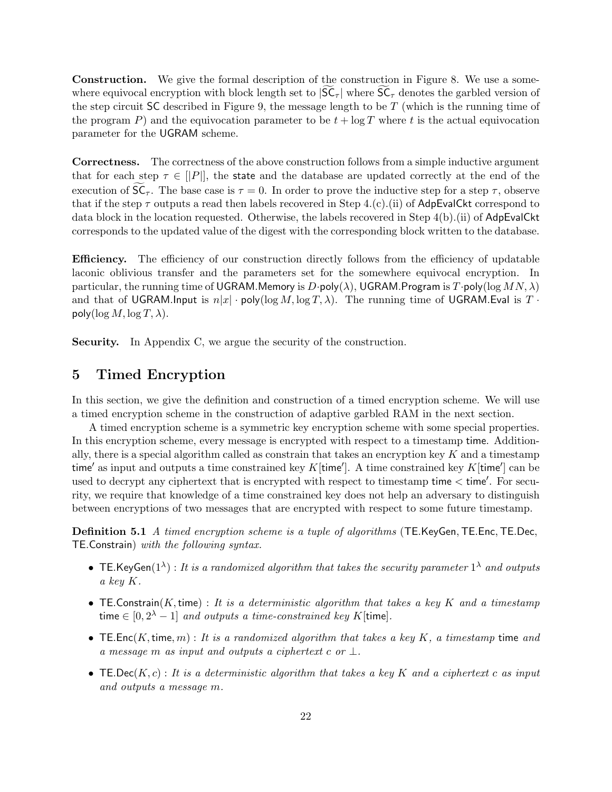Construction. We give the formal description of the construction in Figure 8. We use a somewhere equivocal encryption with block length set to  $|SC_\tau|$  where  $SC_\tau$  denotes the garbled version of the step circuit  $SC$  described in Figure 9, the message length to be  $T$  (which is the running time of the program P) and the equivocation parameter to be  $t + \log T$  where t is the actual equivocation parameter for the UGRAM scheme.

Correctness. The correctness of the above construction follows from a simple inductive argument that for each step  $\tau \in ||P||$ , the state and the database are updated correctly at the end of the execution of  $\widetilde{SC}_{\tau}$ . The base case is  $\tau = 0$ . In order to prove the inductive step for a step  $\tau$ , observe that if the step  $\tau$  outputs a read then labels recovered in Step 4.(c).(ii) of AdpEvalCkt correspond to data block in the location requested. Otherwise, the labels recovered in Step 4(b).(ii) of AdpEvalCkt corresponds to the updated value of the digest with the corresponding block written to the database.

Efficiency. The efficiency of our construction directly follows from the efficiency of updatable laconic oblivious transfer and the parameters set for the somewhere equivocal encryption. In particular, the running time of UGRAM.Memory is  $D \cdot \text{poly}(\lambda)$ , UGRAM.Program is T $\cdot \text{poly}(\log MN, \lambda)$ and that of UGRAM.Input is  $n|x| \cdot \text{poly}(\log M, \log T, \lambda)$ . The running time of UGRAM.Eval is T. poly( $\log M$ ,  $\log T$ ,  $\lambda$ ).

Security. In Appendix C, we argue the security of the construction.

## 5 Timed Encryption

In this section, we give the definition and construction of a timed encryption scheme. We will use a timed encryption scheme in the construction of adaptive garbled RAM in the next section.

A timed encryption scheme is a symmetric key encryption scheme with some special properties. In this encryption scheme, every message is encrypted with respect to a timestamp time. Additionally, there is a special algorithm called as constrain that takes an encryption key  $K$  and a timestamp time' as input and outputs a time constrained key K[time']. A time constrained key K[time'] can be used to decrypt any ciphertext that is encrypted with respect to timestamp time  $<$  time'. For security, we require that knowledge of a time constrained key does not help an adversary to distinguish between encryptions of two messages that are encrypted with respect to some future timestamp.

**Definition 5.1** A timed encryption scheme is a tuple of algorithms (TE.KeyGen, TE.Enc, TE.Dec, TE.Constrain) with the following syntax.

- TE.KeyGen( $1^{\lambda}$ ) : It is a randomized algorithm that takes the security parameter  $1^{\lambda}$  and outputs a key K.
- TE.Constrain(K, time) : It is a deterministic algorithm that takes a key K and a timestamp time  $\in [0, 2<sup>\lambda</sup> - 1]$  and outputs a time-constrained key K[time].
- TE.Enc $(K,$ time,  $m)$ : It is a randomized algorithm that takes a key  $K$ , a timestamp time and a message m as input and outputs a ciphertext c or  $\bot$ .
- TE.Dec( $K, c$ ): It is a deterministic algorithm that takes a key K and a ciphertext c as input and outputs a message m.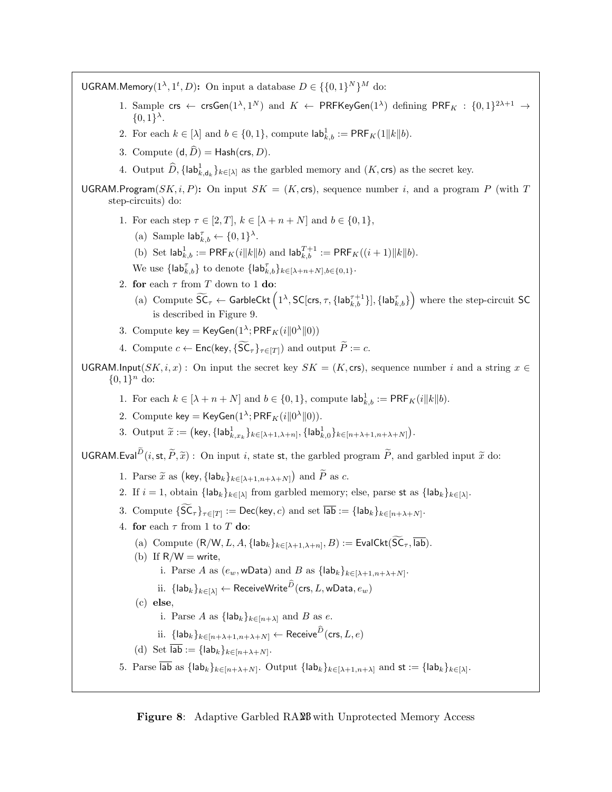UGRAM. Memory $(1^{\lambda}, 1^t, D)$ : On input a database  $D \in \{\{0, 1\}^N\}^M$  do: 1. Sample crs  $\leftarrow$  crsGen $(1^{\lambda}, 1^N)$  and  $K \leftarrow$  PRFKeyGen $(1^{\lambda})$  defining PRF<sub>K</sub> :  $\{0, 1\}^{2\lambda+1} \rightarrow$  $\{0,1\}^{\lambda}$ . 2. For each  $k \in [\lambda]$  and  $b \in \{0,1\}$ , compute  $\mathsf{lab}^1_{k,b} := \mathsf{PRF}_K(1||k||b)$ . 3. Compute  $(d, \hat{D}) =$  Hash(crs, D). 4. Output  $\widehat{D}$ ,  $\{ \textsf{lab}^1_{k,d_k} \}_{k \in [\lambda]}$  as the garbled memory and  $(K, \textsf{crs})$  as the secret key. UGRAM. Program  $(SK, i, P)$ : On input  $SK = (K, \text{crs})$ , sequence number i, and a program P (with T step-circuits) do: 1. For each step  $\tau \in [2, T]$ ,  $k \in [\lambda + n + N]$  and  $b \in \{0, 1\}$ , (a) Sample  $\mathsf{lab}_{k,b}^{\tau} \leftarrow \{0,1\}^{\lambda}$ . (b) Set  $\mathsf{lab}^1_{k,b} := \mathsf{PRF}_K(i||k||b)$  and  $\mathsf{lab}^{T+1}_{k,b} := \mathsf{PRF}_K((i+1)||k||b).$ We use  $\{\mathsf{lab}_{k,b}^{\tau}\}\)$  to denote  $\{\mathsf{lab}_{k,b}^{\tau}\}_{k\in[\lambda+n+N],b\in\{0,1\}}$ . 2. for each  $\tau$  from T down to 1 do: (a) Compute  $\widetilde{\mathsf{SC}}_\tau \leftarrow \mathsf{GarbleCkt}\left(1^\lambda,\mathsf{SC}[\mathsf{crs},\tau,\{\mathsf{lab}_{k,b}^{\tau+1}\}],\{\mathsf{lab}_{k,b}^{\tau}\}\right)$  where the step-circuit  $\mathsf{SC}$ is described in Figure 9. 3. Compute key = KeyGen $(1^{\lambda}; \mathsf{PRF}_K(i||0^{\lambda}||0))$ 4. Compute  $c \leftarrow \mathsf{Enc}(\mathsf{key}, \{ \widetilde{\mathsf{SC}}_{\tau} \}_{\tau \in [T]} )$  and output  $\widetilde{P} := c$ . UGRAM.Input( $SK, i, x$ ): On input the secret key  $SK = (K, \text{crs})$ , sequence number i and a string  $x \in$  ${0,1}<sup>n</sup>$  do: 1. For each  $k \in [\lambda + n + N]$  and  $b \in \{0, 1\}$ , compute  $\mathsf{lab}^1_{k,b} := \mathsf{PRF}_K(i||k||b)$ . 2. Compute key = KeyGen $(1^{\lambda}; \mathsf{PRF}_K(i \| 0^{\lambda} \| 0)).$ 3. Output  $\widetilde{x} := (\mathsf{key}, \{\mathsf{lab}^1_{k,x_k}\}_{k \in [\lambda+1,\lambda+n]}, \{\mathsf{lab}^1_{k,0}\}_{k \in [n+\lambda+1,n+\lambda+N]})$ . UGRAM.Eval<sup>D</sup>(*i*, st,  $\widetilde{P}$ ,  $\widetilde{x}$ ) : On input *i*, state st, the garbled program  $\widetilde{P}$ , and garbled input  $\widetilde{x}$  do: 1. Parse  $\widetilde{x}$  as  $(\text{key}, {\{\text{lab}_k\}_{k\in[\lambda+1,n+\lambda+N]}})$  and  $\widetilde{P}$  as  $c$ . 2. If  $i = 1$ , obtain  $\{\mathsf{lab}_k\}_{k \in [\lambda]}$  from garbled memory; else, parse st as  $\{\mathsf{lab}_k\}_{k \in [\lambda]}$ . 3. Compute  $\{\mathsf{SC}_{\tau}\}_{\tau \in [T]} := \mathsf{Dec}(\mathsf{key}, c)$  and set  $\overline{\mathsf{lab}} := \{\mathsf{lab}_k\}_{k \in [n + \lambda + N]}$ . 4. for each  $\tau$  from 1 to  $T$  do: (a) Compute  $(R/W, L, A, \{\mathsf{lab}_k\}_{k \in [\lambda+1, \lambda+n]}, B) := \mathsf{EvalCkt}(\mathsf{SC}_{\tau}, \overline{\mathsf{lab}}).$ (b) If  $R/W =$  write, i. Parse A as  $(e_w, \mathsf{wData})$  and B as  $\{\mathsf{lab}_k\}_{k \in [\lambda+1, n+\lambda+N]}.$ ii.  $\{\mathsf{lab}_k\}_{k\in[\lambda]} \leftarrow \mathsf{ReceiveWrite}^D(\mathsf{crs}, L, \mathsf{wData}, e_w)$ (c) else, i. Parse A as  $\{\mathsf{lab}_k\}_{k\in[n+\lambda]}$  and B as e. ii.  $\{\mathsf{lab}_k\}_{k\in[n+\lambda+1,n+\lambda+N]}\leftarrow \mathsf{Receive}^D(\mathsf{crs},L,e)$ (d) Set  $\overline{\mathsf{lab}} := {\mathsf{lab}_k}_{k \in [n+\lambda+N]}$ . 5. Parse lab as  $\{\mathsf{lab}_k\}_{k\in[n+\lambda+N]}$ . Output  $\{\mathsf{lab}_k\}_{k\in[\lambda+1,n+\lambda]}$  and  $\mathsf{st} := \{\mathsf{lab}_k\}_{k\in[\lambda]}$ .

**Figure 8:** Adaptive Garbled RAM with Unprotected Memory Access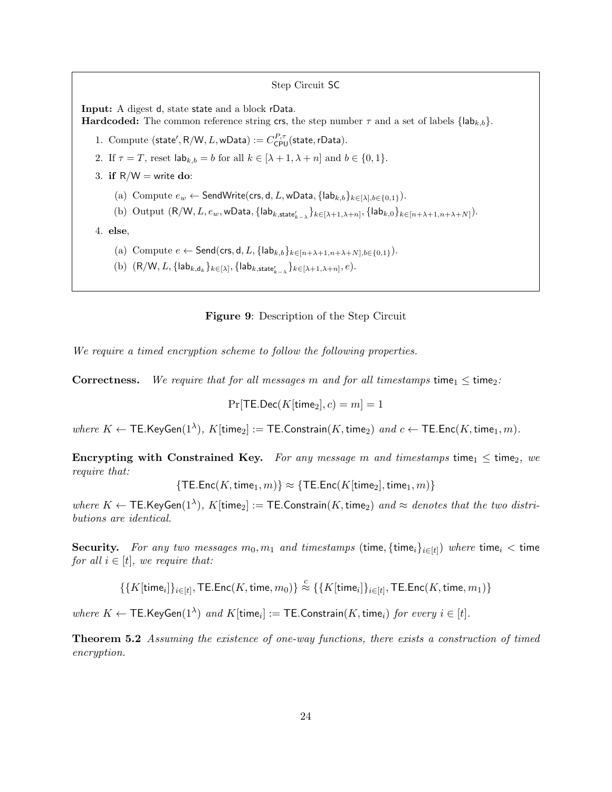Step Circuit SC Input: A digest d, state state and a block rData. **Hardcoded:** The common reference string crs, the step number  $\tau$  and a set of labels  $\{lab_k, b\}$ . 1. Compute (state',  $R/W$ , L, wData) :=  $C_{\text{CPU}}^{P,\tau}$ (state, rData). 2. If  $\tau = T$ , reset  $\mathsf{lab}_{k,b} = b$  for all  $k \in [\lambda + 1, \lambda + n]$  and  $b \in \{0, 1\}$ . 3. if  $R/W =$  write do: (a) Compute  $e_w \leftarrow$  SendWrite(crs, d, L, wData,  $\{lab_{k,b}\}_{k\in[\lambda], b\in\{0,1\}}$ ). (b) Output  $(R/W, L, e_w, \text{wData}, {\{\text{lab}_{k,\text{state}'_{k-\lambda}}\}_{k\in[\lambda+1,\lambda+n]}, {\{\text{lab}_{k,0}\}_{k\in[n+\lambda+1,n+\lambda+N]}}).$ 4. else, (a) Compute  $e \leftarrow \mathsf{Send}(\mathsf{crs}, \mathsf{d}, L, \{\mathsf{lab}_{k,b}\}_{k \in [n+\lambda+1, n+\lambda+N], b \in \{0,1\}}).$ 

(b)  $(R/W, L, \{\mathsf{lab}_{k,d_k}\}_{k \in [\lambda]}, \{\mathsf{lab}_{k,\mathsf{state}'_{k-\lambda}}\}_{k \in [\lambda+1,\lambda+n]}, e)$ .

#### Figure 9: Description of the Step Circuit

We require a timed encryption scheme to follow the following properties.

Correctness. We require that for all messages m and for all timestamps time<sub>1</sub>  $\leq$  time<sub>2</sub>:

$$
Pr[\mathsf{TE}.\mathsf{Dec}(K[\mathsf{time}_2], c) = m] = 1
$$

where  $K \leftarrow \mathsf{TE}.\mathsf{KeyGen}(1^{\lambda}), K[\mathsf{time}_2] := \mathsf{TE}.\mathsf{Constrain}(K,\mathsf{time}_2) \text{ and } c \leftarrow \mathsf{TE}.\mathsf{Enc}(K,\mathsf{time}_1,m).$ 

Encrypting with Constrained Key. For any message m and timestamps time<sub>1</sub>  $\leq$  time<sub>2</sub>, we require that:

 ${T. Enc}(K, time_1, m) \approx {TE. Enc}(K[time_2], time_1, m)$ 

where  $K \leftarrow \mathsf{TE}.\mathsf{KeyGen}(1^{\lambda}), K[\mathsf{time}_2] := \mathsf{TE}.\mathsf{Constrain}(K,\mathsf{time}_2) \text{ and } \approx \text{ denotes that the two distribt-  
tion of the two distribt-  
tion of the two distribt-  
tion of the two distribt-  
tion of the two distribt-  
tion of the two distribt-  
tion of the two distribt-  
tion of the two distribt-  
tion of the two distribt-  
tion of the two distribt-  
tion of the two distribt-  
tion of the two distribt-  
tion of the two distribt-  
tion of the two distribt-  
tion of the two distribt$ butions are identical.

Security. For any two messages  $m_0, m_1$  and timestamps (time, {time<sub>i</sub>}<sub>i∈[t]</sub>) where time<sub>i</sub> < time for all  $i \in [t]$ , we require that:

 $\{K[\mathsf{time}_i]\}_{i \in [t]}, \mathsf{TE}.\mathsf{Enc}(K,\mathsf{time},m_0)\} \stackrel{c}{\approx} \{\{K[\mathsf{time}_i]\}_{i \in [t]}, \mathsf{TE}.\mathsf{Enc}(K,\mathsf{time},m_1)\}$ 

where  $K \leftarrow \mathsf{TE}.\mathsf{KeyGen}(1^{\lambda})$  and  $K[\mathsf{time}_i] := \mathsf{TE}.\mathsf{Constant}(K,\mathsf{time}_i)$  for every  $i \in [t]$ .

Theorem 5.2 Assuming the existence of one-way functions, there exists a construction of timed encryption.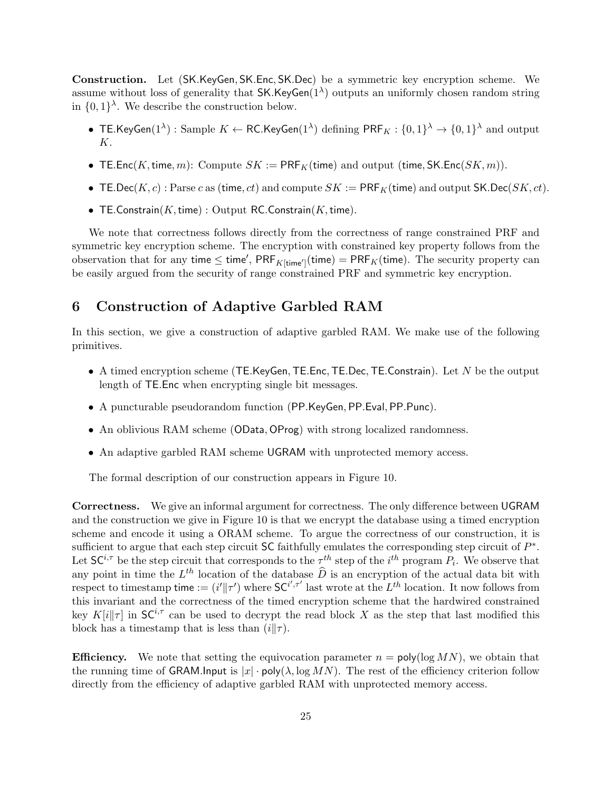Construction. Let (SK.KeyGen, SK.Enc, SK.Dec) be a symmetric key encryption scheme. We assume without loss of generality that  $SK.KeyGen(1^{\lambda})$  outputs an uniformly chosen random string in  $\{0,1\}^{\lambda}$ . We describe the construction below.

- TE.KeyGen $(1^{\lambda}):$  Sample  $K \leftarrow \mathsf{RC}.\mathsf{KeyGen}(1^{\lambda})$  defining  $\mathsf{PRF}_K:\{0,1\}^{\lambda} \to \{0,1\}^{\lambda}$  and output K.
- TE.Enc(K, time, m): Compute  $SK := \mathsf{PRF}_K(\mathsf{time})$  and output (time, SK.Enc( $SK, m$ )).
- TE.Dec(K, c): Parse c as (time, ct) and compute  $SK := \mathsf{PRF}_K$ (time) and output SK.Dec( $SK, ct$ ).
- TE.Constrain $(K, \text{time})$ : Output RC.Constrain $(K, \text{time})$ .

We note that correctness follows directly from the correctness of range constrained PRF and symmetric key encryption scheme. The encryption with constrained key property follows from the observation that for any time  $\leq$  time', PRF<sub>K[time']</sub>(time) = PRF<sub>K</sub>(time). The security property can be easily argued from the security of range constrained PRF and symmetric key encryption.

# 6 Construction of Adaptive Garbled RAM

In this section, we give a construction of adaptive garbled RAM. We make use of the following primitives.

- $\bullet$  A timed encryption scheme (TE.KeyGen, TE.Enc, TE.Dec, TE.Constrain). Let N be the output length of TE.Enc when encrypting single bit messages.
- A puncturable pseudorandom function (PP.KeyGen, PP.Eval, PP.Punc).
- An oblivious RAM scheme (OData, OProg) with strong localized randomness.
- An adaptive garbled RAM scheme UGRAM with unprotected memory access.

The formal description of our construction appears in Figure 10.

Correctness. We give an informal argument for correctness. The only difference between UGRAM and the construction we give in Figure 10 is that we encrypt the database using a timed encryption scheme and encode it using a ORAM scheme. To argue the correctness of our construction, it is sufficient to argue that each step circuit  $SC$  faithfully emulates the corresponding step circuit of  $P^*$ . Let  $SC^{i,\tau}$  be the step circuit that corresponds to the  $\tau^{th}$  step of the  $i^{th}$  program  $P_i$ . We observe that any point in time the  $L^{th}$  location of the database  $\widehat{D}$  is an encryption of the actual data bit with respect to timestamp time :=  $(i'||\tau')$  where  $SC^{i',\tau'}$  last wrote at the  $L^{th}$  location. It now follows from this invariant and the correctness of the timed encryption scheme that the hardwired constrained key K[i|| $\tau$ ] in SC<sup>i, $\tau$ </sup> can be used to decrypt the read block X as the step that last modified this block has a timestamp that is less than  $(i||\tau)$ .

**Efficiency.** We note that setting the equivocation parameter  $n = poly(\log MN)$ , we obtain that the running time of GRAM.Input is  $|x| \cdot \text{poly}(\lambda, \log MN)$ . The rest of the efficiency criterion follow directly from the efficiency of adaptive garbled RAM with unprotected memory access.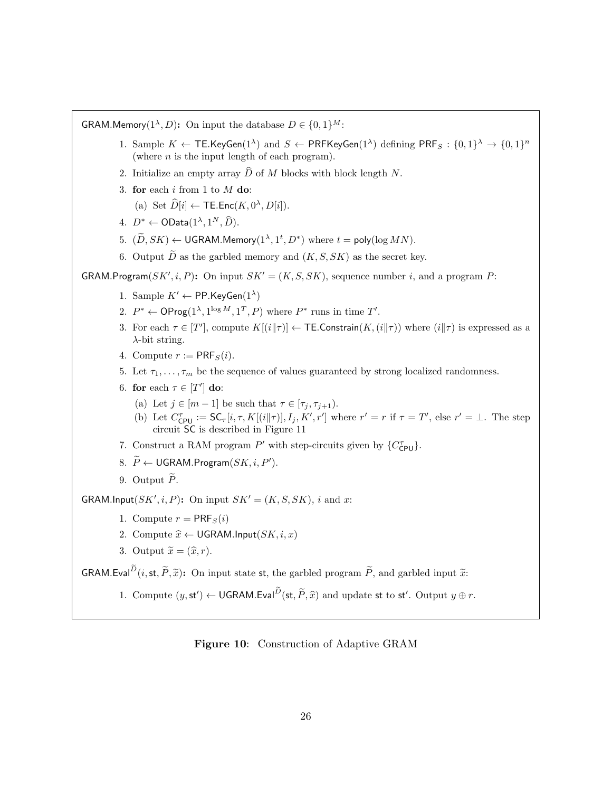GRAM. Memory $(1^{\lambda}, D)$ : On input the database  $D \in \{0, 1\}^{M}$ :

- 1. Sample  $K \leftarrow \mathsf{TE}.\mathsf{KeyGen}(1^{\lambda})$  and  $S \leftarrow \mathsf{PRFKeyGen}(1^{\lambda})$  defining  $\mathsf{PRF}_S : \{0,1\}^{\lambda} \rightarrow \{0,1\}^n$ (where  $n$  is the input length of each program).
- 2. Initialize an empty array  $\widehat{D}$  of M blocks with block length N.
- 3. for each  $i$  from 1 to  $M$  do:
	- (a) Set  $\widehat{D}[i] \leftarrow \mathsf{TE}.\mathsf{Enc}(K, 0^{\lambda}, D[i]).$
- 4.  $D^* \leftarrow \textsf{OData}(1^{\lambda}, 1^N, \widehat{D}).$
- 5.  $(\widetilde{D}, SK) \leftarrow \mathsf{UGRAM.Mempty}(1^{\lambda}, 1^t, D^*)$  where  $t = \mathsf{poly}(\log MN)$ .
- 6. Output  $\widetilde{D}$  as the garbled memory and  $(K, S, SK)$  as the secret key.

GRAM.Program $(SK', i, P)$ : On input  $SK' = (K, S, SK)$ , sequence number i, and a program P:

- 1. Sample  $K' \leftarrow \textsf{PP}.\textsf{KeyGen}(1^{\lambda})$
- 2.  $P^* \leftarrow \mathsf{OProg}(1^{\lambda}, 1^{\log M}, 1^T, P)$  where  $P^*$  runs in time  $T'$ .
- 3. For each  $\tau \in [T']$ , compute  $K[(i\|\tau)] \leftarrow \textsf{TE}$ . Constrain $(K, (i\|\tau))$  where  $(i\|\tau)$  is expressed as a  $\lambda$ -bit string.
- 4. Compute  $r := \mathsf{PRF}_S(i)$ .
- 5. Let  $\tau_1, \ldots, \tau_m$  be the sequence of values guaranteed by strong localized randomness.
- 6. for each  $\tau \in [T']$  do:
	- (a) Let  $j \in [m-1]$  be such that  $\tau \in [\tau_j, \tau_{j+1})$ .
	- (b) Let  $C_{\text{CPU}}^{\tau} := \mathsf{SC}_{\tau}[i, \tau, K[(i||\tau)], I_j, K', r']$  where  $r' = r$  if  $\tau = T'$ , else  $r' = \bot$ . The step circuit SC is described in Figure 11
- 7. Construct a RAM program  $P'$  with step-circuits given by  $\{C^{\tau}_{\text{CPU}}\}$ .
- 8.  $\widetilde{P} \leftarrow \mathsf{UGRAM}.Program(SK, i, P').$
- 9. Output  $\widetilde{P}$ .

GRAM.lnput( $SK', i, P$ ): On input  $SK' = (K, S, SK), i$  and x:

- 1. Compute  $r = \mathsf{PRF}_S(i)$
- 2. Compute  $\hat{x} \leftarrow \mathsf{UGRAM}.\mathsf{Input}(SK, i, x)$
- 3. Output  $\widetilde{x} = (\widehat{x}, r)$ .

**GRAM.Eval**  $D(i, st, \tilde{P}, \tilde{x})$ : On input state st, the garbled program  $\tilde{P}$ , and garbled input  $\tilde{x}$ :

1. Compute  $(y, st') \leftarrow \mathsf{UGRAM}.\mathsf{Eval}^D(\mathsf{st}, \widetilde{P}, \widehat{x})$  and update st to st'. Output  $y \oplus r$ .

Figure 10: Construction of Adaptive GRAM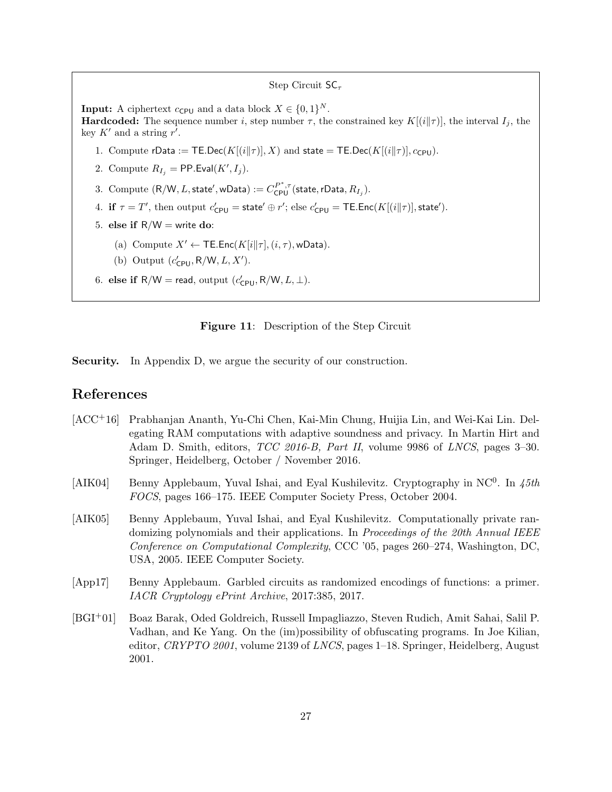Step Circuit  $SC_{\tau}$ 

**Input:** A ciphertext  $c_{\text{CPU}}$  and a data block  $X \in \{0, 1\}^N$ . **Hardcoded:** The sequence number i, step number  $\tau$ , the constrained key  $K[(i\|\tau)]$ , the interval  $I_j$ , the key  $K'$  and a string r'.

- 1. Compute rData := TE.Dec(K[(i|| $\tau$ )], X) and state = TE.Dec(K[(i|| $\tau$ )],  $c_{\text{CPU}}$ ).
- 2. Compute  $R_{I_j} = \text{PP.Eval}(K', I_j)$ .
- 3. Compute  $(\mathsf{R}/\mathsf{W}, L, \mathsf{state}', \mathsf{wData}) := C_{\mathsf{CPU}}^{P^*, \tau}(\mathsf{state}, \mathsf{rData}, R_{I_j}).$
- 4. if  $\tau = T'$ , then output  $c'_{\text{CPU}} = \text{state'} \oplus r'$ ; else  $c'_{\text{CPU}} = \text{TE}.\text{Enc}(K[(i\|\tau)],\text{state'}).$
- 5. else if  $R/W =$  write do:
	- (a) Compute  $X' \leftarrow \mathsf{TE}.\mathsf{Enc}(K[i\|\tau],(i,\tau),\mathsf{wData}).$
	- (b) Output  $(c'_{\text{CPU}}, \text{R/W}, L, X').$
- 6. else if  $R/W =$  read, output  $(c'_{CPU}, R/W, L, \perp)$ .



Security. In Appendix D, we argue the security of our construction.

### References

- [ACC+16] Prabhanjan Ananth, Yu-Chi Chen, Kai-Min Chung, Huijia Lin, and Wei-Kai Lin. Delegating RAM computations with adaptive soundness and privacy. In Martin Hirt and Adam D. Smith, editors, TCC 2016-B, Part II, volume 9986 of LNCS, pages 3–30. Springer, Heidelberg, October / November 2016.
- [AIK04] Benny Applebaum, Yuval Ishai, and Eyal Kushilevitz. Cryptography in NC<sup>0</sup>. In 45th FOCS, pages 166–175. IEEE Computer Society Press, October 2004.
- [AIK05] Benny Applebaum, Yuval Ishai, and Eyal Kushilevitz. Computationally private randomizing polynomials and their applications. In Proceedings of the 20th Annual IEEE Conference on Computational Complexity, CCC '05, pages 260–274, Washington, DC, USA, 2005. IEEE Computer Society.
- [App17] Benny Applebaum. Garbled circuits as randomized encodings of functions: a primer. IACR Cryptology ePrint Archive, 2017:385, 2017.
- [BGI+01] Boaz Barak, Oded Goldreich, Russell Impagliazzo, Steven Rudich, Amit Sahai, Salil P. Vadhan, and Ke Yang. On the (im)possibility of obfuscating programs. In Joe Kilian, editor, CRYPTO 2001, volume 2139 of LNCS, pages 1–18. Springer, Heidelberg, August 2001.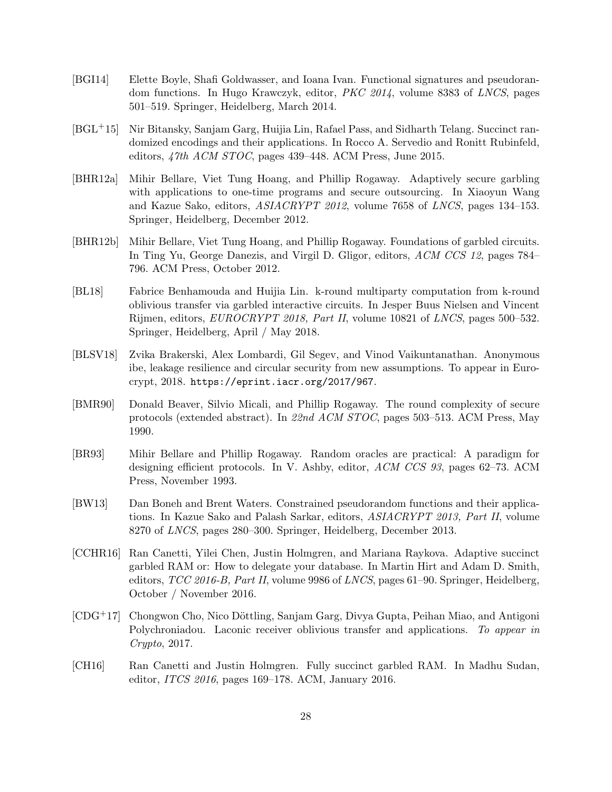- [BGI14] Elette Boyle, Shafi Goldwasser, and Ioana Ivan. Functional signatures and pseudorandom functions. In Hugo Krawczyk, editor, PKC 2014, volume 8383 of LNCS, pages 501–519. Springer, Heidelberg, March 2014.
- [BGL+15] Nir Bitansky, Sanjam Garg, Huijia Lin, Rafael Pass, and Sidharth Telang. Succinct randomized encodings and their applications. In Rocco A. Servedio and Ronitt Rubinfeld, editors, 47th ACM STOC, pages 439–448. ACM Press, June 2015.
- [BHR12a] Mihir Bellare, Viet Tung Hoang, and Phillip Rogaway. Adaptively secure garbling with applications to one-time programs and secure outsourcing. In Xiaoyun Wang and Kazue Sako, editors, ASIACRYPT 2012, volume 7658 of LNCS, pages 134–153. Springer, Heidelberg, December 2012.
- [BHR12b] Mihir Bellare, Viet Tung Hoang, and Phillip Rogaway. Foundations of garbled circuits. In Ting Yu, George Danezis, and Virgil D. Gligor, editors, ACM CCS 12, pages 784– 796. ACM Press, October 2012.
- [BL18] Fabrice Benhamouda and Huijia Lin. k-round multiparty computation from k-round oblivious transfer via garbled interactive circuits. In Jesper Buus Nielsen and Vincent Rijmen, editors, EUROCRYPT 2018, Part II, volume 10821 of LNCS, pages 500–532. Springer, Heidelberg, April / May 2018.
- [BLSV18] Zvika Brakerski, Alex Lombardi, Gil Segev, and Vinod Vaikuntanathan. Anonymous ibe, leakage resilience and circular security from new assumptions. To appear in Eurocrypt, 2018. https://eprint.iacr.org/2017/967.
- [BMR90] Donald Beaver, Silvio Micali, and Phillip Rogaway. The round complexity of secure protocols (extended abstract). In 22nd ACM STOC, pages 503–513. ACM Press, May 1990.
- [BR93] Mihir Bellare and Phillip Rogaway. Random oracles are practical: A paradigm for designing efficient protocols. In V. Ashby, editor, ACM CCS 93, pages 62–73. ACM Press, November 1993.
- [BW13] Dan Boneh and Brent Waters. Constrained pseudorandom functions and their applications. In Kazue Sako and Palash Sarkar, editors, ASIACRYPT 2013, Part II, volume 8270 of LNCS, pages 280–300. Springer, Heidelberg, December 2013.
- [CCHR16] Ran Canetti, Yilei Chen, Justin Holmgren, and Mariana Raykova. Adaptive succinct garbled RAM or: How to delegate your database. In Martin Hirt and Adam D. Smith, editors,  $TCC$  2016-B, Part II, volume 9986 of LNCS, pages 61–90. Springer, Heidelberg, October / November 2016.
- $[CDG<sup>+</sup>17]$  Chongwon Cho, Nico Döttling, Sanjam Garg, Divya Gupta, Peihan Miao, and Antigoni Polychroniadou. Laconic receiver oblivious transfer and applications. To appear in Crypto, 2017.
- [CH16] Ran Canetti and Justin Holmgren. Fully succinct garbled RAM. In Madhu Sudan, editor, ITCS 2016, pages 169–178. ACM, January 2016.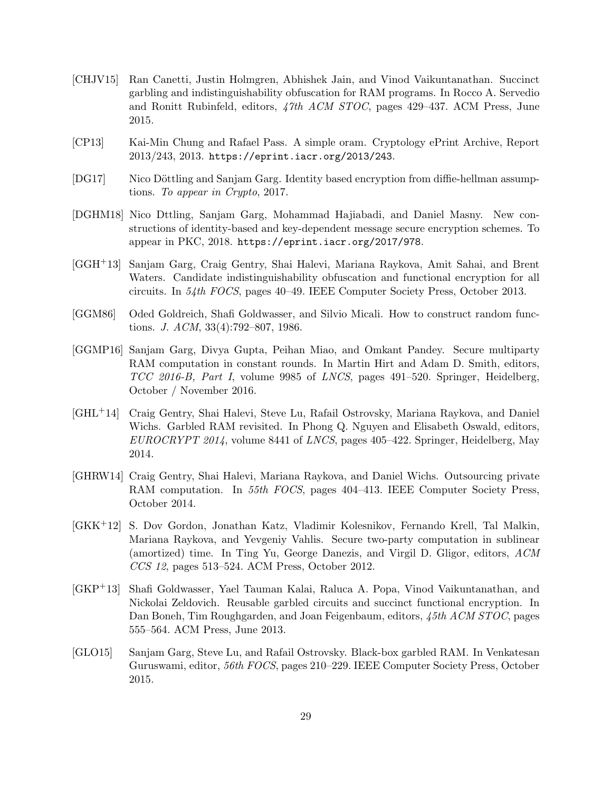- [CHJV15] Ran Canetti, Justin Holmgren, Abhishek Jain, and Vinod Vaikuntanathan. Succinct garbling and indistinguishability obfuscation for RAM programs. In Rocco A. Servedio and Ronitt Rubinfeld, editors, 47th ACM STOC, pages 429–437. ACM Press, June 2015.
- [CP13] Kai-Min Chung and Rafael Pass. A simple oram. Cryptology ePrint Archive, Report 2013/243, 2013. https://eprint.iacr.org/2013/243.
- [DG17] Nico Döttling and Sanjam Garg. Identity based encryption from diffie-hellman assumptions. To appear in Crypto, 2017.
- [DGHM18] Nico Dttling, Sanjam Garg, Mohammad Hajiabadi, and Daniel Masny. New constructions of identity-based and key-dependent message secure encryption schemes. To appear in PKC, 2018. https://eprint.iacr.org/2017/978.
- [GGH+13] Sanjam Garg, Craig Gentry, Shai Halevi, Mariana Raykova, Amit Sahai, and Brent Waters. Candidate indistinguishability obfuscation and functional encryption for all circuits. In 54th FOCS, pages 40–49. IEEE Computer Society Press, October 2013.
- [GGM86] Oded Goldreich, Shafi Goldwasser, and Silvio Micali. How to construct random functions. J. ACM, 33(4):792–807, 1986.
- [GGMP16] Sanjam Garg, Divya Gupta, Peihan Miao, and Omkant Pandey. Secure multiparty RAM computation in constant rounds. In Martin Hirt and Adam D. Smith, editors, TCC 2016-B, Part I, volume 9985 of LNCS, pages 491–520. Springer, Heidelberg, October / November 2016.
- [GHL+14] Craig Gentry, Shai Halevi, Steve Lu, Rafail Ostrovsky, Mariana Raykova, and Daniel Wichs. Garbled RAM revisited. In Phong Q. Nguyen and Elisabeth Oswald, editors, EUROCRYPT 2014, volume 8441 of LNCS, pages 405–422. Springer, Heidelberg, May 2014.
- [GHRW14] Craig Gentry, Shai Halevi, Mariana Raykova, and Daniel Wichs. Outsourcing private RAM computation. In 55th FOCS, pages 404–413. IEEE Computer Society Press, October 2014.
- [GKK+12] S. Dov Gordon, Jonathan Katz, Vladimir Kolesnikov, Fernando Krell, Tal Malkin, Mariana Raykova, and Yevgeniy Vahlis. Secure two-party computation in sublinear (amortized) time. In Ting Yu, George Danezis, and Virgil D. Gligor, editors, ACM CCS 12, pages 513–524. ACM Press, October 2012.
- [GKP+13] Shafi Goldwasser, Yael Tauman Kalai, Raluca A. Popa, Vinod Vaikuntanathan, and Nickolai Zeldovich. Reusable garbled circuits and succinct functional encryption. In Dan Boneh, Tim Roughgarden, and Joan Feigenbaum, editors, 45th ACM STOC, pages 555–564. ACM Press, June 2013.
- [GLO15] Sanjam Garg, Steve Lu, and Rafail Ostrovsky. Black-box garbled RAM. In Venkatesan Guruswami, editor, 56th FOCS, pages 210–229. IEEE Computer Society Press, October 2015.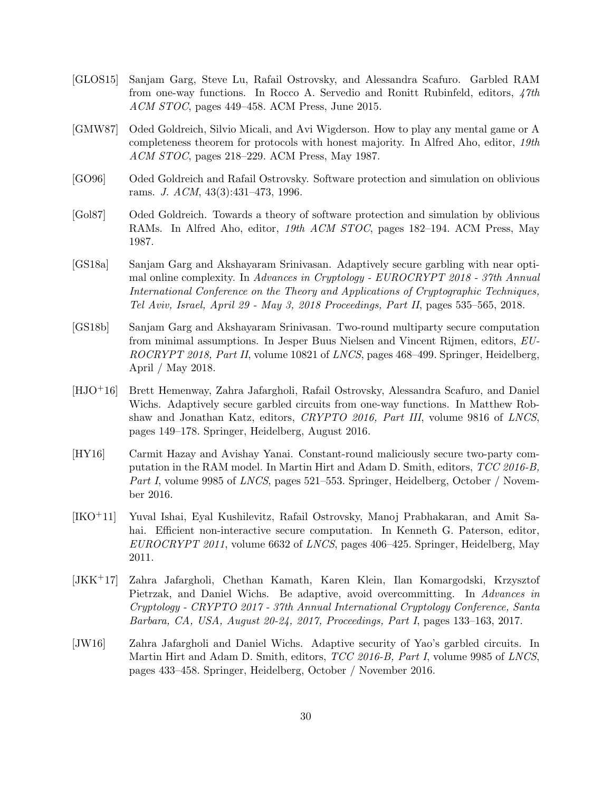- [GLOS15] Sanjam Garg, Steve Lu, Rafail Ostrovsky, and Alessandra Scafuro. Garbled RAM from one-way functions. In Rocco A. Servedio and Ronitt Rubinfeld, editors, 47th ACM STOC, pages 449–458. ACM Press, June 2015.
- [GMW87] Oded Goldreich, Silvio Micali, and Avi Wigderson. How to play any mental game or A completeness theorem for protocols with honest majority. In Alfred Aho, editor, 19th ACM STOC, pages 218–229. ACM Press, May 1987.
- [GO96] Oded Goldreich and Rafail Ostrovsky. Software protection and simulation on oblivious rams. J. ACM, 43(3):431–473, 1996.
- [Gol87] Oded Goldreich. Towards a theory of software protection and simulation by oblivious RAMs. In Alfred Aho, editor, 19th ACM STOC, pages 182–194. ACM Press, May 1987.
- [GS18a] Sanjam Garg and Akshayaram Srinivasan. Adaptively secure garbling with near optimal online complexity. In Advances in Cryptology - EUROCRYPT 2018 - 37th Annual International Conference on the Theory and Applications of Cryptographic Techniques, Tel Aviv, Israel, April 29 - May 3, 2018 Proceedings, Part II, pages 535–565, 2018.
- [GS18b] Sanjam Garg and Akshayaram Srinivasan. Two-round multiparty secure computation from minimal assumptions. In Jesper Buus Nielsen and Vincent Rijmen, editors, EU-ROCRYPT 2018, Part II, volume 10821 of LNCS, pages 468–499. Springer, Heidelberg, April / May 2018.
- [HJO+16] Brett Hemenway, Zahra Jafargholi, Rafail Ostrovsky, Alessandra Scafuro, and Daniel Wichs. Adaptively secure garbled circuits from one-way functions. In Matthew Robshaw and Jonathan Katz, editors, CRYPTO 2016, Part III, volume 9816 of LNCS, pages 149–178. Springer, Heidelberg, August 2016.
- [HY16] Carmit Hazay and Avishay Yanai. Constant-round maliciously secure two-party computation in the RAM model. In Martin Hirt and Adam D. Smith, editors, TCC 2016-B, Part I, volume 9985 of LNCS, pages 521–553. Springer, Heidelberg, October / November 2016.
- [IKO+11] Yuval Ishai, Eyal Kushilevitz, Rafail Ostrovsky, Manoj Prabhakaran, and Amit Sahai. Efficient non-interactive secure computation. In Kenneth G. Paterson, editor, EUROCRYPT 2011, volume 6632 of LNCS, pages 406–425. Springer, Heidelberg, May 2011.
- [JKK+17] Zahra Jafargholi, Chethan Kamath, Karen Klein, Ilan Komargodski, Krzysztof Pietrzak, and Daniel Wichs. Be adaptive, avoid overcommitting. In Advances in Cryptology - CRYPTO 2017 - 37th Annual International Cryptology Conference, Santa Barbara, CA, USA, August 20-24, 2017, Proceedings, Part I, pages 133–163, 2017.
- [JW16] Zahra Jafargholi and Daniel Wichs. Adaptive security of Yao's garbled circuits. In Martin Hirt and Adam D. Smith, editors, TCC 2016-B, Part I, volume 9985 of LNCS, pages 433–458. Springer, Heidelberg, October / November 2016.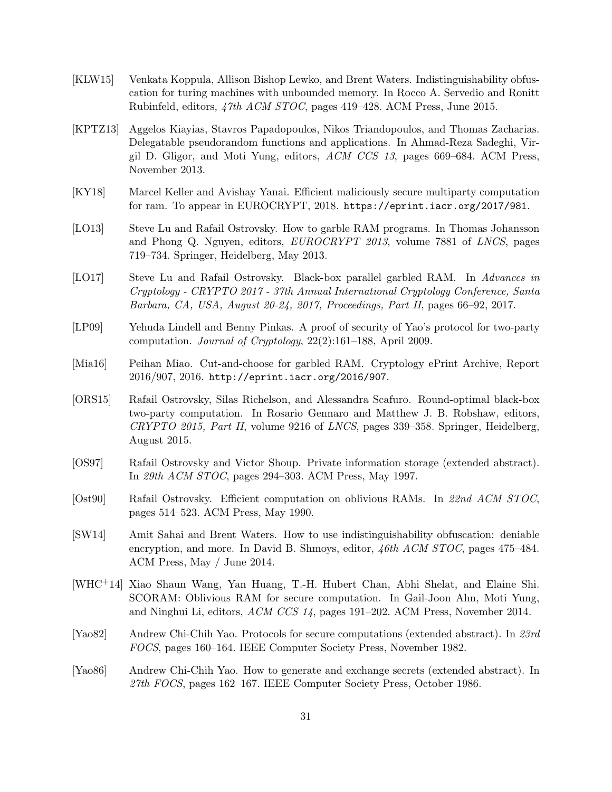- [KLW15] Venkata Koppula, Allison Bishop Lewko, and Brent Waters. Indistinguishability obfuscation for turing machines with unbounded memory. In Rocco A. Servedio and Ronitt Rubinfeld, editors, 47th ACM STOC, pages 419–428. ACM Press, June 2015.
- [KPTZ13] Aggelos Kiayias, Stavros Papadopoulos, Nikos Triandopoulos, and Thomas Zacharias. Delegatable pseudorandom functions and applications. In Ahmad-Reza Sadeghi, Virgil D. Gligor, and Moti Yung, editors, ACM CCS 13, pages 669–684. ACM Press, November 2013.
- [KY18] Marcel Keller and Avishay Yanai. Efficient maliciously secure multiparty computation for ram. To appear in EUROCRYPT, 2018. https://eprint.iacr.org/2017/981.
- [LO13] Steve Lu and Rafail Ostrovsky. How to garble RAM programs. In Thomas Johansson and Phong Q. Nguyen, editors, EUROCRYPT 2013, volume 7881 of LNCS, pages 719–734. Springer, Heidelberg, May 2013.
- [LO17] Steve Lu and Rafail Ostrovsky. Black-box parallel garbled RAM. In Advances in Cryptology - CRYPTO 2017 - 37th Annual International Cryptology Conference, Santa Barbara, CA, USA, August 20-24, 2017, Proceedings, Part II, pages 66–92, 2017.
- [LP09] Yehuda Lindell and Benny Pinkas. A proof of security of Yao's protocol for two-party computation. Journal of Cryptology, 22(2):161–188, April 2009.
- [Mia16] Peihan Miao. Cut-and-choose for garbled RAM. Cryptology ePrint Archive, Report 2016/907, 2016. http://eprint.iacr.org/2016/907.
- [ORS15] Rafail Ostrovsky, Silas Richelson, and Alessandra Scafuro. Round-optimal black-box two-party computation. In Rosario Gennaro and Matthew J. B. Robshaw, editors, CRYPTO 2015, Part II, volume 9216 of LNCS, pages 339–358. Springer, Heidelberg, August 2015.
- [OS97] Rafail Ostrovsky and Victor Shoup. Private information storage (extended abstract). In 29th ACM STOC, pages 294–303. ACM Press, May 1997.
- [Ost90] Rafail Ostrovsky. Efficient computation on oblivious RAMs. In 22nd ACM STOC, pages 514–523. ACM Press, May 1990.
- [SW14] Amit Sahai and Brent Waters. How to use indistinguishability obfuscation: deniable encryption, and more. In David B. Shmoys, editor, 46th ACM STOC, pages 475–484. ACM Press, May / June 2014.
- [WHC+14] Xiao Shaun Wang, Yan Huang, T.-H. Hubert Chan, Abhi Shelat, and Elaine Shi. SCORAM: Oblivious RAM for secure computation. In Gail-Joon Ahn, Moti Yung, and Ninghui Li, editors, ACM CCS 14, pages 191–202. ACM Press, November 2014.
- [Yao82] Andrew Chi-Chih Yao. Protocols for secure computations (extended abstract). In 23rd FOCS, pages 160–164. IEEE Computer Society Press, November 1982.
- [Yao86] Andrew Chi-Chih Yao. How to generate and exchange secrets (extended abstract). In 27th FOCS, pages 162–167. IEEE Computer Society Press, October 1986.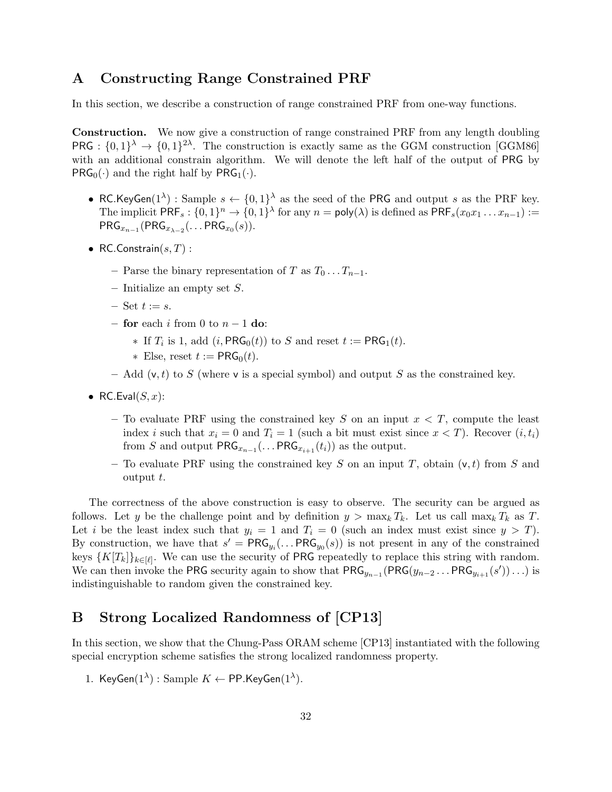# A Constructing Range Constrained PRF

In this section, we describe a construction of range constrained PRF from one-way functions.

Construction. We now give a construction of range constrained PRF from any length doubling PRG :  $\{0,1\}^{\lambda} \rightarrow \{0,1\}^{2\lambda}$ . The construction is exactly same as the GGM construction [GGM86] with an additional constrain algorithm. We will denote the left half of the output of PRG by  $PRG_0(\cdot)$  and the right half by  $PRG_1(\cdot)$ .

- RC.KeyGen( $1^{\lambda}$ ) : Sample  $s \leftarrow \{0,1\}^{\lambda}$  as the seed of the PRG and output s as the PRF key. The implicit  $\mathsf{PRF}_s : \{0,1\}^n \to \{0,1\}^\lambda$  for any  $n = \mathsf{poly}(\lambda)$  is defined as  $\mathsf{PRF}_s(x_0x_1 \ldots x_{n-1}) :=$  $\mathsf{PRG}_{x_{n-1}}(\mathsf{PRG}_{x_{\lambda-2}}(\ldots \mathsf{PRG}_{x_0}(s)).$
- RC.Constrain $(s, T)$ :
	- Parse the binary representation of T as  $T_0 \ldots T_{n-1}$ .
	- $-$  Initialize an empty set  $S$ .
	- $-$  Set  $t := s$ .
	- for each i from 0 to  $n-1$  do:
		- ∗ If  $T_i$  is 1, add  $(i, \text{PRG}_0(t))$  to S and reset  $t := \text{PRG}_1(t)$ .
		- $\ast$  Else, reset  $t := PRG_0(t)$ .
	- Add  $(v, t)$  to S (where v is a special symbol) and output S as the constrained key.
- RC.Eval $(S, x)$ :
	- To evaluate PRF using the constrained key S on an input  $x < T$ , compute the least index i such that  $x_i = 0$  and  $T_i = 1$  (such a bit must exist since  $x < T$ ). Recover  $(i, t_i)$ from S and output  $\mathsf{PRG}_{x_{n-1}}(\ldots \mathsf{PRG}_{x_{i+1}}(t_i))$  as the output.
	- To evaluate PRF using the constrained key S on an input T, obtain  $(v, t)$  from S and output t.

The correctness of the above construction is easy to observe. The security can be argued as follows. Let y be the challenge point and by definition  $y > \max_k T_k$ . Let us call  $\max_k T_k$  as T. Let i be the least index such that  $y_i = 1$  and  $T_i = 0$  (such an index must exist since  $y > T$ ). By construction, we have that  $s' = PRG_{y_i}(\ldots PRG_{y_0}(s))$  is not present in any of the constrained keys  $\{K[T_k]\}_{k\in[\ell]}$ . We can use the security of PRG repeatedly to replace this string with random. We can then invoke the PRG security again to show that  $PRG_{y_{n-1}}(PRG(y_{n-2} \ldots PRG_{y_{i+1}}(s')) \ldots)$  is indistinguishable to random given the constrained key.

## B Strong Localized Randomness of [CP13]

In this section, we show that the Chung-Pass ORAM scheme [CP13] instantiated with the following special encryption scheme satisfies the strong localized randomness property.

1. KeyGen $(1^{\lambda})$ : Sample  $K \leftarrow$  PP.KeyGen $(1^{\lambda})$ .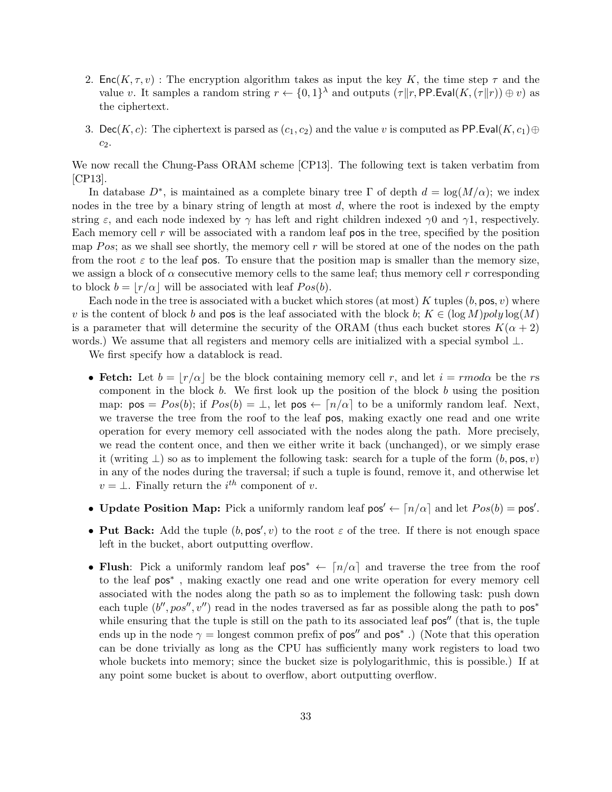- 2.  $\textsf{Enc}(K, \tau, v)$ : The encryption algorithm takes as input the key K, the time step  $\tau$  and the value v. It samples a random string  $r \leftarrow \{0,1\}^{\lambda}$  and outputs  $(\tau \| r, \text{PP}.\text{Eval}(K, (\tau \| r)) \oplus v)$  as the ciphertext.
- 3. Dec(K, c): The ciphertext is parsed as  $(c_1, c_2)$  and the value v is computed as PP. Eval(K,  $c_1$ ) $\oplus$  $c_2$ .

We now recall the Chung-Pass ORAM scheme [CP13]. The following text is taken verbatim from [CP13].

In database  $D^*$ , is maintained as a complete binary tree  $\Gamma$  of depth  $d = \log(M/\alpha)$ ; we index nodes in the tree by a binary string of length at most  $d$ , where the root is indexed by the empty string  $\varepsilon$ , and each node indexed by  $\gamma$  has left and right children indexed  $\gamma$ 0 and  $\gamma$ 1, respectively. Each memory cell  $r$  will be associated with a random leaf **pos** in the tree, specified by the position map Pos; as we shall see shortly, the memory cell  $r$  will be stored at one of the nodes on the path from the root  $\varepsilon$  to the leaf pos. To ensure that the position map is smaller than the memory size, we assign a block of  $\alpha$  consecutive memory cells to the same leaf; thus memory cell r corresponding to block  $b = |r/\alpha|$  will be associated with leaf  $Pos(b)$ .

Each node in the tree is associated with a bucket which stores (at most) K tuples  $(b, \text{pos}, v)$  where v is the content of block b and pos is the leaf associated with the block b;  $K \in (\log M)$  poly  $\log(M)$ is a parameter that will determine the security of the ORAM (thus each bucket stores  $K(\alpha + 2)$ ) words.) We assume that all registers and memory cells are initialized with a special symbol ⊥.

We first specify how a datablock is read.

- Fetch: Let  $b = |r/\alpha|$  be the block containing memory cell r, and let  $i = r \mod \alpha$  be the rs component in the block  $b$ . We first look up the position of the block  $b$  using the position map:  $pos = Pos(b)$ ; if  $Pos(b) = \bot$ , let  $pos \leftarrow \lceil n/\alpha \rceil$  to be a uniformly random leaf. Next, we traverse the tree from the roof to the leaf pos, making exactly one read and one write operation for every memory cell associated with the nodes along the path. More precisely, we read the content once, and then we either write it back (unchanged), or we simply erase it (writing  $\perp$ ) so as to implement the following task: search for a tuple of the form  $(b, \text{pos}, v)$ in any of the nodes during the traversal; if such a tuple is found, remove it, and otherwise let  $v = \perp$ . Finally return the  $i^{th}$  component of v.
- Update Position Map: Pick a uniformly random leaf  $pos' \leftarrow \lceil n/\alpha \rceil$  and let  $Pos(b) = pos'.$
- Put Back: Add the tuple  $(b, \text{pos}', v)$  to the root  $\varepsilon$  of the tree. If there is not enough space left in the bucket, abort outputting overflow.
- Flush: Pick a uniformly random leaf  $pos^* \leftarrow [n/\alpha]$  and traverse the tree from the roof to the leaf pos<sup>∗</sup> , making exactly one read and one write operation for every memory cell associated with the nodes along the path so as to implement the following task: push down each tuple  $(b'', pos'', v'')$  read in the nodes traversed as far as possible along the path to pos<sup>\*</sup> while ensuring that the tuple is still on the path to its associated leaf  $pos''$  (that is, the tuple ends up in the node  $\gamma =$  longest common prefix of pos<sup>"</sup> and pos<sup>\*</sup>.) (Note that this operation can be done trivially as long as the CPU has sufficiently many work registers to load two whole buckets into memory; since the bucket size is polylogarithmic, this is possible.) If at any point some bucket is about to overflow, abort outputting overflow.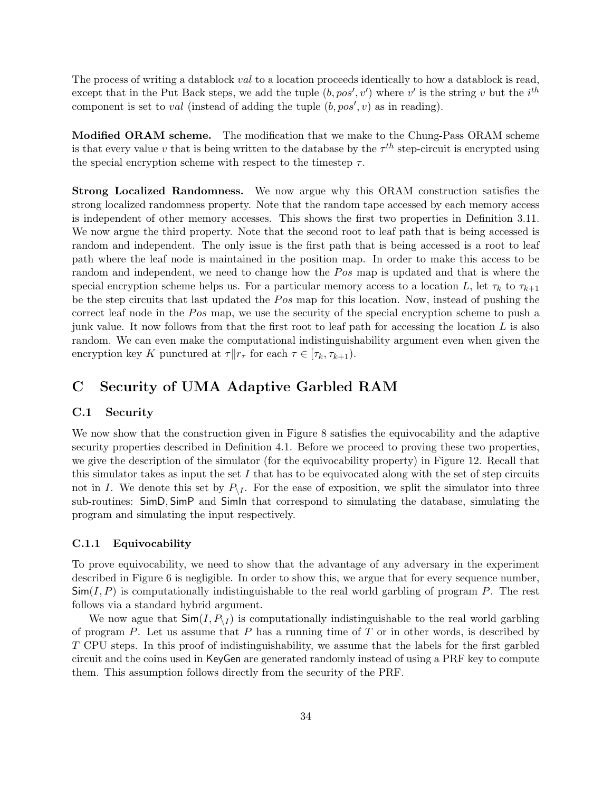The process of writing a datablock val to a location proceeds identically to how a datablock is read, except that in the Put Back steps, we add the tuple  $(b, pos', v')$  where v' is the string v but the  $i^{th}$ component is set to *val* (instead of adding the tuple  $(b, pos', v)$  as in reading).

Modified ORAM scheme. The modification that we make to the Chung-Pass ORAM scheme is that every value v that is being written to the database by the  $\tau^{th}$  step-circuit is encrypted using the special encryption scheme with respect to the timestep  $\tau$ .

Strong Localized Randomness. We now argue why this ORAM construction satisfies the strong localized randomness property. Note that the random tape accessed by each memory access is independent of other memory accesses. This shows the first two properties in Definition 3.11. We now argue the third property. Note that the second root to leaf path that is being accessed is random and independent. The only issue is the first path that is being accessed is a root to leaf path where the leaf node is maintained in the position map. In order to make this access to be random and independent, we need to change how the Pos map is updated and that is where the special encryption scheme helps us. For a particular memory access to a location L, let  $\tau_k$  to  $\tau_{k+1}$ be the step circuits that last updated the Pos map for this location. Now, instead of pushing the correct leaf node in the  $Pos$  map, we use the security of the special encryption scheme to push a junk value. It now follows from that the first root to leaf path for accessing the location  $L$  is also random. We can even make the computational indistinguishability argument even when given the encryption key K punctured at  $\tau \|r_{\tau}$  for each  $\tau \in [\tau_k, \tau_{k+1}).$ 

# C Security of UMA Adaptive Garbled RAM

### C.1 Security

We now show that the construction given in Figure 8 satisfies the equivocability and the adaptive security properties described in Definition 4.1. Before we proceed to proving these two properties, we give the description of the simulator (for the equivocability property) in Figure 12. Recall that this simulator takes as input the set  $I$  that has to be equivocated along with the set of step circuits not in I. We denote this set by  $P_{\setminus I}$ . For the ease of exposition, we split the simulator into three sub-routines: SimD, SimP and SimIn that correspond to simulating the database, simulating the program and simulating the input respectively.

### C.1.1 Equivocability

To prove equivocability, we need to show that the advantage of any adversary in the experiment described in Figure 6 is negligible. In order to show this, we argue that for every sequence number,  $\textsf{Sim}(I, P)$  is computationally indistinguishable to the real world garbling of program P. The rest follows via a standard hybrid argument.

We now ague that  $\mathsf{Sim}(I, P_{\setminus I})$  is computationally indistinguishable to the real world garbling of program  $P$ . Let us assume that  $P$  has a running time of  $T$  or in other words, is described by T CPU steps. In this proof of indistinguishability, we assume that the labels for the first garbled circuit and the coins used in KeyGen are generated randomly instead of using a PRF key to compute them. This assumption follows directly from the security of the PRF.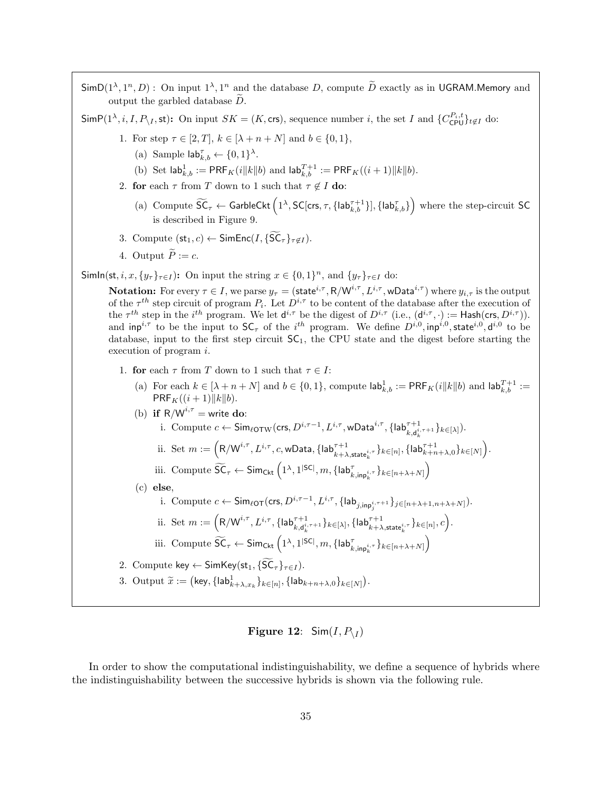$\textsf{SimD}(1^{\lambda},1^n,D):$  On input  $1^{\lambda},1^n$  and the database D, compute  $\widetilde{D}$  exactly as in UGRAM. Memory and output the garbled database  $\overline{D}$ .

 $\textsf{SimP}(1^{\lambda}, i, I, P_{\setminus I}, \textsf{st})$ : On input  $SK = (K, \textsf{crs})$ , sequence number i, the set I and  $\{C_{\textsf{CPU}}^{P_i, t}\}_{t \notin I}$  do:

- 1. For step  $\tau \in [2, T]$ ,  $k \in [\lambda + n + N]$  and  $b \in \{0, 1\}$ ,
	- (a) Sample  $\mathsf{lab}_{k,b}^{\tau} \leftarrow \{0,1\}^{\lambda}$ .
	- (b) Set  $\mathsf{lab}^1_{k,b} := \mathsf{PRF}_K(i||k||b)$  and  $\mathsf{lab}^{T+1}_{k,b} := \mathsf{PRF}_K((i+1)||k||b).$
- 2. for each  $\tau$  from  $T$  down to 1 such that  $\tau \not\in I$  do:
	- (a) Compute  $\widetilde{\mathsf{SC}}_\tau \leftarrow \mathsf{GarbleCkt}\left(1^\lambda,\mathsf{SC}[\mathsf{crs},\tau,\{\mathsf{lab}_{k,b}^{\tau+1}\}],\{\mathsf{lab}_{k,b}^{\tau}\}\right)$  where the step-circuit  $\mathsf{SC}$ is described in Figure 9.
- 3. Compute  $(st_1, c) \leftarrow \text{SimEnc}(I, \{\widetilde{SC}_{\tau}\}_{\tau \notin I}).$
- 4. Output  $\widetilde{P} := c$ .

SimIn(st, i, x,  $\{y_\tau\}_{\tau \in I}$ ): On input the string  $x \in \{0,1\}^n$ , and  $\{y_\tau\}_{\tau \in I}$  do:

**Notation:** For every  $\tau \in I$ , we parse  $y_\tau = (\textsf{state}^{i,\tau}, \textsf{R}/\textsf{W}^{i,\tau}, L^{i,\tau}, \textsf{wData}^{i,\tau})$  where  $y_{i,\tau}$  is the output of the  $\tau^{th}$  step circuit of program  $P_i$ . Let  $D^{i,\tau}$  to be content of the database after the execution of the  $\tau^{th}$  step in the  $i^{th}$  program. We let  $d^{i,\tau}$  be the digest of  $D^{i,\tau}$  (i.e.,  $(d^{i,\tau},\cdot) := \mathsf{Hash}(\mathsf{crs}, D^{i,\tau})$ ). and  $inp^{i,\tau}$  to be the input to  $SC_{\tau}$  of the i<sup>th</sup> program. We define  $D^{i,0}$ , inp<sup>i,0</sup>, state<sup>i,0</sup>, d<sup>i,0</sup> to be database, input to the first step circuit  $SC<sub>1</sub>$ , the CPU state and the digest before starting the execution of program i.

- 1. for each  $\tau$  from T down to 1 such that  $\tau \in I$ :
	- (a) For each  $k \in [\lambda + n + N]$  and  $b \in \{0, 1\}$ , compute  $\mathsf{lab}_{k,b}^1 := \mathsf{PRF}_K(i||k||b)$  and  $\mathsf{lab}_{k,b}^{T+1} :=$  $PRF_K((i + 1)||k||b).$

\n- (b) if 
$$
R/W^{i,\tau} = \text{write do:}
$$
\n- i. Compute  $c \leftarrow \text{Sim}_{\ell\text{OTW}}(\text{crs}, D^{i,\tau-1}, L^{i,\tau}, \text{wData}^{i,\tau}, \{\text{lab}_{k,d_k^{i,\tau+1}}^{\tau+1}\}_{k \in [\lambda]}).$
\n- ii. Set  $m := \left(R/W^{i,\tau}, L^{i,\tau}, c, \text{wData}, \{\text{lab}_{k+\lambda,\text{state}_k^{i,\tau}}^{t+1}\}_{k \in [n]}, \{\text{lab}_{k+n+\lambda,0}^{r+1}\}_{k \in [N]}\right).$
\n- iii. Compute  $\widetilde{SC}_{\tau} \leftarrow \text{Sim}_{\text{Ckt}}\left(1^{\lambda}, 1^{|\text{SC}}|, m, \{\text{lab}_{k,\text{inp}_k^{i,\tau}}^{t+1}\}_{k \in [n+\lambda+N]}\right)$
\n- (c) else, i. Compute  $c \leftarrow \text{Sim}_{\ell\text{OT}}(\text{crs}, D^{i,\tau-1}, L^{i,\tau}, \{\text{lab}_{j,\text{inp}_j^{i,\tau+1}}^{t+1}\}_{j \in [n+\lambda+1,n+\lambda+N]}).$
\n- ii. Set  $m := \left(R/W^{i,\tau}, L^{i,\tau}, \{\text{lab}_{k,d_k^{i,\tau+1}}^{t+1}\}_{k \in [\lambda]}, \{\text{lab}_{k+\lambda,\text{state}_k^{i,\tau}}^{t+1}\}_{k \in [n]}, c\right).$
\n- iii. Compute  $\widetilde{SC}_{\tau} \leftarrow \text{Sim}_{\text{Ckt}}\left(1^{\lambda}, 1^{|\text{SC}}|, m, \{\text{lab}_{k,\text{inp}_k^{i,\tau}}^{t+1}\}_{k \in [n+\lambda+N]}\right)$
\n- 2. Compute key  $\leftarrow \text{SimKey}(\text{st}_1, \{\widetilde{SC}_{\tau}\}_{\tau \in I})$ .
\n- 3. Output  $\widetilde{x} := (\text{key}, \{\text{lab}_{k+\lambda,x_k}^{t}\}_{k \in [n]}, \{\text{lab}_{k+n+\lambda,0}^{t}\}_{k \in [N]})$ .
\n

### $\mathbf{Figure\ 12:}\ \mathsf{Sim}(I,P_{\setminus I})$

In order to show the computational indistinguishability, we define a sequence of hybrids where the indistinguishability between the successive hybrids is shown via the following rule.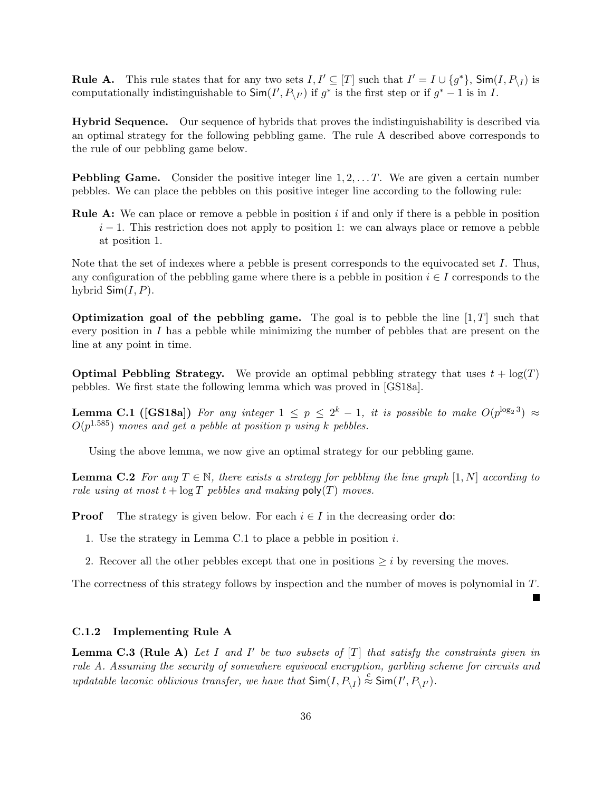**Rule A.** This rule states that for any two sets  $I, I' \subseteq [T]$  such that  $I' = I \cup \{g^*\}$ ,  $\textsf{Sim}(I, P_{\setminus I})$  is computationally indistinguishable to  $\textsf{Sim}(I', P_{\setminus I'})$  if  $g^*$  is the first step or if  $g^* - 1$  is in I.

Hybrid Sequence. Our sequence of hybrids that proves the indistinguishability is described via an optimal strategy for the following pebbling game. The rule A described above corresponds to the rule of our pebbling game below.

**Pebbling Game.** Consider the positive integer line  $1, 2, \ldots T$ . We are given a certain number pebbles. We can place the pebbles on this positive integer line according to the following rule:

**Rule A:** We can place or remove a pebble in position  $i$  if and only if there is a pebble in position  $i-1$ . This restriction does not apply to position 1: we can always place or remove a pebble at position 1.

Note that the set of indexes where a pebble is present corresponds to the equivocated set I. Thus, any configuration of the pebbling game where there is a pebble in position  $i \in I$  corresponds to the hybrid  $\textsf{Sim}(I, P)$ .

**Optimization goal of the pebbling game.** The goal is to pebble the line  $[1, T]$  such that every position in  $I$  has a pebble while minimizing the number of pebbles that are present on the line at any point in time.

**Optimal Pebbling Strategy.** We provide an optimal pebbling strategy that uses  $t + \log(T)$ pebbles. We first state the following lemma which was proved in [GS18a].

**Lemma C.1** ([GS18a]) For any integer  $1 \le p \le 2^k - 1$ , it is possible to make  $O(p^{\log_2 3}) \approx$  $O(p^{1.585})$  moves and get a pebble at position p using k pebbles.

Using the above lemma, we now give an optimal strategy for our pebbling game.

**Lemma C.2** For any  $T \in \mathbb{N}$ , there exists a strategy for pebbling the line graph  $[1, N]$  according to rule using at most  $t + \log T$  pebbles and making  $\text{poly}(T)$  moves.

**Proof** The strategy is given below. For each  $i \in I$  in the decreasing order do:

- 1. Use the strategy in Lemma C.1 to place a pebble in position i.
- 2. Recover all the other pebbles except that one in positions  $\geq i$  by reversing the moves.

The correctness of this strategy follows by inspection and the number of moves is polynomial in T.

### C.1.2 Implementing Rule A

**Lemma C.3 (Rule A)** Let I and I' be two subsets of  $[T]$  that satisfy the constraints given in rule A. Assuming the security of somewhere equivocal encryption, garbling scheme for circuits and updatable laconic oblivious transfer, we have that  $\textsf{Sim}(I, P_{\setminus I}) \stackrel{c}{\approx} \textsf{Sim}(I', P_{\setminus I'}).$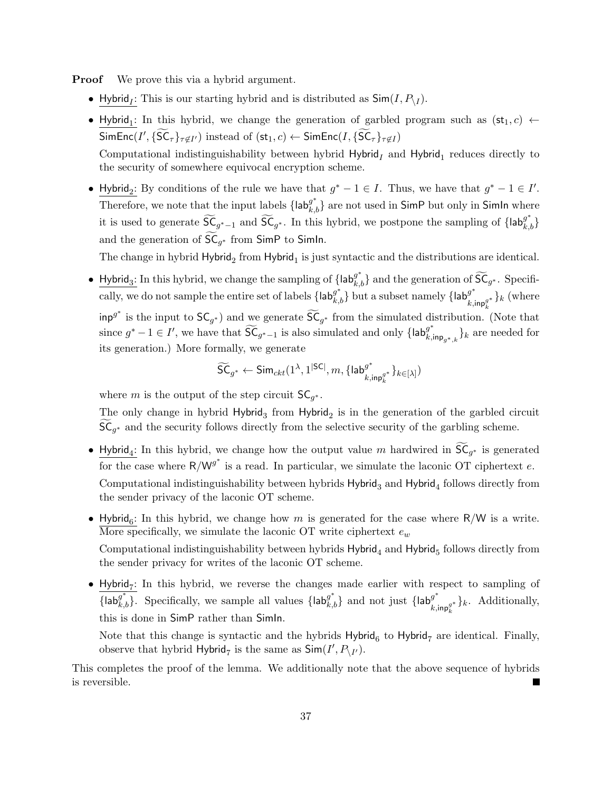**Proof** We prove this via a hybrid argument.

- Hybrid<sub>I</sub>: This is our starting hybrid and is distributed as  $\textsf{Sim}(I, P_{\setminus I})$ .
- Hybrid<sub>1</sub>: In this hybrid, we change the generation of garbled program such as  $(\mathsf{st}_1, c) \leftarrow$  $\textsf{SimEnc}(I', \{\widetilde{\textsf{SC}}_{\tau}\}_{\tau \notin I'})$  instead of  $(\textsf{st}_1, c) \leftarrow \textsf{SimEnc}(I, \{\widetilde{\textsf{SC}}_{\tau}\}_{\tau \notin I})$ Computational indistinguishability between hybrid  $H$ ybrid<sub>I</sub> and  $H$ ybrid<sub>1</sub> reduces directly to the security of somewhere equivocal encryption scheme.
- Hybrid<sub>2</sub>: By conditions of the rule we have that  $g^* 1 \in I$ . Thus, we have that  $g^* 1 \in I'$ . Therefore, we note that the input labels  $\{\textsf{lab}^{g^*}_{k,b}\}$  are not used in SimP but only in SimIn where it is used to generate  $\widetilde{SC}_{g^*-1}$  and  $\widetilde{SC}_{g^*}$ . In this hybrid, we postpone the sampling of  $\{\textsf{lab}_{k,b}^{g^*}\}$ and the generation of  $SC_{g^*}$  from SimP to SimIn.

The change in hybrid  $Hybrid_2$  from  $Hybrid_1$  is just syntactic and the distributions are identical.

● Hybrid<sub>3</sub>: In this hybrid, we change the sampling of  $\{\textsf{lab}_{k,b}^{g^*}\}\$  and the generation of  $\widetilde{SC}_{g^*}$ . Specifically, we do not sample the entire set of labels  $\{\mathsf{lab}_{k,b}^{g^*}\}$  but a subset namely  $\{\mathsf{lab}_{k}^{g^*}\}$  $_{k,\mathsf{inp}_k^{g^*}}^g\}_k$  (where  $\lim_{k \to \infty} p^{g^*}$  is the input to  $SC_{g^*}$ ) and we generate  $\widetilde{SC}_{g^*}$  from the simulated distribution. (Note that since  $g^* - 1 \in I'$ , we have that  $\widetilde{SC}_{g^*-1}$  is also simulated and only  $\{\mathsf{lab}^{g^*}_{k,i}\}$  ${k, {\sf inp}_{g^*,k}}\}_k$  are needed for its generation.) More formally, we generate

$$
\widetilde{\mathsf{SC}}_{g^*}\leftarrow \mathsf{Sim}_{ckt}(1^\lambda,1^{|\mathsf{SC}|},m,\{\mathsf{lab}^{g^*}_{k,\mathsf{inp}^{g^*}_k}\}_{k\in[\lambda]})
$$

where m is the output of the step circuit  $SC_{g^*}$ .

The only change in hybrid  $Hybrid<sub>3</sub>$  from  $Hybrid<sub>2</sub>$  is in the generation of the garbled circuit  $SC_{g^*}$  and the security follows directly from the selective security of the garbling scheme.

- Hybrid<sub>4</sub>: In this hybrid, we change how the output value m hardwired in  $SC_{g^*}$  is generated for the case where  $R/W^{g^*}$  is a read. In particular, we simulate the laconic OT ciphertext e. Computational indistinguishability between hybrids  $Hybrid<sub>3</sub>$  and  $Hybrid<sub>4</sub>$  follows directly from the sender privacy of the laconic OT scheme.
- Hybrid<sub>6</sub>: In this hybrid, we change how m is generated for the case where R/W is a write. More specifically, we simulate the laconic OT write ciphertext  $e_w$ Computational indistinguishability between hybrids  $H$ ybrid<sub>4</sub> and  $H$ ybrid<sub>5</sub> follows directly from the sender privacy for writes of the laconic OT scheme.
- Hybrid<sub>7</sub>: In this hybrid, we reverse the changes made earlier with respect to sampling of  $\{\mathsf{lab}_{k,b}^{g^*}\}\$ . Specifically, we sample all values  $\{\mathsf{lab}_{k,b}^{g^*}\}\$  and not just  $\{\mathsf{lab}_{k,b}^{g^*}\}\$  ${k, \mathsf{inp}_k^{g^*}}\}_k$ . Additionally, this is done in SimP rather than SimIn.

Note that this change is syntactic and the hybrids  $Hybrid<sub>6</sub>$  to  $Hybrid<sub>7</sub>$  are identical. Finally, observe that hybrid Hybrid<sub>7</sub> is the same as  $\textsf{Sim}(I', P_{\setminus I'}).$ 

This completes the proof of the lemma. We additionally note that the above sequence of hybrids is reversible.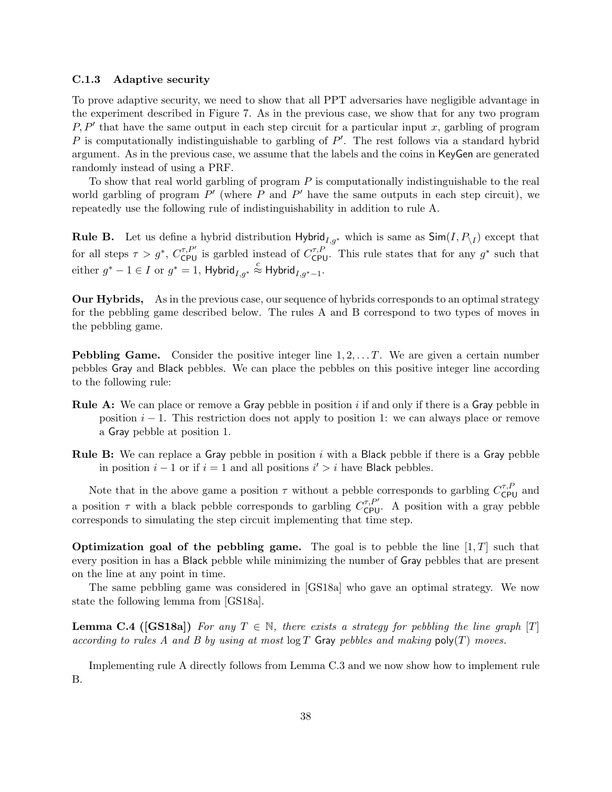#### C.1.3 Adaptive security

To prove adaptive security, we need to show that all PPT adversaries have negligible advantage in the experiment described in Figure 7. As in the previous case, we show that for any two program  $P, P'$  that have the same output in each step circuit for a particular input x, garbling of program P is computationally indistinguishable to garbling of  $P'$ . The rest follows via a standard hybrid argument. As in the previous case, we assume that the labels and the coins in KeyGen are generated randomly instead of using a PRF.

To show that real world garbling of program  $P$  is computationally indistinguishable to the real world garbling of program  $P'$  (where P and P' have the same outputs in each step circuit), we repeatedly use the following rule of indistinguishability in addition to rule A.

**Rule B.** Let us define a hybrid distribution  $H$ ybrid<sub>I,g<sup>\*</sup></sup> which is same as  $\textsf{Sim}(I, P_{\setminus I})$  except that</sub> for all steps  $\tau > g^*$ ,  $C_{\text{CPU}}^{\tau, P'}$  is garbled instead of  $C_{\text{CPU}}^{\tau, P}$ . This rule states that for any  $g^*$  such that either  $g^* - 1 \in I$  or  $g^* = 1$ , Hybrid $_{I,g^*} \stackrel{c}{\approx}$  Hybrid $_{I,g^* - 1}$ .

Our Hybrids, As in the previous case, our sequence of hybrids corresponds to an optimal strategy for the pebbling game described below. The rules A and B correspond to two types of moves in the pebbling game.

**Pebbling Game.** Consider the positive integer line  $1, 2, \ldots, T$ . We are given a certain number pebbles Gray and Black pebbles. We can place the pebbles on this positive integer line according to the following rule:

- **Rule A:** We can place or remove a Gray pebble in position  $i$  if and only if there is a Gray pebble in position  $i - 1$ . This restriction does not apply to position 1: we can always place or remove a Gray pebble at position 1.
- **Rule B:** We can replace a Gray pebble in position  $i$  with a Black pebble if there is a Gray pebble in position  $i - 1$  or if  $i = 1$  and all positions  $i' > i$  have Black pebbles.

Note that in the above game a position  $\tau$  without a pebble corresponds to garbling  $C_{\text{CPU}}^{\tau, P}$  and a position  $\tau$  with a black pebble corresponds to garbling  $C_{\text{CPU}}^{\tau, P'}$ . A position with a gray pebble corresponds to simulating the step circuit implementing that time step.

**Optimization goal of the pebbling game.** The goal is to pebble the line  $[1, T]$  such that every position in has a Black pebble while minimizing the number of Gray pebbles that are present on the line at any point in time.

The same pebbling game was considered in [GS18a] who gave an optimal strategy. We now state the following lemma from [GS18a].

**Lemma C.4 ([GS18a])** For any  $T \in \mathbb{N}$ , there exists a strategy for pebbling the line graph [T] according to rules A and B by using at most  $\log T$  Gray pebbles and making  $\text{poly}(T)$  moves.

Implementing rule A directly follows from Lemma C.3 and we now show how to implement rule B.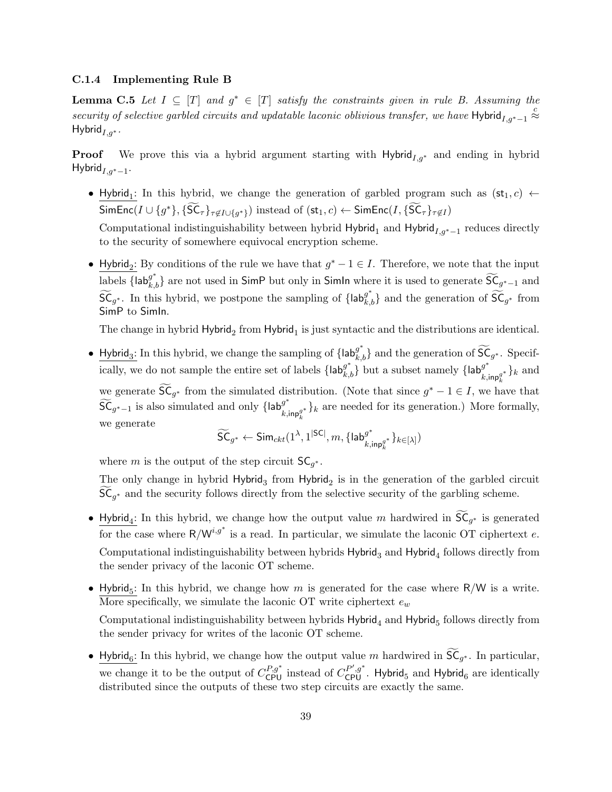#### C.1.4 Implementing Rule B

**Lemma C.5** Let  $I \subseteq [T]$  and  $g^* \in [T]$  satisfy the constraints given in rule B. Assuming the security of selective garbled circuits and updatable laconic oblivious transfer, we have Hybrid<sub>I,g<sup>\*</sup>-1</sub><sup>c</sup> Hybrid $_{I,g^*}$ .

**Proof** We prove this via a hybrid argument starting with  $H$ ybrid<sub>I,g<sup>\*</sup></sub> and ending in hybrid Hybrid $_{I,g^*-1}$ .

• Hybrid<sub>1</sub>: In this hybrid, we change the generation of garbled program such as  $(\mathsf{st}_1, c) \leftarrow$  $\mathsf{SimEnc}(I \cup \{g^*\}, \{\widetilde{\mathsf{SC}}_\tau\}_{\tau \notin I \cup \{g^*\}}) \text{ instead of } (\mathsf{st}_1, c) \leftarrow \mathsf{SimEnc}(I, \{\widetilde{\mathsf{SC}}_\tau\}_{\tau \notin I})$ 

Computational indistinguishability between hybrid Hybrid<sub>1</sub> and Hybrid<sub>I,g<sup>∗</sup>-1</sub> reduces directly to the security of somewhere equivocal encryption scheme.

• Hybrid<sub>2</sub>: By conditions of the rule we have that  $g^* - 1 \in I$ . Therefore, we note that the input labels  $\{\mathsf{lab}_{k,b}^{g^*}\}$  are not used in SimP but only in SimIn where it is used to generate  $\widetilde{\mathsf{SC}}_{g^*-1}$  and  $\widetilde{SC}_{g^*}$ . In this hybrid, we postpone the sampling of  $\{\textsf{lab}_{k,b}^{g^*}\}\$  and the generation of  $\widetilde{SC}_{g^*}$  from SimP to SimIn.

The change in hybrid  $Hybrid_2$  from  $Hybrid_1$  is just syntactic and the distributions are identical.

● Hybrid<sub>3</sub>: In this hybrid, we change the sampling of  $\{\text{lab}_{k,b}^{g^*}\}\$  and the generation of  $\widetilde{SC}_{g^*}$ . Specifically, we do not sample the entire set of labels  $\{\mathsf{lab}_{k,b}^{g^*}\}$  but a subset namely  $\{\mathsf{lab}_{k,b}^{g^*}\}$  $_{k, \mathsf{inp}_{k}^{g^{*}}}\}$ <sub>k</sub> and we generate  $\widetilde{SC}_{g^*}$  from the simulated distribution. (Note that since  $g^* - 1 \in I$ , we have that  $\widetilde{SC}_{g^*-1}$  is also simulated and only  $\{\mathsf{lab}^{g^*}_{k,i}\}$  $\int_{k, \text{inp}_{k}^{g^*}}^{g^*} \}$ <sub>k</sub> are needed for its generation.) More formally, we generate

$$
\widetilde{\mathsf{SC}}_{g^*}\leftarrow \mathsf{Sim}_{ckt}(1^{\lambda},1^{|\mathsf{SC}|},m,\{\mathsf{lab}^{g^*}_{k,\mathsf{inp}^{g^*}_k}\}_{k\in[\lambda]})
$$

where m is the output of the step circuit  $SC_{g^*}$ .

The only change in hybrid  $Hybrid<sub>3</sub>$  from  $Hybrid<sub>2</sub>$  is in the generation of the garbled circuit  $SC_{g^*}$  and the security follows directly from the selective security of the garbling scheme.

- Hybrid<sub>4</sub>: In this hybrid, we change how the output value m hardwired in  $SC_{g^*}$  is generated for the case where  $R/W^{i,g^*}$  is a read. In particular, we simulate the laconic OT ciphertext e. Computational indistinguishability between hybrids  $Hybrid<sub>3</sub>$  and  $Hybrid<sub>4</sub>$  follows directly from the sender privacy of the laconic OT scheme.
- Hybrid<sub>5</sub>: In this hybrid, we change how m is generated for the case where R/W is a write. More specifically, we simulate the laconic OT write ciphertext  $e_w$

Computational indistinguishability between hybrids  $H$ ybrid<sub>4</sub> and  $H$ ybrid<sub>5</sub> follows directly from the sender privacy for writes of the laconic OT scheme.

• Hybrid<sub>6</sub>: In this hybrid, we change how the output value m hardwired in  $SC_{g^*}$ . In particular, we change it to be the output of  $C_{\text{CPU}}^{P,g^*}$  instead of  $C_{\text{CPU}}^{P',g^*}$ . Hybrid<sub>5</sub> and Hybrid<sub>6</sub> are identically distributed since the outputs of these two step circuits are exactly the same.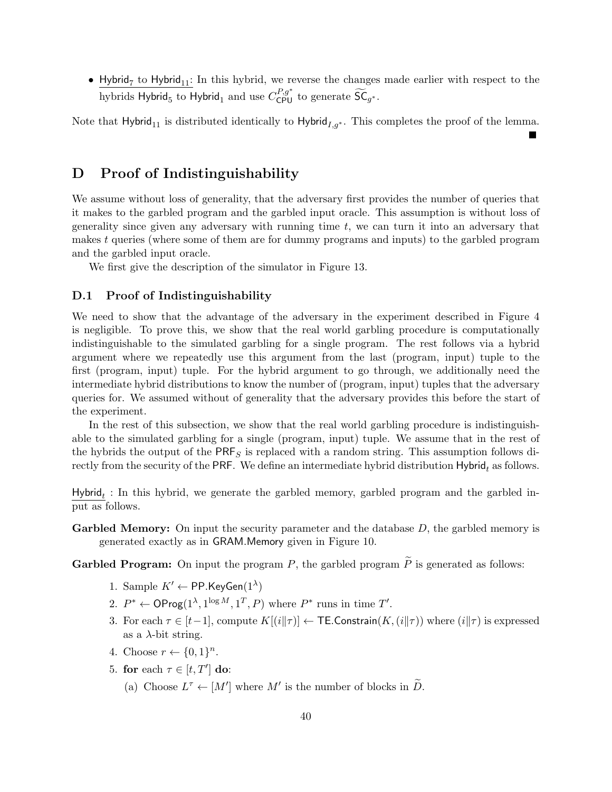• Hybrid<sub>7</sub> to Hybrid<sub>11</sub>: In this hybrid, we reverse the changes made earlier with respect to the hybrids Hybrid<sub>5</sub> to Hybrid<sub>1</sub> and use  $C_{\text{CPU}}^{P,g^*}$  to generate  $\widetilde{SC}_{g^*}$ .

ш

Note that Hybrid<sub>11</sub> is distributed identically to Hybrid<sub>I, $g^*$ </sub>. This completes the proof of the lemma.

## D Proof of Indistinguishability

We assume without loss of generality, that the adversary first provides the number of queries that it makes to the garbled program and the garbled input oracle. This assumption is without loss of generality since given any adversary with running time  $t$ , we can turn it into an adversary that makes t queries (where some of them are for dummy programs and inputs) to the garbled program and the garbled input oracle.

We first give the description of the simulator in Figure 13.

### D.1 Proof of Indistinguishability

We need to show that the advantage of the adversary in the experiment described in Figure 4 is negligible. To prove this, we show that the real world garbling procedure is computationally indistinguishable to the simulated garbling for a single program. The rest follows via a hybrid argument where we repeatedly use this argument from the last (program, input) tuple to the first (program, input) tuple. For the hybrid argument to go through, we additionally need the intermediate hybrid distributions to know the number of (program, input) tuples that the adversary queries for. We assumed without of generality that the adversary provides this before the start of the experiment.

In the rest of this subsection, we show that the real world garbling procedure is indistinguishable to the simulated garbling for a single (program, input) tuple. We assume that in the rest of the hybrids the output of the  $PRF<sub>S</sub>$  is replaced with a random string. This assumption follows directly from the security of the PRF. We define an intermediate hybrid distribution  $H$ ybrid<sub>t</sub> as follows.

 $H$ ybrid<sub>t</sub>: In this hybrid, we generate the garbled memory, garbled program and the garbled input as follows.

**Garbled Memory:** On input the security parameter and the database  $D$ , the garbled memory is generated exactly as in GRAM.Memory given in Figure 10.

**Garbled Program:** On input the program P, the garbled program  $\widetilde{P}$  is generated as follows:

- 1. Sample  $K' \leftarrow \textsf{PP.KeyGen}(1^{\lambda})$
- 2.  $P^* \leftarrow \mathsf{OProg}(1^{\lambda}, 1^{\log M}, 1^T, P)$  where  $P^*$  runs in time  $T'$ .
- 3. For each  $\tau \in [t-1]$ , compute  $K[(i\|\tau)] \leftarrow \textsf{TE}$ . Constrain $(K,(i\|\tau))$  where  $(i\|\tau)$  is expressed as a  $\lambda$ -bit string.
- 4. Choose  $r \leftarrow \{0,1\}^n$ .
- 5. for each  $\tau \in [t, T']$  do:
	- (a) Choose  $L^{\tau} \leftarrow [M']$  where  $M'$  is the number of blocks in  $\widetilde{D}$ .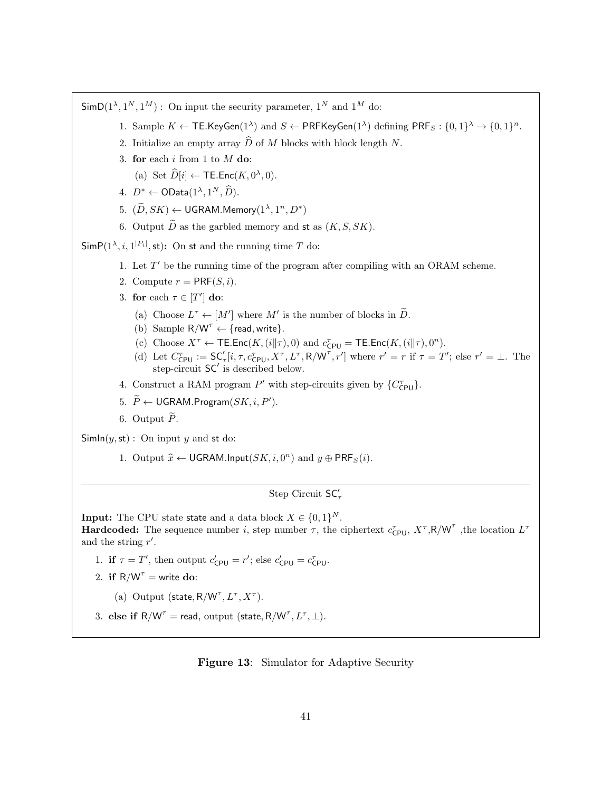$\mathsf{SimD}(1^{\lambda}, 1^N, 1^M)$ : On input the security parameter,  $1^N$  and  $1^M$  do:

1. Sample  $K \leftarrow \mathsf{TE}.\mathsf{KeyGen}(1^{\lambda})$  and  $S \leftarrow \mathsf{PRFKeyGen}(1^{\lambda})$  defining  $\mathsf{PRF}_S : \{0,1\}^{\lambda} \rightarrow \{0,1\}^n$ .

- 2. Initialize an empty array  $\widehat{D}$  of M blocks with block length N.
- 3. for each  $i$  from 1 to  $M$  do:
	- (a) Set  $\widehat{D}[i] \leftarrow \mathsf{TE}.\mathsf{Enc}(K, 0^{\lambda}, 0).$
- 4.  $D^* \leftarrow \textsf{OData}(1^{\lambda}, 1^N, \widehat{D}).$
- 5.  $(\widetilde{D}, SK) \leftarrow \mathsf{UGRAM.Memory}(1^\lambda, 1^n, D^*)$
- 6. Output  $\widetilde{D}$  as the garbled memory and st as  $(K, S, SK)$ .

 $\textsf{SimP}(1^{\lambda}, i, 1^{|P_i|}, \textsf{st})$ : On st and the running time T do:

- 1. Let  $T'$  be the running time of the program after compiling with an ORAM scheme.
- 2. Compute  $r = \mathsf{PRF}(S, i)$ .
- 3. for each  $\tau \in [T']$  do:
	- (a) Choose  $L^{\tau} \leftarrow [M']$  where  $M'$  is the number of blocks in  $\tilde{D}$ .
	- (b) Sample  $R/W^{\tau} \leftarrow \{read, write\}.$
	- (c) Choose  $X^{\tau} \leftarrow \textsf{TE}.\textsf{Enc}(K, (i \| \tau), 0)$  and  $c^{\tau}_{\textsf{CPU}} = \textsf{TE}.\textsf{Enc}(K, (i \| \tau), 0^n)$ .
	- (d) Let  $C_{\text{CPU}}^{\tau} := \mathsf{SC}_{\tau}'[i, \tau, c_{\text{CPU}}^{\tau}, X^{\tau}, L^{\tau}, \mathsf{R}/\mathsf{W}^{\tau}, r']$  where  $r' = r$  if  $\tau = T'$ ; else  $r' = \bot$ . The step-circuit  $SC'$  is described below.
- 4. Construct a RAM program  $P'$  with step-circuits given by  $\{C^{\tau}_{\text{CPU}}\}$ .
- 5.  $\widetilde{P} \leftarrow \mathsf{UGRAM}.Program(SK, i, P').$
- 6. Output  $\widetilde{P}$ .

 $\mathsf{SimIn}(y, \mathsf{st}) :$  On input y and st do:

1. Output  $\widehat{x} \leftarrow \mathsf{UGRAM}.\mathsf{Input}(SK, i, 0^n)$  and  $y \oplus \mathsf{PRF}_S(i)$ .

# Step Circuit  $SC_{\tau}'$

**Input:** The CPU state state and a data block  $X \in \{0,1\}^N$ . **Hardcoded:** The sequence number i, step number  $\tau$ , the ciphertext  $c_{\text{CPU}}^{\tau}$ ,  $X^{\tau}$ , R/W<sup> $\tau$ </sup>, the location  $L^{\tau}$ and the string  $r'$ .

- 1. if  $\tau = T'$ , then output  $c'_{\text{CPU}} = r'$ ; else  $c'_{\text{CPU}} = c^{\tau}_{\text{CPU}}$ .
- 2. if  $R/W^{\tau} =$  write do:
	- (a) Output (state,  $R/W^{\tau}, L^{\tau}, X^{\tau}$ ).
- 3. else if  $R/W^{\tau}$  = read, output (state,  $R/W^{\tau}, L^{\tau}, \perp$ ).

Figure 13: Simulator for Adaptive Security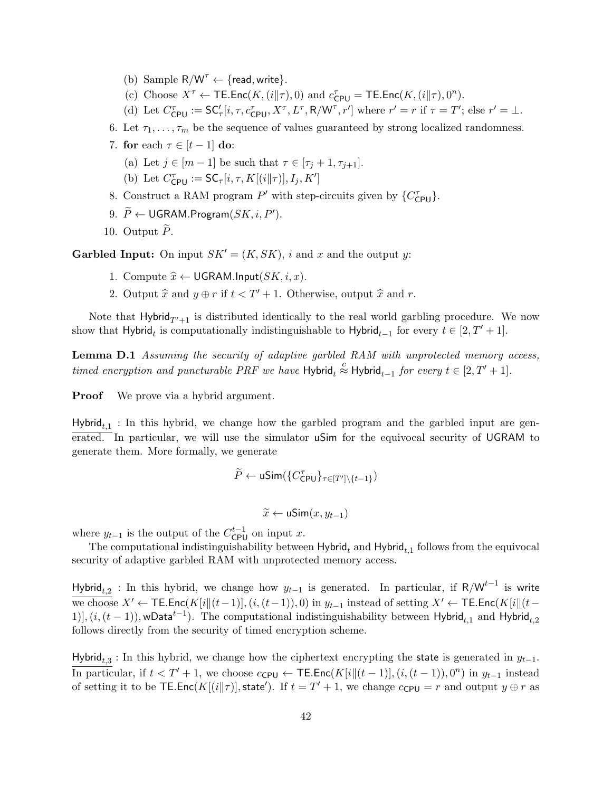- (b) Sample  $R/W^{\tau} \leftarrow \{ \text{read}, \text{write} \}.$
- (c) Choose  $X^{\tau} \leftarrow \textsf{TE}.\textsf{Enc}(K, (i||\tau), 0)$  and  $c^{\tau}_{\textsf{CPU}} = \textsf{TE}.\textsf{Enc}(K, (i||\tau), 0^n)$ .
- (d) Let  $C_{\text{CPU}}^{\tau} := \mathsf{SC}_{\tau}'[i, \tau, c_{\text{CPU}}^{\tau}, X^{\tau}, L^{\tau}, R/W^{\tau}, r']$  where  $r' = r$  if  $\tau = T'$ ; else  $r' = \bot$ .
- 6. Let  $\tau_1, \ldots, \tau_m$  be the sequence of values guaranteed by strong localized randomness.
- 7. for each  $\tau \in [t-1]$  do:
	- (a) Let  $j \in [m-1]$  be such that  $\tau \in [\tau_j+1, \tau_{j+1}].$
	- (b) Let  $C^{\tau}_{\mathsf{CPU}} := \mathsf{SC}_{\tau}[i,\tau,K[(i\|\tau)],I_j,K']$
- 8. Construct a RAM program  $P'$  with step-circuits given by  $\{C^{\tau}_{\text{CPU}}\}.$
- $9. \ \widetilde{P} \leftarrow \mathsf{UGRAM}.$ Program $(SK, i, P').$
- 10. Output  $\widetilde{P}$ .

**Garbled Input:** On input  $SK' = (K, SK)$ , i and x and the output y:

- 1. Compute  $\hat{x} \leftarrow \mathsf{UGRAM}.\mathsf{Input}(SK, i, x).$
- 2. Output  $\hat{x}$  and  $y \oplus r$  if  $t < T' + 1$ . Otherwise, output  $\hat{x}$  and r.

Note that Hybrid $_{T'+1}$  is distributed identically to the real world garbling procedure. We now show that Hybrid<sub>t</sub> is computationally indistinguishable to Hybrid<sub>t−1</sub> for every  $t \in [2, T' + 1]$ .

**Lemma D.1** Assuming the security of adaptive garbled RAM with unprotected memory access, timed encryption and puncturable PRF we have  $\text{Hybrid}_t \stackrel{c}{\approx} \text{Hybrid}_{t-1}$  for every  $t \in [2, T' + 1]$ .

**Proof** We prove via a hybrid argument.

Hybrid<sub>t,1</sub>: In this hybrid, we change how the garbled program and the garbled input are generated. In particular, we will use the simulator uSim for the equivocal security of UGRAM to generate them. More formally, we generate

$$
\widetilde{P} \leftarrow \mathsf{uSim}(\{C^\tau_\mathsf{CPU}\}_{\tau \in [T'] \setminus \{t-1\}})
$$

 $\widetilde{x} \leftarrow \mathsf{uSim}(x, y_{t-1})$ 

where  $y_{t-1}$  is the output of the  $C_{\text{CPU}}^{t-1}$  on input x.

The computational indistinguishability between  $\mathsf{Hybrid}_{t}$  and  $\mathsf{Hybrid}_{t,1}$  follows from the equivocal security of adaptive garbled RAM with unprotected memory access.

Hybrid<sub>t,2</sub> : In this hybrid, we change how  $y_{t-1}$  is generated. In particular, if R/W<sup>t-1</sup> is write we choose  $X' \leftarrow \mathsf{TE}.\mathsf{Enc}(K[i||(t-1)]$ ,  $(i,(t-1)), 0)$  in  $y_{t-1}$  instead of setting  $X' \leftarrow \mathsf{TE}.\mathsf{Enc}(K[i||(t-1)))$ 1)],  $(i, (t - 1))$ , wData<sup>t-1</sup>). The computational indistinguishability between Hybrid<sub>t,1</sub> and Hybrid<sub>t,2</sub> follows directly from the security of timed encryption scheme.

Hybrid<sub>t,3</sub>: In this hybrid, we change how the ciphertext encrypting the state is generated in  $y_{t-1}$ .  $\overline{\text{In particular, if}}~t < T' + 1$ , we choose  $c_{\text{CPU}} \leftarrow \text{TE}.\text{Enc}(K[i||(t-1)]$ ,  $(i, (t-1)), 0^n)$  in  $y_{t-1}$  instead of setting it to be  $\mathsf{TE}.\mathsf{Enc}(K[(i\|\tau)],\mathsf{state}')$ . If  $t = T' + 1$ , we change  $c_{\mathsf{CPU}} = r$  and output  $y \oplus r$  as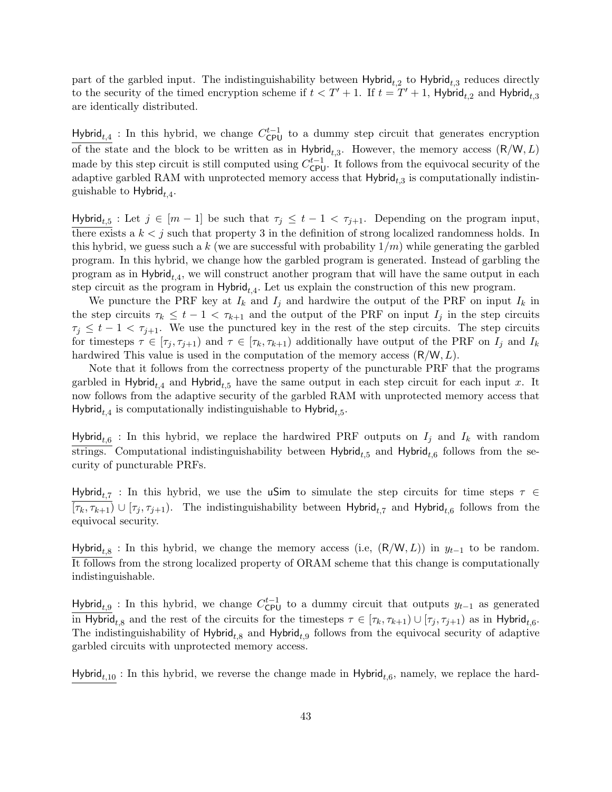part of the garbled input. The indistinguishability between  $\mathsf{Hybrid}_{t,2}$  to  $\mathsf{Hybrid}_{t,3}$  reduces directly to the security of the timed encryption scheme if  $t < T' + 1$ . If  $t = T' + 1$ , Hybrid<sub>t,2</sub> and Hybrid<sub>t,3</sub> are identically distributed.

Hybrid<sub>t,4</sub>: In this hybrid, we change  $C_{\text{CPU}}^{t-1}$  to a dummy step circuit that generates encryption of the state and the block to be written as in  $H$ ybrid<sub>t,3</sub>. However, the memory access  $(R/W, L)$ made by this step circuit is still computed using  $C_{\text{CPU}}^{t-1}$ . It follows from the equivocal security of the adaptive garbled RAM with unprotected memory access that  $\mathsf{Hybrid}_{t,3}$  is computationally indistinguishable to  $\mathsf{Hybrid}_{t,4}.$ 

Hybrid<sub>t,5</sub>: Let  $j \in [m-1]$  be such that  $\tau_j \leq t-1 < \tau_{j+1}$ . Depending on the program input, there exists a  $k < j$  such that property 3 in the definition of strong localized randomness holds. In this hybrid, we guess such a k (we are successful with probability  $1/m$ ) while generating the garbled program. In this hybrid, we change how the garbled program is generated. Instead of garbling the program as in  $H$ ybrid<sub>t,4</sub>, we will construct another program that will have the same output in each step circuit as the program in  $H$ ybrid<sub>t,4</sub>. Let us explain the construction of this new program.

We puncture the PRF key at  $I_k$  and  $I_j$  and hardwire the output of the PRF on input  $I_k$  in the step circuits  $\tau_k \leq t-1 < \tau_{k+1}$  and the output of the PRF on input  $I_j$  in the step circuits  $\tau_i \leq t-1 < \tau_{i+1}$ . We use the punctured key in the rest of the step circuits. The step circuits for timesteps  $\tau \in [\tau_i, \tau_{i+1})$  and  $\tau \in [\tau_k, \tau_{k+1})$  additionally have output of the PRF on  $I_i$  and  $I_k$ hardwired This value is used in the computation of the memory access  $(R/W, L)$ .

Note that it follows from the correctness property of the puncturable PRF that the programs garbled in Hybrid<sub>t,4</sub> and Hybrid<sub>t,5</sub> have the same output in each step circuit for each input x. It now follows from the adaptive security of the garbled RAM with unprotected memory access that Hybrid<sub>t,4</sub> is computationally indistinguishable to Hybrid<sub>t,5</sub>.

Hybrid<sub>t,6</sub>: In this hybrid, we replace the hardwired PRF outputs on  $I_j$  and  $I_k$  with random strings. Computational indistinguishability between  $H$ ybrid<sub>t,5</sub> and  $H$ ybrid<sub>t,6</sub> follows from the security of puncturable PRFs.

Hybrid<sub>t,7</sub>: In this hybrid, we use the uSim to simulate the step circuits for time steps  $\tau \in$  $[\tau_k, \tau_{k+1}) \cup [\tau_j, \tau_{j+1})$ . The indistinguishability between Hybrid<sub>t,7</sub> and Hybrid<sub>t,6</sub> follows from the equivocal security.

Hybrid<sub>t,8</sub>: In this hybrid, we change the memory access (i.e,  $(R/W, L)$ ) in  $y_{t-1}$  to be random. It follows from the strong localized property of ORAM scheme that this change is computationally indistinguishable.

Hybrid<sub>t,9</sub>: In this hybrid, we change  $C_{\text{CPU}}^{t-1}$  to a dummy circuit that outputs  $y_{t-1}$  as generated in Hybrid<sub>t,8</sub> and the rest of the circuits for the timesteps  $\tau \in [\tau_k, \tau_{k+1}) \cup [\tau_j, \tau_{j+1})$  as in Hybrid<sub>t,6</sub>. The indistinguishability of  $H$ ybrid $_{t,8}$  and  $H$ ybrid $_{t,9}$  follows from the equivocal security of adaptive garbled circuits with unprotected memory access.

Hybrid<sub>t,10</sub>: In this hybrid, we reverse the change made in Hybrid<sub>t,6</sub>, namely, we replace the hard-